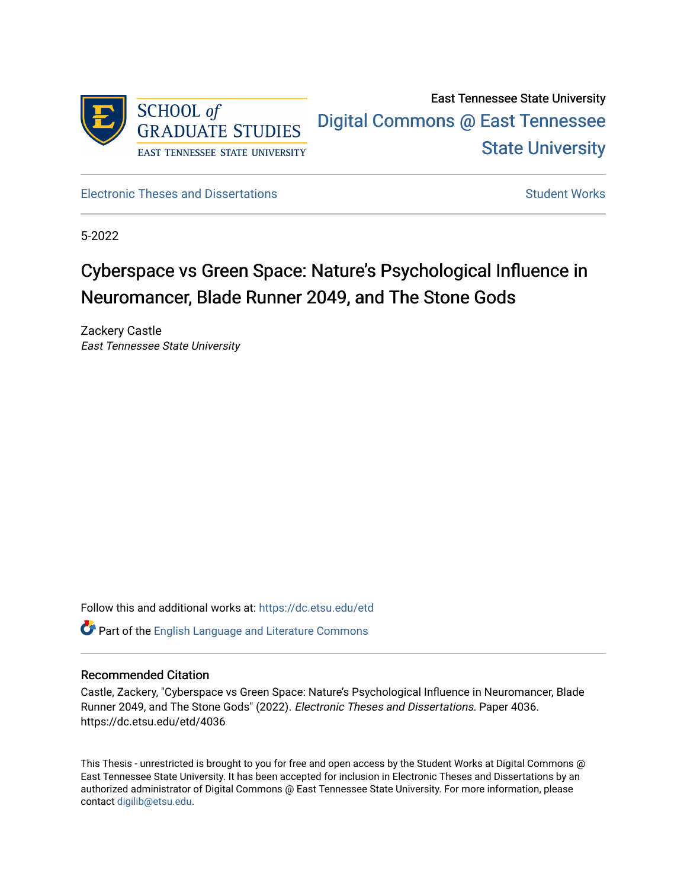

# East Tennessee State University [Digital Commons @ East Tennessee](https://dc.etsu.edu/)  [State University](https://dc.etsu.edu/)

[Electronic Theses and Dissertations](https://dc.etsu.edu/etd) [Student Works](https://dc.etsu.edu/student-works) Student Works

5-2022

# Cyberspace vs Green Space: Nature's Psychological Influence in Neuromancer, Blade Runner 2049, and The Stone Gods

Zackery Castle East Tennessee State University

Follow this and additional works at: [https://dc.etsu.edu/etd](https://dc.etsu.edu/etd?utm_source=dc.etsu.edu%2Fetd%2F4036&utm_medium=PDF&utm_campaign=PDFCoverPages)

**C** Part of the [English Language and Literature Commons](http://network.bepress.com/hgg/discipline/455?utm_source=dc.etsu.edu%2Fetd%2F4036&utm_medium=PDF&utm_campaign=PDFCoverPages)

#### Recommended Citation

Castle, Zackery, "Cyberspace vs Green Space: Nature's Psychological Influence in Neuromancer, Blade Runner 2049, and The Stone Gods" (2022). Electronic Theses and Dissertations. Paper 4036. https://dc.etsu.edu/etd/4036

This Thesis - unrestricted is brought to you for free and open access by the Student Works at Digital Commons @ East Tennessee State University. It has been accepted for inclusion in Electronic Theses and Dissertations by an authorized administrator of Digital Commons @ East Tennessee State University. For more information, please contact [digilib@etsu.edu](mailto:digilib@etsu.edu).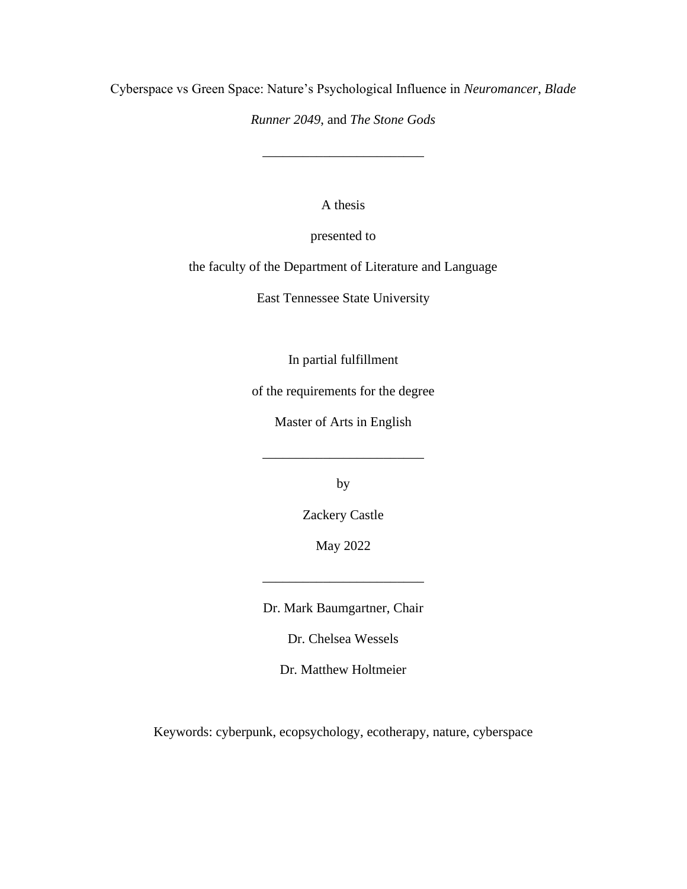Cyberspace vs Green Space: Nature's Psychological Influence in *Neuromancer*, *Blade* 

*Runner 2049*, and *The Stone Gods*

\_\_\_\_\_\_\_\_\_\_\_\_\_\_\_\_\_\_\_\_\_\_\_\_

A thesis

presented to

the faculty of the Department of Literature and Language

East Tennessee State University

In partial fulfillment

of the requirements for the degree

Master of Arts in English

\_\_\_\_\_\_\_\_\_\_\_\_\_\_\_\_\_\_\_\_\_\_\_\_

by

Zackery Castle

May 2022

Dr. Mark Baumgartner, Chair

\_\_\_\_\_\_\_\_\_\_\_\_\_\_\_\_\_\_\_\_\_\_\_\_

Dr. Chelsea Wessels

Dr. Matthew Holtmeier

Keywords: cyberpunk, ecopsychology, ecotherapy, nature, cyberspace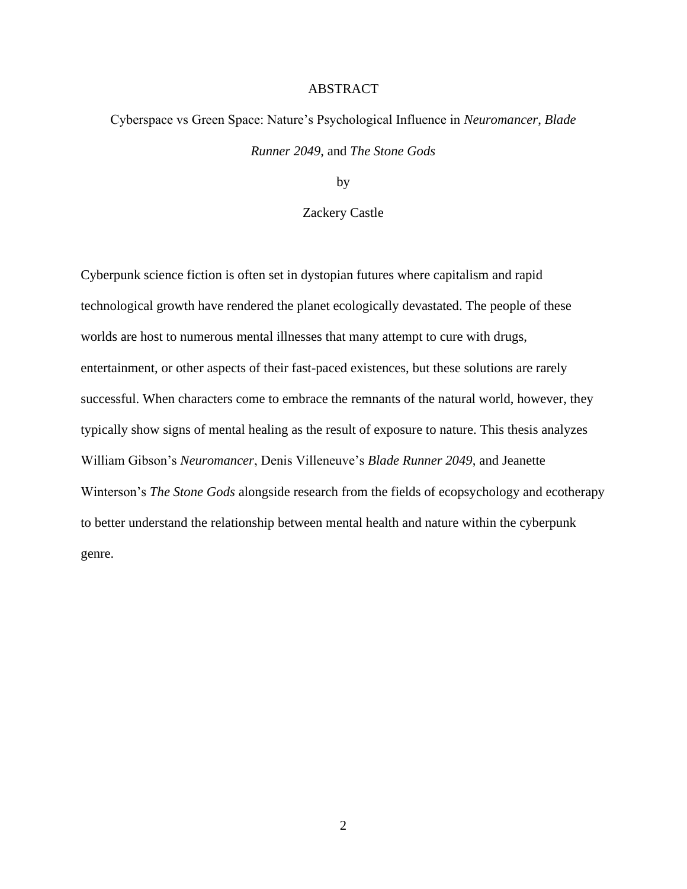#### ABSTRACT

# <span id="page-2-0"></span>Cyberspace vs Green Space: Nature's Psychological Influence in *Neuromancer*, *Blade Runner 2049*, and *The Stone Gods*

by

#### Zackery Castle

Cyberpunk science fiction is often set in dystopian futures where capitalism and rapid technological growth have rendered the planet ecologically devastated. The people of these worlds are host to numerous mental illnesses that many attempt to cure with drugs, entertainment, or other aspects of their fast-paced existences, but these solutions are rarely successful. When characters come to embrace the remnants of the natural world, however, they typically show signs of mental healing as the result of exposure to nature. This thesis analyzes William Gibson's *Neuromancer*, Denis Villeneuve's *Blade Runner 2049*, and Jeanette Winterson's *The Stone Gods* alongside research from the fields of ecopsychology and ecotherapy to better understand the relationship between mental health and nature within the cyberpunk genre.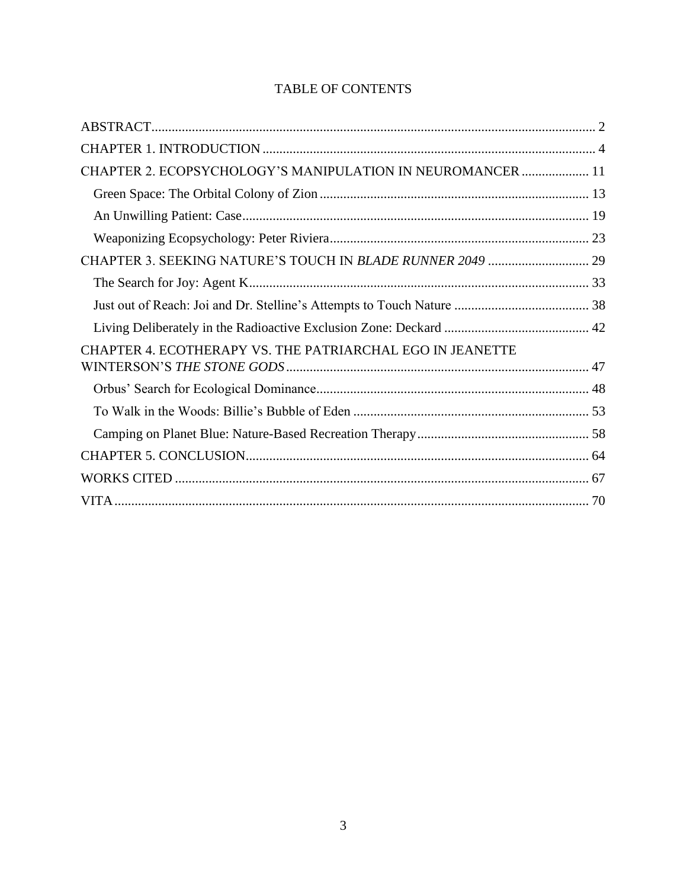| CHAPTER 2. ECOPSYCHOLOGY'S MANIPULATION IN NEUROMANCER  11 |  |
|------------------------------------------------------------|--|
|                                                            |  |
|                                                            |  |
|                                                            |  |
|                                                            |  |
|                                                            |  |
|                                                            |  |
|                                                            |  |
| CHAPTER 4. ECOTHERAPY VS. THE PATRIARCHAL EGO IN JEANETTE  |  |
|                                                            |  |
|                                                            |  |
|                                                            |  |
|                                                            |  |
|                                                            |  |
|                                                            |  |

### TABLE OF CONTENTS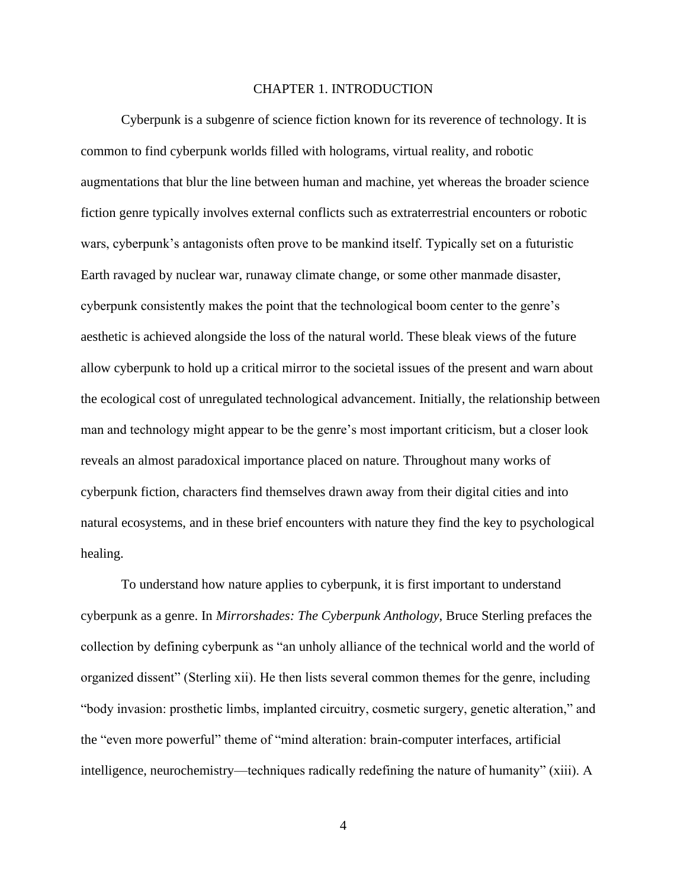#### CHAPTER 1. INTRODUCTION

<span id="page-4-0"></span>Cyberpunk is a subgenre of science fiction known for its reverence of technology. It is common to find cyberpunk worlds filled with holograms, virtual reality, and robotic augmentations that blur the line between human and machine, yet whereas the broader science fiction genre typically involves external conflicts such as extraterrestrial encounters or robotic wars, cyberpunk's antagonists often prove to be mankind itself. Typically set on a futuristic Earth ravaged by nuclear war, runaway climate change, or some other manmade disaster, cyberpunk consistently makes the point that the technological boom center to the genre's aesthetic is achieved alongside the loss of the natural world. These bleak views of the future allow cyberpunk to hold up a critical mirror to the societal issues of the present and warn about the ecological cost of unregulated technological advancement. Initially, the relationship between man and technology might appear to be the genre's most important criticism, but a closer look reveals an almost paradoxical importance placed on nature. Throughout many works of cyberpunk fiction, characters find themselves drawn away from their digital cities and into natural ecosystems, and in these brief encounters with nature they find the key to psychological healing.

To understand how nature applies to cyberpunk, it is first important to understand cyberpunk as a genre. In *Mirrorshades: The Cyberpunk Anthology*, Bruce Sterling prefaces the collection by defining cyberpunk as "an unholy alliance of the technical world and the world of organized dissent" (Sterling xii). He then lists several common themes for the genre, including "body invasion: prosthetic limbs, implanted circuitry, cosmetic surgery, genetic alteration," and the "even more powerful" theme of "mind alteration: brain-computer interfaces, artificial intelligence, neurochemistry—techniques radically redefining the nature of humanity" (xiii). A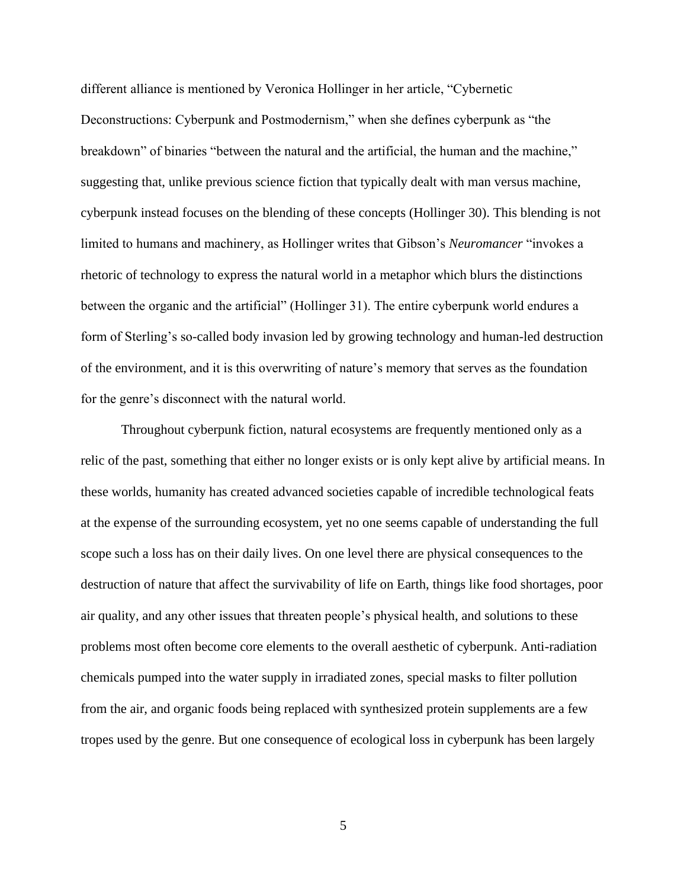different alliance is mentioned by Veronica Hollinger in her article, "Cybernetic Deconstructions: Cyberpunk and Postmodernism," when she defines cyberpunk as "the breakdown" of binaries "between the natural and the artificial, the human and the machine," suggesting that, unlike previous science fiction that typically dealt with man versus machine, cyberpunk instead focuses on the blending of these concepts (Hollinger 30). This blending is not limited to humans and machinery, as Hollinger writes that Gibson's *Neuromancer* "invokes a rhetoric of technology to express the natural world in a metaphor which blurs the distinctions between the organic and the artificial" (Hollinger 31). The entire cyberpunk world endures a form of Sterling's so-called body invasion led by growing technology and human-led destruction of the environment, and it is this overwriting of nature's memory that serves as the foundation for the genre's disconnect with the natural world.

Throughout cyberpunk fiction, natural ecosystems are frequently mentioned only as a relic of the past, something that either no longer exists or is only kept alive by artificial means. In these worlds, humanity has created advanced societies capable of incredible technological feats at the expense of the surrounding ecosystem, yet no one seems capable of understanding the full scope such a loss has on their daily lives. On one level there are physical consequences to the destruction of nature that affect the survivability of life on Earth, things like food shortages, poor air quality, and any other issues that threaten people's physical health, and solutions to these problems most often become core elements to the overall aesthetic of cyberpunk. Anti-radiation chemicals pumped into the water supply in irradiated zones, special masks to filter pollution from the air, and organic foods being replaced with synthesized protein supplements are a few tropes used by the genre. But one consequence of ecological loss in cyberpunk has been largely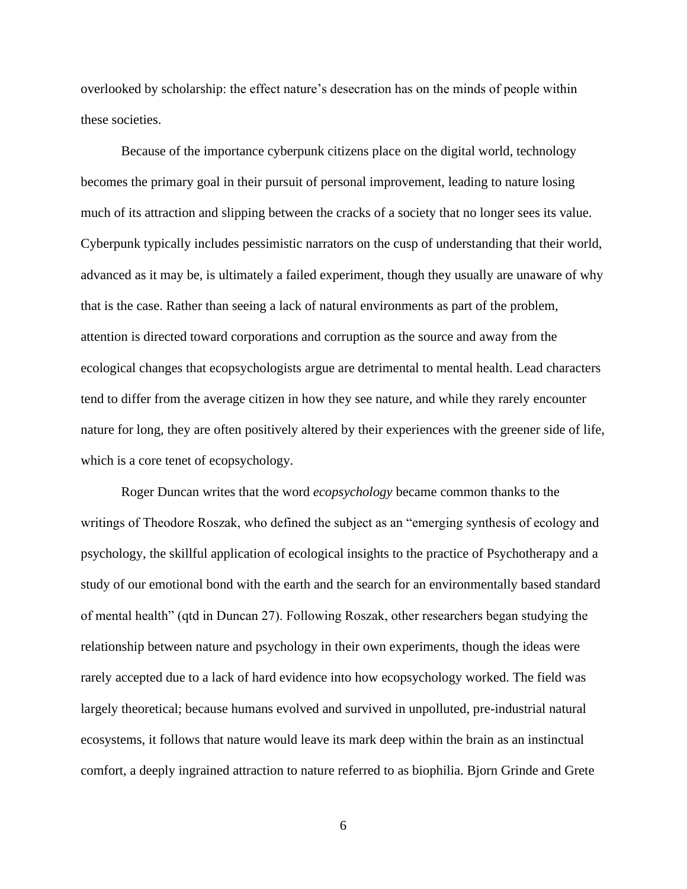overlooked by scholarship: the effect nature's desecration has on the minds of people within these societies.

Because of the importance cyberpunk citizens place on the digital world, technology becomes the primary goal in their pursuit of personal improvement, leading to nature losing much of its attraction and slipping between the cracks of a society that no longer sees its value. Cyberpunk typically includes pessimistic narrators on the cusp of understanding that their world, advanced as it may be, is ultimately a failed experiment, though they usually are unaware of why that is the case. Rather than seeing a lack of natural environments as part of the problem, attention is directed toward corporations and corruption as the source and away from the ecological changes that ecopsychologists argue are detrimental to mental health. Lead characters tend to differ from the average citizen in how they see nature, and while they rarely encounter nature for long, they are often positively altered by their experiences with the greener side of life, which is a core tenet of ecopsychology.

Roger Duncan writes that the word *ecopsychology* became common thanks to the writings of Theodore Roszak, who defined the subject as an "emerging synthesis of ecology and psychology, the skillful application of ecological insights to the practice of Psychotherapy and a study of our emotional bond with the earth and the search for an environmentally based standard of mental health" (qtd in Duncan 27). Following Roszak, other researchers began studying the relationship between nature and psychology in their own experiments, though the ideas were rarely accepted due to a lack of hard evidence into how ecopsychology worked. The field was largely theoretical; because humans evolved and survived in unpolluted, pre-industrial natural ecosystems, it follows that nature would leave its mark deep within the brain as an instinctual comfort, a deeply ingrained attraction to nature referred to as biophilia. Bjorn Grinde and Grete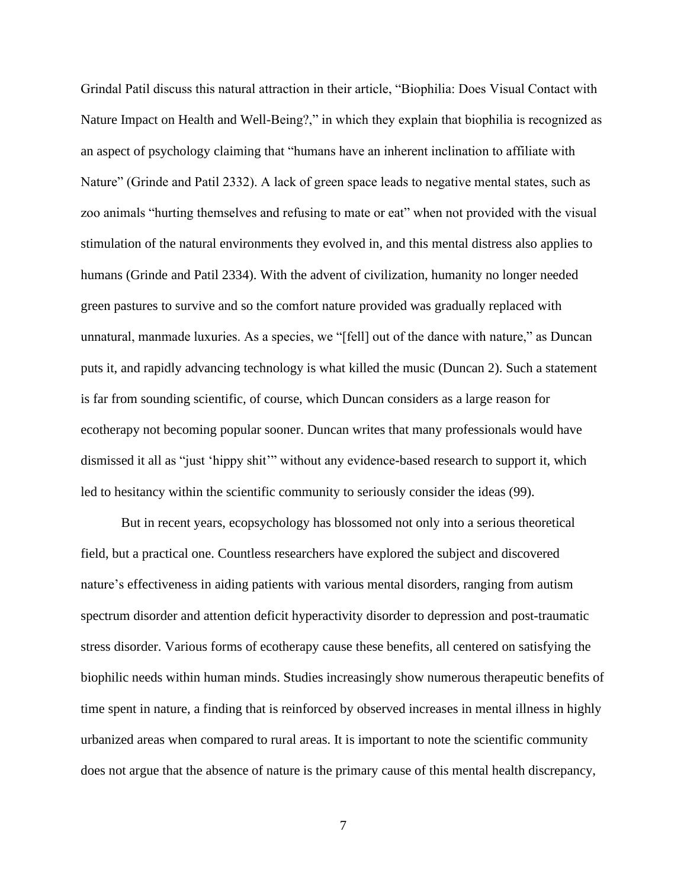Grindal Patil discuss this natural attraction in their article, "Biophilia: Does Visual Contact with Nature Impact on Health and Well-Being?," in which they explain that biophilia is recognized as an aspect of psychology claiming that "humans have an inherent inclination to affiliate with Nature" (Grinde and Patil 2332). A lack of green space leads to negative mental states, such as zoo animals "hurting themselves and refusing to mate or eat" when not provided with the visual stimulation of the natural environments they evolved in, and this mental distress also applies to humans (Grinde and Patil 2334). With the advent of civilization, humanity no longer needed green pastures to survive and so the comfort nature provided was gradually replaced with unnatural, manmade luxuries. As a species, we "[fell] out of the dance with nature," as Duncan puts it, and rapidly advancing technology is what killed the music (Duncan 2). Such a statement is far from sounding scientific, of course, which Duncan considers as a large reason for ecotherapy not becoming popular sooner. Duncan writes that many professionals would have dismissed it all as "just 'hippy shit'" without any evidence-based research to support it, which led to hesitancy within the scientific community to seriously consider the ideas (99).

But in recent years, ecopsychology has blossomed not only into a serious theoretical field, but a practical one. Countless researchers have explored the subject and discovered nature's effectiveness in aiding patients with various mental disorders, ranging from autism spectrum disorder and attention deficit hyperactivity disorder to depression and post-traumatic stress disorder. Various forms of ecotherapy cause these benefits, all centered on satisfying the biophilic needs within human minds. Studies increasingly show numerous therapeutic benefits of time spent in nature, a finding that is reinforced by observed increases in mental illness in highly urbanized areas when compared to rural areas. It is important to note the scientific community does not argue that the absence of nature is the primary cause of this mental health discrepancy,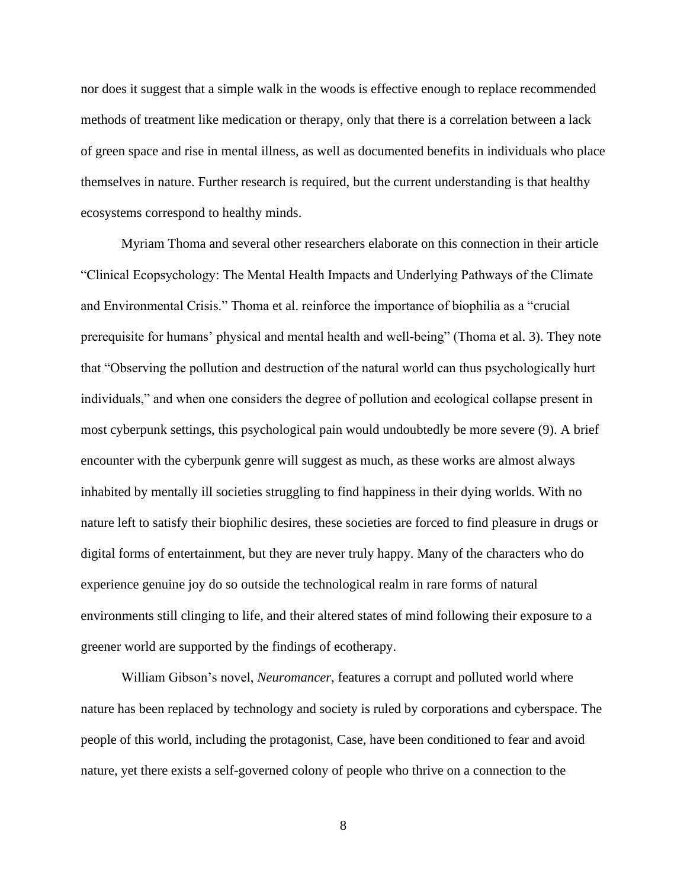nor does it suggest that a simple walk in the woods is effective enough to replace recommended methods of treatment like medication or therapy, only that there is a correlation between a lack of green space and rise in mental illness, as well as documented benefits in individuals who place themselves in nature. Further research is required, but the current understanding is that healthy ecosystems correspond to healthy minds.

Myriam Thoma and several other researchers elaborate on this connection in their article "Clinical Ecopsychology: The Mental Health Impacts and Underlying Pathways of the Climate and Environmental Crisis." Thoma et al. reinforce the importance of biophilia as a "crucial prerequisite for humans' physical and mental health and well-being" (Thoma et al. 3). They note that "Observing the pollution and destruction of the natural world can thus psychologically hurt individuals," and when one considers the degree of pollution and ecological collapse present in most cyberpunk settings, this psychological pain would undoubtedly be more severe (9). A brief encounter with the cyberpunk genre will suggest as much, as these works are almost always inhabited by mentally ill societies struggling to find happiness in their dying worlds. With no nature left to satisfy their biophilic desires, these societies are forced to find pleasure in drugs or digital forms of entertainment, but they are never truly happy. Many of the characters who do experience genuine joy do so outside the technological realm in rare forms of natural environments still clinging to life, and their altered states of mind following their exposure to a greener world are supported by the findings of ecotherapy.

William Gibson's novel, *Neuromancer,* features a corrupt and polluted world where nature has been replaced by technology and society is ruled by corporations and cyberspace. The people of this world, including the protagonist, Case, have been conditioned to fear and avoid nature, yet there exists a self-governed colony of people who thrive on a connection to the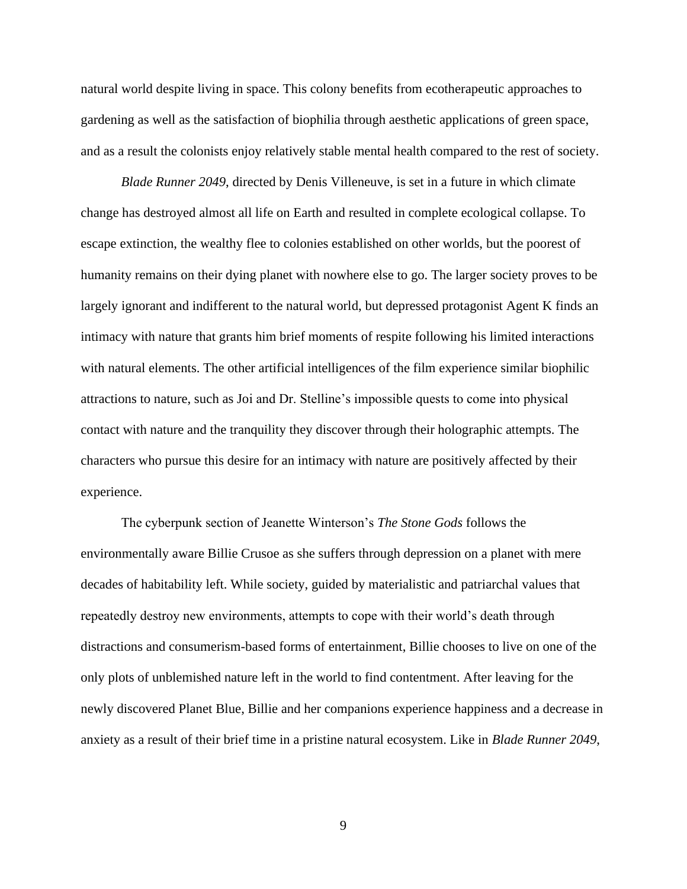natural world despite living in space. This colony benefits from ecotherapeutic approaches to gardening as well as the satisfaction of biophilia through aesthetic applications of green space, and as a result the colonists enjoy relatively stable mental health compared to the rest of society.

*Blade Runner 2049*, directed by Denis Villeneuve, is set in a future in which climate change has destroyed almost all life on Earth and resulted in complete ecological collapse. To escape extinction, the wealthy flee to colonies established on other worlds, but the poorest of humanity remains on their dying planet with nowhere else to go. The larger society proves to be largely ignorant and indifferent to the natural world, but depressed protagonist Agent K finds an intimacy with nature that grants him brief moments of respite following his limited interactions with natural elements. The other artificial intelligences of the film experience similar biophilic attractions to nature, such as Joi and Dr. Stelline's impossible quests to come into physical contact with nature and the tranquility they discover through their holographic attempts. The characters who pursue this desire for an intimacy with nature are positively affected by their experience.

The cyberpunk section of Jeanette Winterson's *The Stone Gods* follows the environmentally aware Billie Crusoe as she suffers through depression on a planet with mere decades of habitability left. While society, guided by materialistic and patriarchal values that repeatedly destroy new environments, attempts to cope with their world's death through distractions and consumerism-based forms of entertainment, Billie chooses to live on one of the only plots of unblemished nature left in the world to find contentment. After leaving for the newly discovered Planet Blue, Billie and her companions experience happiness and a decrease in anxiety as a result of their brief time in a pristine natural ecosystem. Like in *Blade Runner 2049*,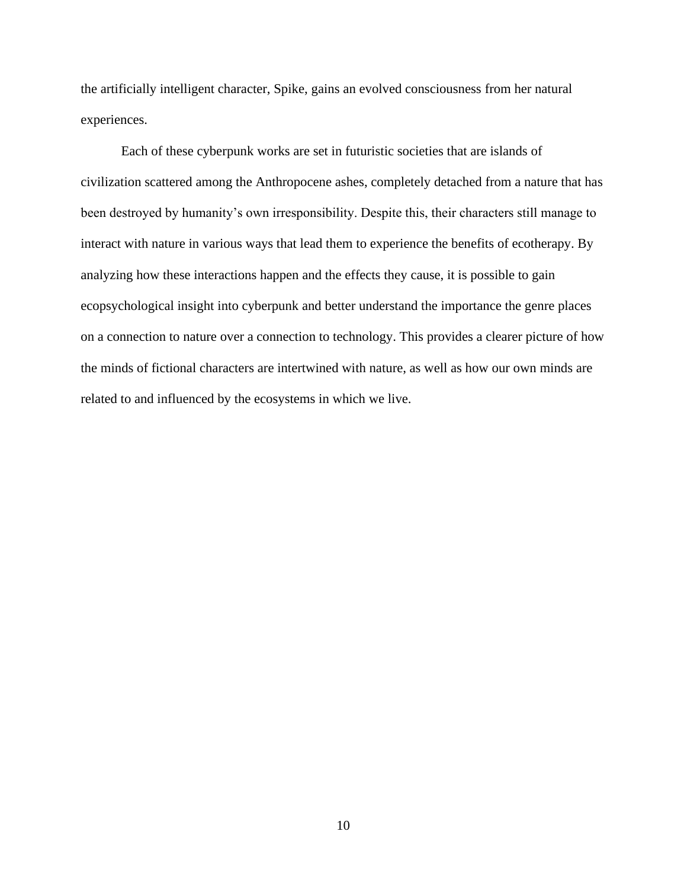the artificially intelligent character, Spike, gains an evolved consciousness from her natural experiences.

Each of these cyberpunk works are set in futuristic societies that are islands of civilization scattered among the Anthropocene ashes, completely detached from a nature that has been destroyed by humanity's own irresponsibility. Despite this, their characters still manage to interact with nature in various ways that lead them to experience the benefits of ecotherapy. By analyzing how these interactions happen and the effects they cause, it is possible to gain ecopsychological insight into cyberpunk and better understand the importance the genre places on a connection to nature over a connection to technology. This provides a clearer picture of how the minds of fictional characters are intertwined with nature, as well as how our own minds are related to and influenced by the ecosystems in which we live.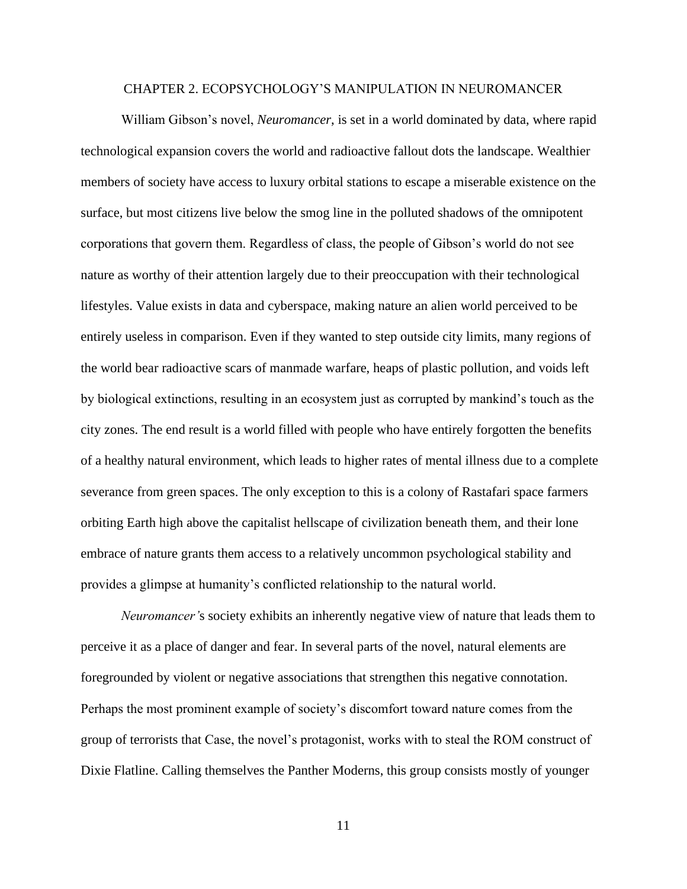#### CHAPTER 2. ECOPSYCHOLOGY'S MANIPULATION IN NEUROMANCER

<span id="page-11-0"></span>William Gibson's novel, *Neuromancer*, is set in a world dominated by data, where rapid technological expansion covers the world and radioactive fallout dots the landscape. Wealthier members of society have access to luxury orbital stations to escape a miserable existence on the surface, but most citizens live below the smog line in the polluted shadows of the omnipotent corporations that govern them. Regardless of class, the people of Gibson's world do not see nature as worthy of their attention largely due to their preoccupation with their technological lifestyles. Value exists in data and cyberspace, making nature an alien world perceived to be entirely useless in comparison. Even if they wanted to step outside city limits, many regions of the world bear radioactive scars of manmade warfare, heaps of plastic pollution, and voids left by biological extinctions, resulting in an ecosystem just as corrupted by mankind's touch as the city zones. The end result is a world filled with people who have entirely forgotten the benefits of a healthy natural environment, which leads to higher rates of mental illness due to a complete severance from green spaces. The only exception to this is a colony of Rastafari space farmers orbiting Earth high above the capitalist hellscape of civilization beneath them, and their lone embrace of nature grants them access to a relatively uncommon psychological stability and provides a glimpse at humanity's conflicted relationship to the natural world.

*Neuromancer'*s society exhibits an inherently negative view of nature that leads them to perceive it as a place of danger and fear. In several parts of the novel, natural elements are foregrounded by violent or negative associations that strengthen this negative connotation. Perhaps the most prominent example of society's discomfort toward nature comes from the group of terrorists that Case, the novel's protagonist, works with to steal the ROM construct of Dixie Flatline. Calling themselves the Panther Moderns, this group consists mostly of younger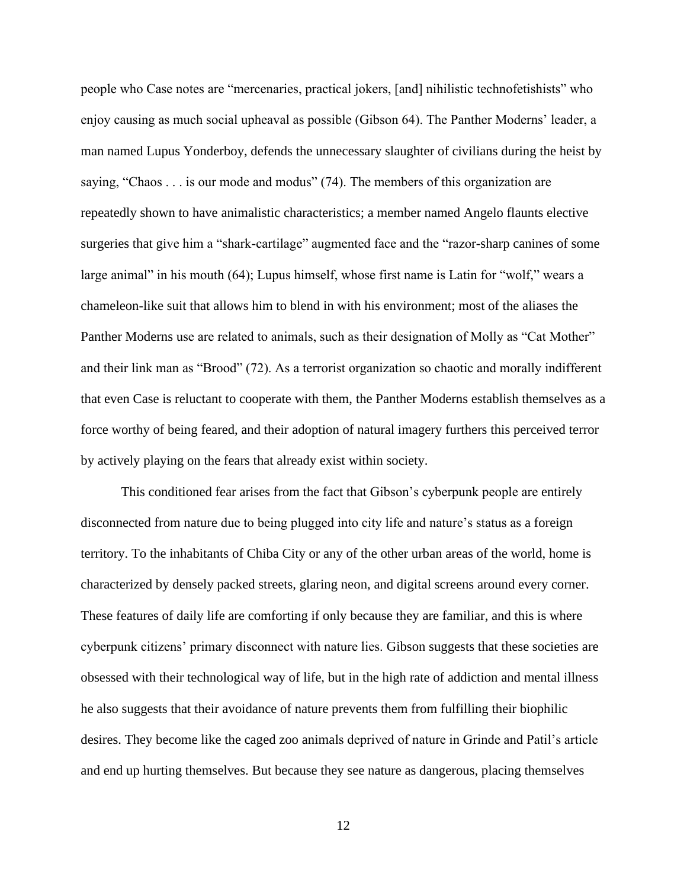people who Case notes are "mercenaries, practical jokers, [and] nihilistic technofetishists" who enjoy causing as much social upheaval as possible (Gibson 64). The Panther Moderns' leader, a man named Lupus Yonderboy, defends the unnecessary slaughter of civilians during the heist by saying, "Chaos . . . is our mode and modus" (74). The members of this organization are repeatedly shown to have animalistic characteristics; a member named Angelo flaunts elective surgeries that give him a "shark-cartilage" augmented face and the "razor-sharp canines of some large animal" in his mouth (64); Lupus himself, whose first name is Latin for "wolf," wears a chameleon-like suit that allows him to blend in with his environment; most of the aliases the Panther Moderns use are related to animals, such as their designation of Molly as "Cat Mother" and their link man as "Brood" (72). As a terrorist organization so chaotic and morally indifferent that even Case is reluctant to cooperate with them, the Panther Moderns establish themselves as a force worthy of being feared, and their adoption of natural imagery furthers this perceived terror by actively playing on the fears that already exist within society.

This conditioned fear arises from the fact that Gibson's cyberpunk people are entirely disconnected from nature due to being plugged into city life and nature's status as a foreign territory. To the inhabitants of Chiba City or any of the other urban areas of the world, home is characterized by densely packed streets, glaring neon, and digital screens around every corner. These features of daily life are comforting if only because they are familiar, and this is where cyberpunk citizens' primary disconnect with nature lies. Gibson suggests that these societies are obsessed with their technological way of life, but in the high rate of addiction and mental illness he also suggests that their avoidance of nature prevents them from fulfilling their biophilic desires. They become like the caged zoo animals deprived of nature in Grinde and Patil's article and end up hurting themselves. But because they see nature as dangerous, placing themselves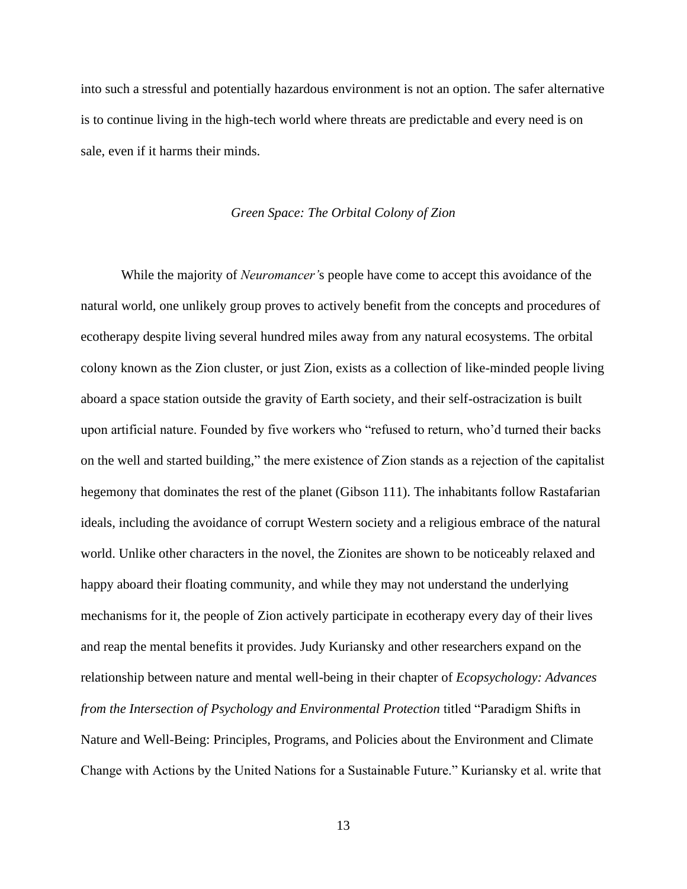into such a stressful and potentially hazardous environment is not an option. The safer alternative is to continue living in the high-tech world where threats are predictable and every need is on sale, even if it harms their minds.

#### *Green Space: The Orbital Colony of Zion*

<span id="page-13-0"></span>While the majority of *Neuromancer'*s people have come to accept this avoidance of the natural world, one unlikely group proves to actively benefit from the concepts and procedures of ecotherapy despite living several hundred miles away from any natural ecosystems. The orbital colony known as the Zion cluster, or just Zion, exists as a collection of like-minded people living aboard a space station outside the gravity of Earth society, and their self-ostracization is built upon artificial nature. Founded by five workers who "refused to return, who'd turned their backs on the well and started building," the mere existence of Zion stands as a rejection of the capitalist hegemony that dominates the rest of the planet (Gibson 111). The inhabitants follow Rastafarian ideals, including the avoidance of corrupt Western society and a religious embrace of the natural world. Unlike other characters in the novel, the Zionites are shown to be noticeably relaxed and happy aboard their floating community, and while they may not understand the underlying mechanisms for it, the people of Zion actively participate in ecotherapy every day of their lives and reap the mental benefits it provides. Judy Kuriansky and other researchers expand on the relationship between nature and mental well-being in their chapter of *Ecopsychology: Advances from the Intersection of Psychology and Environmental Protection* titled "Paradigm Shifts in Nature and Well-Being: Principles, Programs, and Policies about the Environment and Climate Change with Actions by the United Nations for a Sustainable Future." Kuriansky et al. write that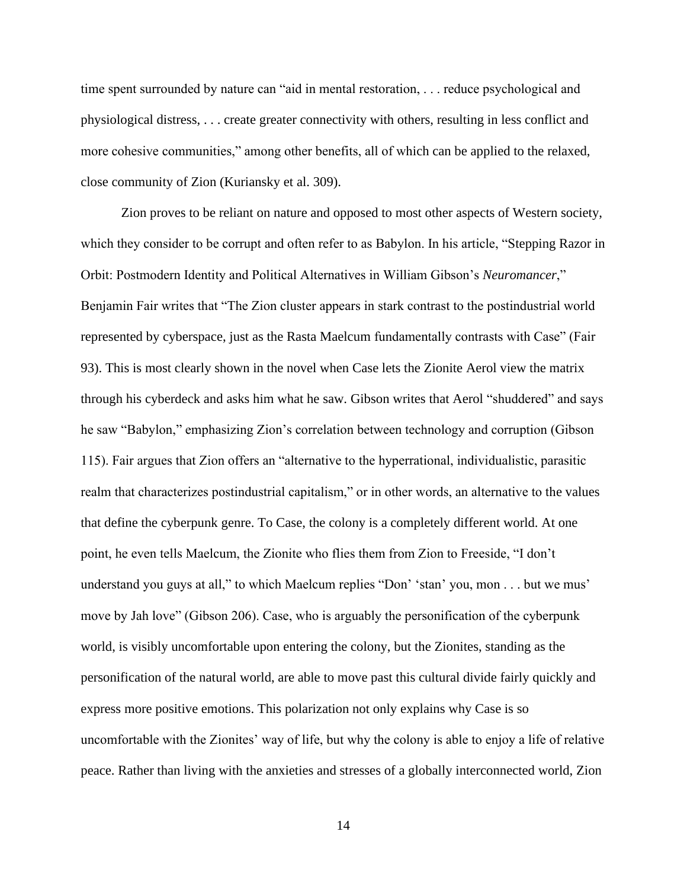time spent surrounded by nature can "aid in mental restoration, . . . reduce psychological and physiological distress, . . . create greater connectivity with others, resulting in less conflict and more cohesive communities," among other benefits, all of which can be applied to the relaxed, close community of Zion (Kuriansky et al. 309).

Zion proves to be reliant on nature and opposed to most other aspects of Western society, which they consider to be corrupt and often refer to as Babylon. In his article, "Stepping Razor in Orbit: Postmodern Identity and Political Alternatives in William Gibson's *Neuromancer*," Benjamin Fair writes that "The Zion cluster appears in stark contrast to the postindustrial world represented by cyberspace, just as the Rasta Maelcum fundamentally contrasts with Case" (Fair 93). This is most clearly shown in the novel when Case lets the Zionite Aerol view the matrix through his cyberdeck and asks him what he saw. Gibson writes that Aerol "shuddered" and says he saw "Babylon," emphasizing Zion's correlation between technology and corruption (Gibson 115). Fair argues that Zion offers an "alternative to the hyperrational, individualistic, parasitic realm that characterizes postindustrial capitalism," or in other words, an alternative to the values that define the cyberpunk genre. To Case, the colony is a completely different world. At one point, he even tells Maelcum, the Zionite who flies them from Zion to Freeside, "I don't understand you guys at all," to which Maelcum replies "Don' 'stan' you, mon . . . but we mus' move by Jah love" (Gibson 206). Case, who is arguably the personification of the cyberpunk world, is visibly uncomfortable upon entering the colony, but the Zionites, standing as the personification of the natural world, are able to move past this cultural divide fairly quickly and express more positive emotions. This polarization not only explains why Case is so uncomfortable with the Zionites' way of life, but why the colony is able to enjoy a life of relative peace. Rather than living with the anxieties and stresses of a globally interconnected world, Zion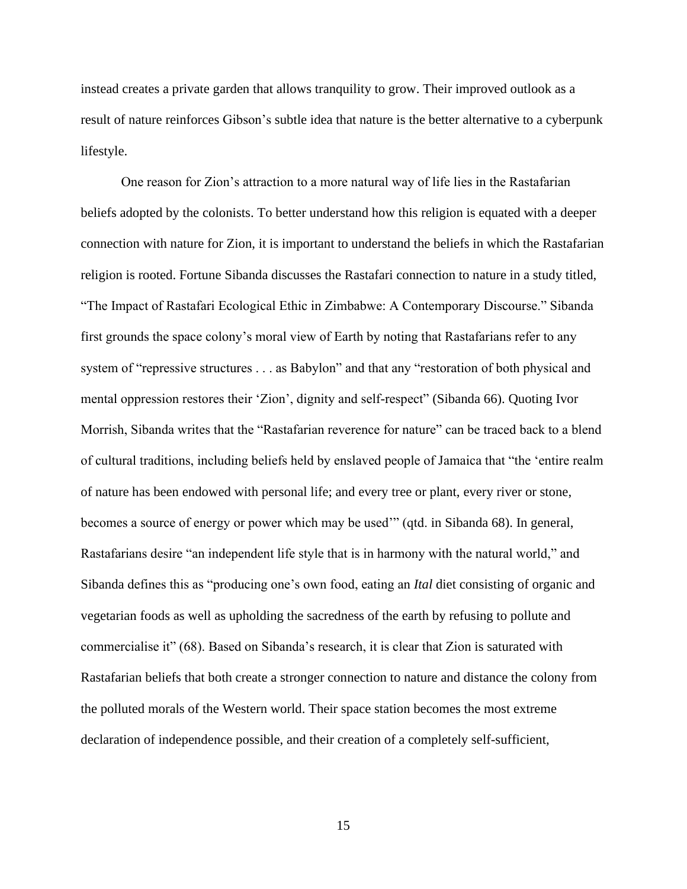instead creates a private garden that allows tranquility to grow. Their improved outlook as a result of nature reinforces Gibson's subtle idea that nature is the better alternative to a cyberpunk lifestyle.

One reason for Zion's attraction to a more natural way of life lies in the Rastafarian beliefs adopted by the colonists. To better understand how this religion is equated with a deeper connection with nature for Zion, it is important to understand the beliefs in which the Rastafarian religion is rooted. Fortune Sibanda discusses the Rastafari connection to nature in a study titled, "The Impact of Rastafari Ecological Ethic in Zimbabwe: A Contemporary Discourse." Sibanda first grounds the space colony's moral view of Earth by noting that Rastafarians refer to any system of "repressive structures . . . as Babylon" and that any "restoration of both physical and mental oppression restores their 'Zion', dignity and self-respect" (Sibanda 66). Quoting Ivor Morrish, Sibanda writes that the "Rastafarian reverence for nature" can be traced back to a blend of cultural traditions, including beliefs held by enslaved people of Jamaica that "the 'entire realm of nature has been endowed with personal life; and every tree or plant, every river or stone, becomes a source of energy or power which may be used'" (qtd. in Sibanda 68). In general, Rastafarians desire "an independent life style that is in harmony with the natural world," and Sibanda defines this as "producing one's own food, eating an *Ital* diet consisting of organic and vegetarian foods as well as upholding the sacredness of the earth by refusing to pollute and commercialise it" (68). Based on Sibanda's research, it is clear that Zion is saturated with Rastafarian beliefs that both create a stronger connection to nature and distance the colony from the polluted morals of the Western world. Their space station becomes the most extreme declaration of independence possible, and their creation of a completely self-sufficient,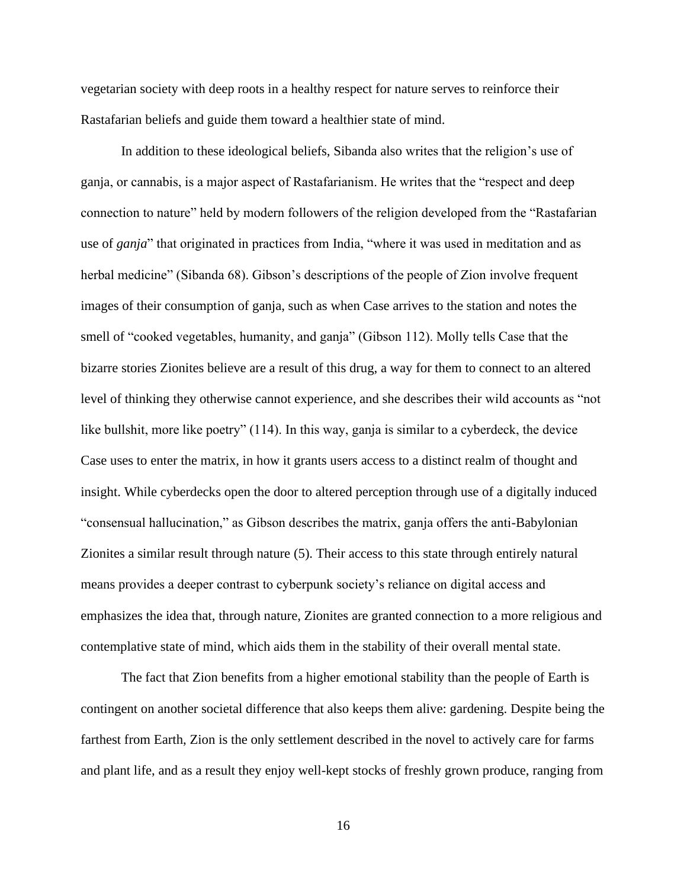vegetarian society with deep roots in a healthy respect for nature serves to reinforce their Rastafarian beliefs and guide them toward a healthier state of mind.

In addition to these ideological beliefs, Sibanda also writes that the religion's use of ganja, or cannabis, is a major aspect of Rastafarianism. He writes that the "respect and deep connection to nature" held by modern followers of the religion developed from the "Rastafarian use of *ganja*" that originated in practices from India, "where it was used in meditation and as herbal medicine" (Sibanda 68). Gibson's descriptions of the people of Zion involve frequent images of their consumption of ganja, such as when Case arrives to the station and notes the smell of "cooked vegetables, humanity, and ganja" (Gibson 112). Molly tells Case that the bizarre stories Zionites believe are a result of this drug, a way for them to connect to an altered level of thinking they otherwise cannot experience, and she describes their wild accounts as "not like bullshit, more like poetry" (114). In this way, ganja is similar to a cyberdeck, the device Case uses to enter the matrix, in how it grants users access to a distinct realm of thought and insight. While cyberdecks open the door to altered perception through use of a digitally induced "consensual hallucination," as Gibson describes the matrix, ganja offers the anti-Babylonian Zionites a similar result through nature (5). Their access to this state through entirely natural means provides a deeper contrast to cyberpunk society's reliance on digital access and emphasizes the idea that, through nature, Zionites are granted connection to a more religious and contemplative state of mind, which aids them in the stability of their overall mental state.

The fact that Zion benefits from a higher emotional stability than the people of Earth is contingent on another societal difference that also keeps them alive: gardening. Despite being the farthest from Earth, Zion is the only settlement described in the novel to actively care for farms and plant life, and as a result they enjoy well-kept stocks of freshly grown produce, ranging from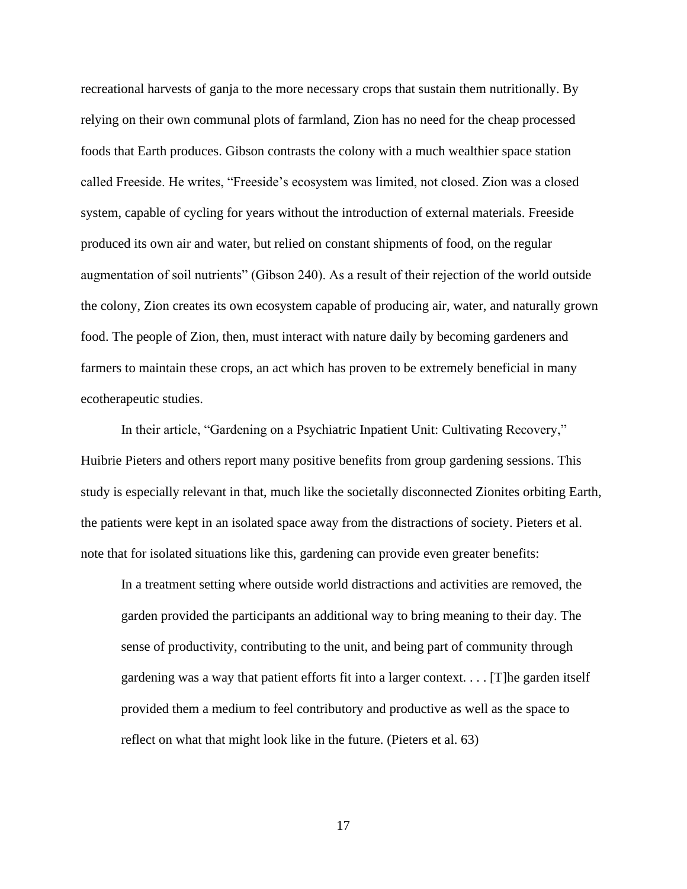recreational harvests of ganja to the more necessary crops that sustain them nutritionally. By relying on their own communal plots of farmland, Zion has no need for the cheap processed foods that Earth produces. Gibson contrasts the colony with a much wealthier space station called Freeside. He writes, "Freeside's ecosystem was limited, not closed. Zion was a closed system, capable of cycling for years without the introduction of external materials. Freeside produced its own air and water, but relied on constant shipments of food, on the regular augmentation of soil nutrients" (Gibson 240). As a result of their rejection of the world outside the colony, Zion creates its own ecosystem capable of producing air, water, and naturally grown food. The people of Zion, then, must interact with nature daily by becoming gardeners and farmers to maintain these crops, an act which has proven to be extremely beneficial in many ecotherapeutic studies.

In their article, "Gardening on a Psychiatric Inpatient Unit: Cultivating Recovery," Huibrie Pieters and others report many positive benefits from group gardening sessions. This study is especially relevant in that, much like the societally disconnected Zionites orbiting Earth, the patients were kept in an isolated space away from the distractions of society. Pieters et al. note that for isolated situations like this, gardening can provide even greater benefits:

In a treatment setting where outside world distractions and activities are removed, the garden provided the participants an additional way to bring meaning to their day. The sense of productivity, contributing to the unit, and being part of community through gardening was a way that patient efforts fit into a larger context. . . . [T]he garden itself provided them a medium to feel contributory and productive as well as the space to reflect on what that might look like in the future. (Pieters et al. 63)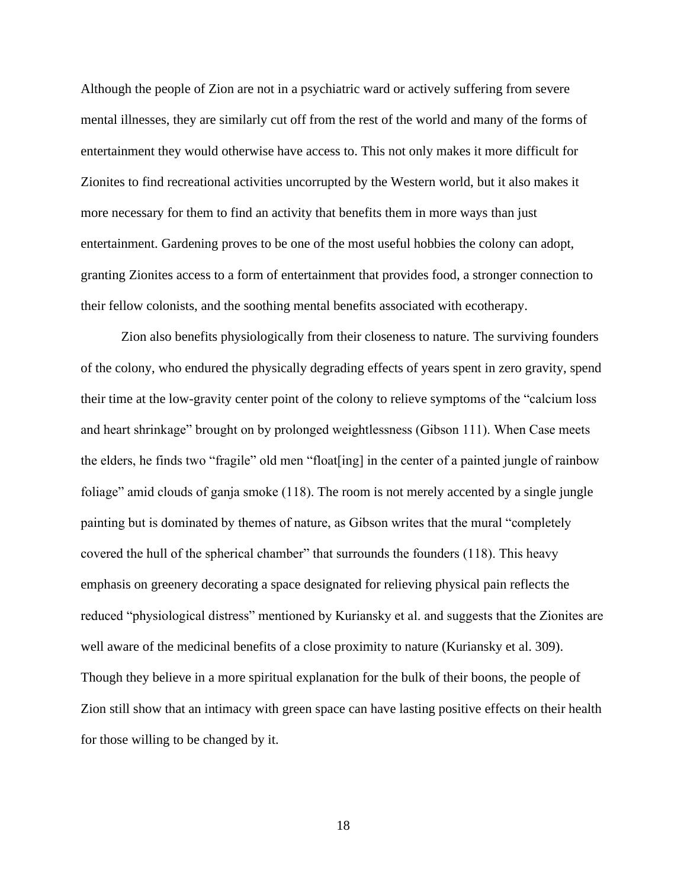Although the people of Zion are not in a psychiatric ward or actively suffering from severe mental illnesses, they are similarly cut off from the rest of the world and many of the forms of entertainment they would otherwise have access to. This not only makes it more difficult for Zionites to find recreational activities uncorrupted by the Western world, but it also makes it more necessary for them to find an activity that benefits them in more ways than just entertainment. Gardening proves to be one of the most useful hobbies the colony can adopt, granting Zionites access to a form of entertainment that provides food, a stronger connection to their fellow colonists, and the soothing mental benefits associated with ecotherapy.

Zion also benefits physiologically from their closeness to nature. The surviving founders of the colony, who endured the physically degrading effects of years spent in zero gravity, spend their time at the low-gravity center point of the colony to relieve symptoms of the "calcium loss and heart shrinkage" brought on by prolonged weightlessness (Gibson 111). When Case meets the elders, he finds two "fragile" old men "float[ing] in the center of a painted jungle of rainbow foliage" amid clouds of ganja smoke (118). The room is not merely accented by a single jungle painting but is dominated by themes of nature, as Gibson writes that the mural "completely covered the hull of the spherical chamber" that surrounds the founders (118). This heavy emphasis on greenery decorating a space designated for relieving physical pain reflects the reduced "physiological distress" mentioned by Kuriansky et al. and suggests that the Zionites are well aware of the medicinal benefits of a close proximity to nature (Kuriansky et al. 309). Though they believe in a more spiritual explanation for the bulk of their boons, the people of Zion still show that an intimacy with green space can have lasting positive effects on their health for those willing to be changed by it.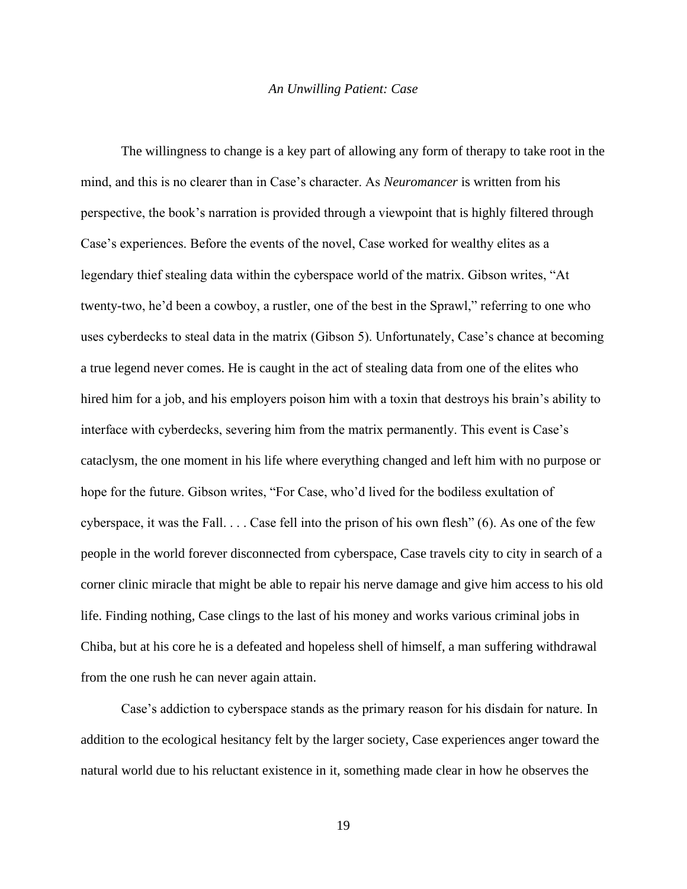#### *An Unwilling Patient: Case*

<span id="page-19-0"></span>The willingness to change is a key part of allowing any form of therapy to take root in the mind, and this is no clearer than in Case's character. As *Neuromancer* is written from his perspective, the book's narration is provided through a viewpoint that is highly filtered through Case's experiences. Before the events of the novel, Case worked for wealthy elites as a legendary thief stealing data within the cyberspace world of the matrix. Gibson writes, "At twenty-two, he'd been a cowboy, a rustler, one of the best in the Sprawl," referring to one who uses cyberdecks to steal data in the matrix (Gibson 5). Unfortunately, Case's chance at becoming a true legend never comes. He is caught in the act of stealing data from one of the elites who hired him for a job, and his employers poison him with a toxin that destroys his brain's ability to interface with cyberdecks, severing him from the matrix permanently. This event is Case's cataclysm, the one moment in his life where everything changed and left him with no purpose or hope for the future. Gibson writes, "For Case, who'd lived for the bodiless exultation of cyberspace, it was the Fall.  $\dots$  Case fell into the prison of his own flesh" (6). As one of the few people in the world forever disconnected from cyberspace, Case travels city to city in search of a corner clinic miracle that might be able to repair his nerve damage and give him access to his old life. Finding nothing, Case clings to the last of his money and works various criminal jobs in Chiba, but at his core he is a defeated and hopeless shell of himself, a man suffering withdrawal from the one rush he can never again attain.

Case's addiction to cyberspace stands as the primary reason for his disdain for nature. In addition to the ecological hesitancy felt by the larger society, Case experiences anger toward the natural world due to his reluctant existence in it, something made clear in how he observes the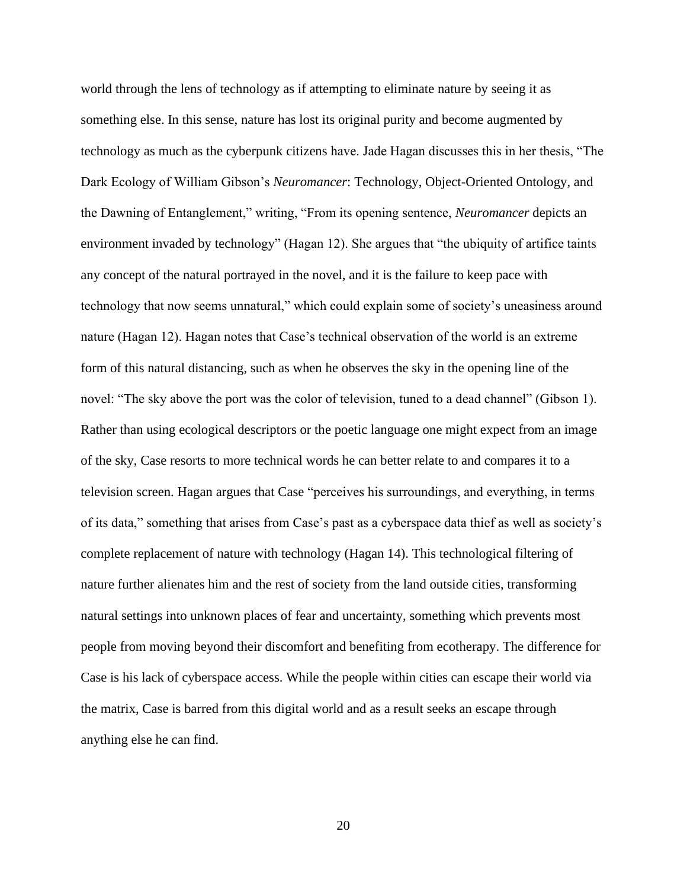world through the lens of technology as if attempting to eliminate nature by seeing it as something else. In this sense, nature has lost its original purity and become augmented by technology as much as the cyberpunk citizens have. Jade Hagan discusses this in her thesis, "The Dark Ecology of William Gibson's *Neuromancer*: Technology, Object-Oriented Ontology, and the Dawning of Entanglement," writing, "From its opening sentence, *Neuromancer* depicts an environment invaded by technology" (Hagan 12). She argues that "the ubiquity of artifice taints any concept of the natural portrayed in the novel, and it is the failure to keep pace with technology that now seems unnatural," which could explain some of society's uneasiness around nature (Hagan 12). Hagan notes that Case's technical observation of the world is an extreme form of this natural distancing, such as when he observes the sky in the opening line of the novel: "The sky above the port was the color of television, tuned to a dead channel" (Gibson 1). Rather than using ecological descriptors or the poetic language one might expect from an image of the sky, Case resorts to more technical words he can better relate to and compares it to a television screen. Hagan argues that Case "perceives his surroundings, and everything, in terms of its data," something that arises from Case's past as a cyberspace data thief as well as society's complete replacement of nature with technology (Hagan 14). This technological filtering of nature further alienates him and the rest of society from the land outside cities, transforming natural settings into unknown places of fear and uncertainty, something which prevents most people from moving beyond their discomfort and benefiting from ecotherapy. The difference for Case is his lack of cyberspace access. While the people within cities can escape their world via the matrix, Case is barred from this digital world and as a result seeks an escape through anything else he can find.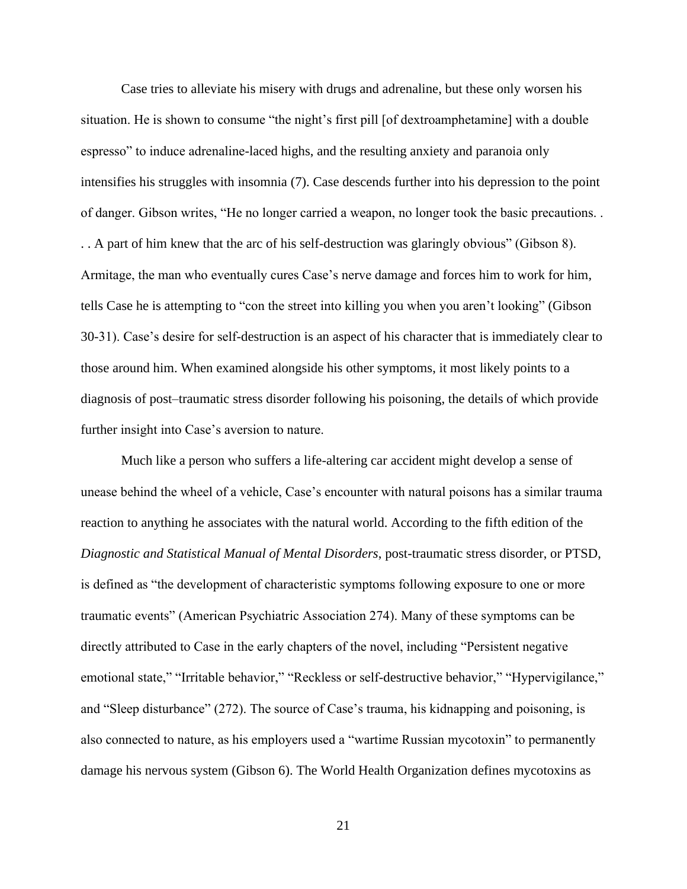Case tries to alleviate his misery with drugs and adrenaline, but these only worsen his situation. He is shown to consume "the night's first pill [of dextroamphetamine] with a double espresso" to induce adrenaline-laced highs, and the resulting anxiety and paranoia only intensifies his struggles with insomnia (7). Case descends further into his depression to the point of danger. Gibson writes, "He no longer carried a weapon, no longer took the basic precautions. . . . A part of him knew that the arc of his self-destruction was glaringly obvious" (Gibson 8). Armitage, the man who eventually cures Case's nerve damage and forces him to work for him, tells Case he is attempting to "con the street into killing you when you aren't looking" (Gibson 30-31). Case's desire for self-destruction is an aspect of his character that is immediately clear to those around him. When examined alongside his other symptoms, it most likely points to a diagnosis of post–traumatic stress disorder following his poisoning, the details of which provide further insight into Case's aversion to nature.

Much like a person who suffers a life-altering car accident might develop a sense of unease behind the wheel of a vehicle, Case's encounter with natural poisons has a similar trauma reaction to anything he associates with the natural world. According to the fifth edition of the *Diagnostic and Statistical Manual of Mental Disorders*, post-traumatic stress disorder, or PTSD, is defined as "the development of characteristic symptoms following exposure to one or more traumatic events" (American Psychiatric Association 274). Many of these symptoms can be directly attributed to Case in the early chapters of the novel, including "Persistent negative emotional state," "Irritable behavior," "Reckless or self-destructive behavior," "Hypervigilance," and "Sleep disturbance" (272). The source of Case's trauma, his kidnapping and poisoning, is also connected to nature, as his employers used a "wartime Russian mycotoxin" to permanently damage his nervous system (Gibson 6). The World Health Organization defines mycotoxins as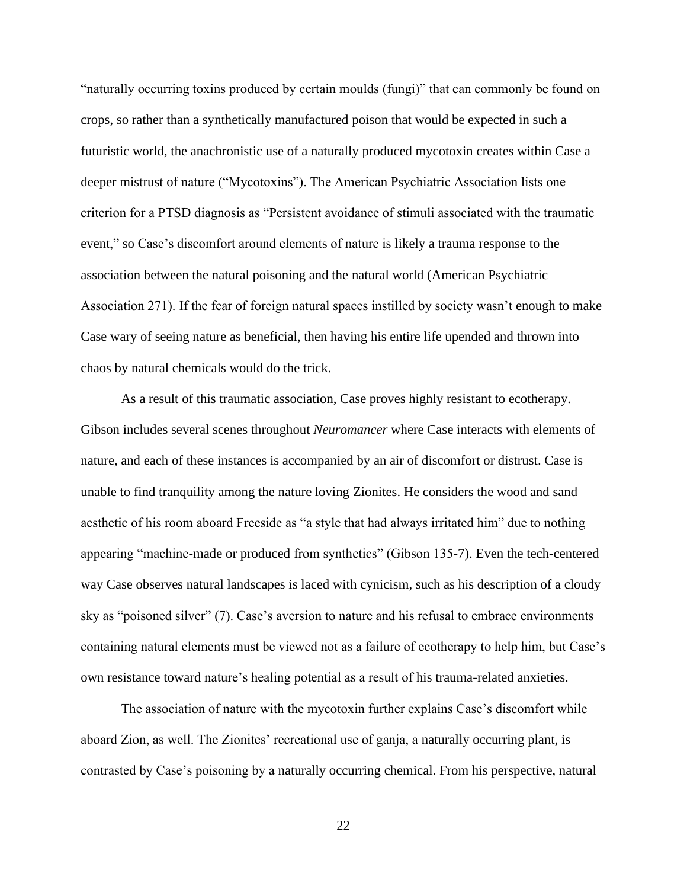"naturally occurring toxins produced by certain moulds (fungi)" that can commonly be found on crops, so rather than a synthetically manufactured poison that would be expected in such a futuristic world, the anachronistic use of a naturally produced mycotoxin creates within Case a deeper mistrust of nature ("Mycotoxins"). The American Psychiatric Association lists one criterion for a PTSD diagnosis as "Persistent avoidance of stimuli associated with the traumatic event," so Case's discomfort around elements of nature is likely a trauma response to the association between the natural poisoning and the natural world (American Psychiatric Association 271). If the fear of foreign natural spaces instilled by society wasn't enough to make Case wary of seeing nature as beneficial, then having his entire life upended and thrown into chaos by natural chemicals would do the trick.

As a result of this traumatic association, Case proves highly resistant to ecotherapy. Gibson includes several scenes throughout *Neuromancer* where Case interacts with elements of nature, and each of these instances is accompanied by an air of discomfort or distrust. Case is unable to find tranquility among the nature loving Zionites. He considers the wood and sand aesthetic of his room aboard Freeside as "a style that had always irritated him" due to nothing appearing "machine-made or produced from synthetics" (Gibson 135-7). Even the tech-centered way Case observes natural landscapes is laced with cynicism, such as his description of a cloudy sky as "poisoned silver" (7). Case's aversion to nature and his refusal to embrace environments containing natural elements must be viewed not as a failure of ecotherapy to help him, but Case's own resistance toward nature's healing potential as a result of his trauma-related anxieties.

The association of nature with the mycotoxin further explains Case's discomfort while aboard Zion, as well. The Zionites' recreational use of ganja, a naturally occurring plant, is contrasted by Case's poisoning by a naturally occurring chemical. From his perspective, natural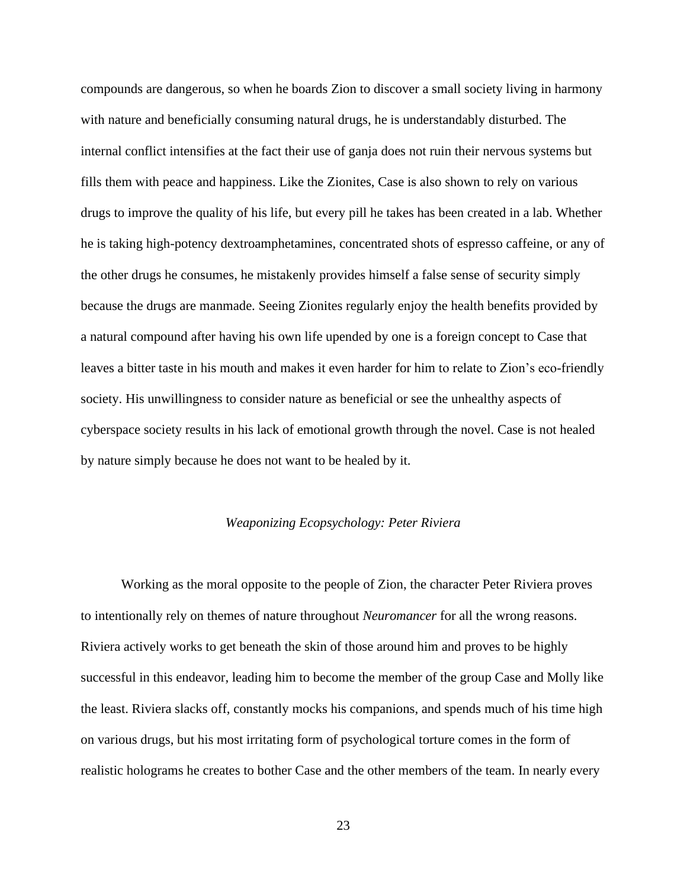compounds are dangerous, so when he boards Zion to discover a small society living in harmony with nature and beneficially consuming natural drugs, he is understandably disturbed. The internal conflict intensifies at the fact their use of ganja does not ruin their nervous systems but fills them with peace and happiness. Like the Zionites, Case is also shown to rely on various drugs to improve the quality of his life, but every pill he takes has been created in a lab. Whether he is taking high-potency dextroamphetamines, concentrated shots of espresso caffeine, or any of the other drugs he consumes, he mistakenly provides himself a false sense of security simply because the drugs are manmade. Seeing Zionites regularly enjoy the health benefits provided by a natural compound after having his own life upended by one is a foreign concept to Case that leaves a bitter taste in his mouth and makes it even harder for him to relate to Zion's eco-friendly society. His unwillingness to consider nature as beneficial or see the unhealthy aspects of cyberspace society results in his lack of emotional growth through the novel. Case is not healed by nature simply because he does not want to be healed by it.

#### *Weaponizing Ecopsychology: Peter Riviera*

<span id="page-23-0"></span>Working as the moral opposite to the people of Zion, the character Peter Riviera proves to intentionally rely on themes of nature throughout *Neuromancer* for all the wrong reasons. Riviera actively works to get beneath the skin of those around him and proves to be highly successful in this endeavor, leading him to become the member of the group Case and Molly like the least. Riviera slacks off, constantly mocks his companions, and spends much of his time high on various drugs, but his most irritating form of psychological torture comes in the form of realistic holograms he creates to bother Case and the other members of the team. In nearly every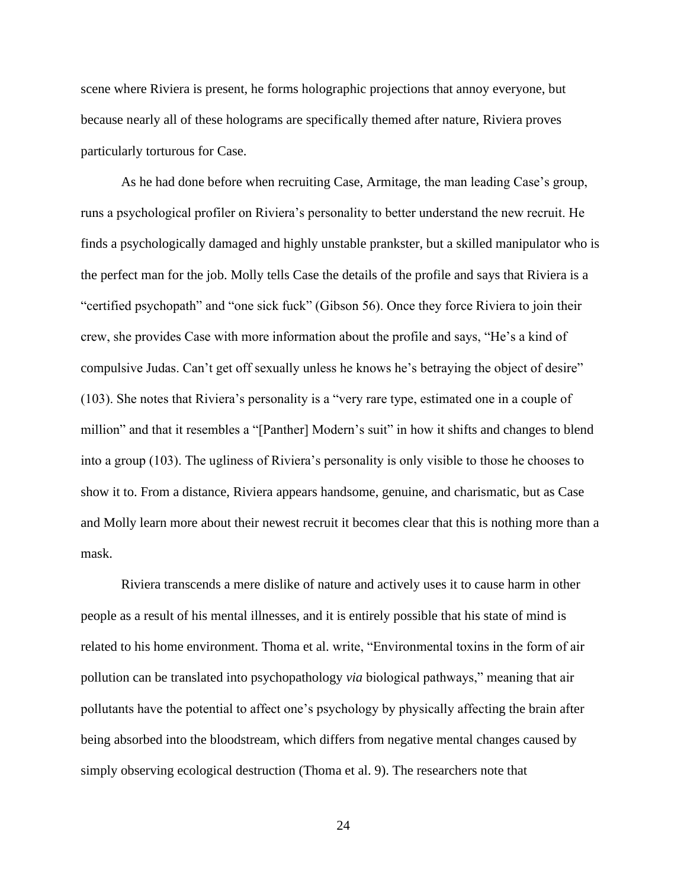scene where Riviera is present, he forms holographic projections that annoy everyone, but because nearly all of these holograms are specifically themed after nature, Riviera proves particularly torturous for Case.

As he had done before when recruiting Case, Armitage, the man leading Case's group, runs a psychological profiler on Riviera's personality to better understand the new recruit. He finds a psychologically damaged and highly unstable prankster, but a skilled manipulator who is the perfect man for the job. Molly tells Case the details of the profile and says that Riviera is a "certified psychopath" and "one sick fuck" (Gibson 56). Once they force Riviera to join their crew, she provides Case with more information about the profile and says, "He's a kind of compulsive Judas. Can't get off sexually unless he knows he's betraying the object of desire" (103). She notes that Riviera's personality is a "very rare type, estimated one in a couple of million" and that it resembles a "[Panther] Modern's suit" in how it shifts and changes to blend into a group (103). The ugliness of Riviera's personality is only visible to those he chooses to show it to. From a distance, Riviera appears handsome, genuine, and charismatic, but as Case and Molly learn more about their newest recruit it becomes clear that this is nothing more than a mask.

Riviera transcends a mere dislike of nature and actively uses it to cause harm in other people as a result of his mental illnesses, and it is entirely possible that his state of mind is related to his home environment. Thoma et al. write, "Environmental toxins in the form of air pollution can be translated into psychopathology *via* biological pathways," meaning that air pollutants have the potential to affect one's psychology by physically affecting the brain after being absorbed into the bloodstream, which differs from negative mental changes caused by simply observing ecological destruction (Thoma et al. 9). The researchers note that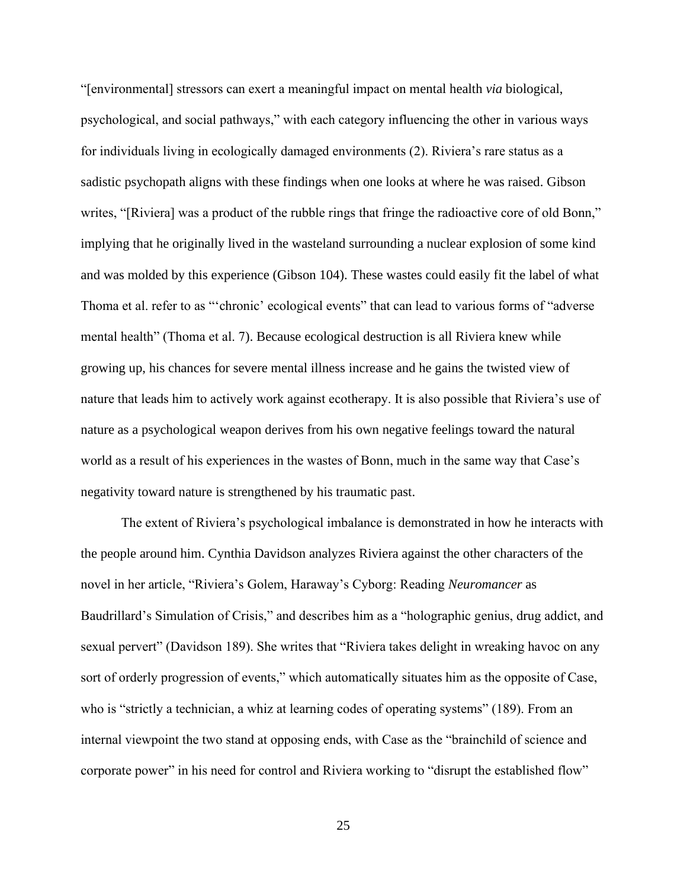"[environmental] stressors can exert a meaningful impact on mental health *via* biological, psychological, and social pathways," with each category influencing the other in various ways for individuals living in ecologically damaged environments (2). Riviera's rare status as a sadistic psychopath aligns with these findings when one looks at where he was raised. Gibson writes, "[Riviera] was a product of the rubble rings that fringe the radioactive core of old Bonn," implying that he originally lived in the wasteland surrounding a nuclear explosion of some kind and was molded by this experience (Gibson 104). These wastes could easily fit the label of what Thoma et al. refer to as "'chronic' ecological events" that can lead to various forms of "adverse mental health" (Thoma et al. 7). Because ecological destruction is all Riviera knew while growing up, his chances for severe mental illness increase and he gains the twisted view of nature that leads him to actively work against ecotherapy. It is also possible that Riviera's use of nature as a psychological weapon derives from his own negative feelings toward the natural world as a result of his experiences in the wastes of Bonn, much in the same way that Case's negativity toward nature is strengthened by his traumatic past.

The extent of Riviera's psychological imbalance is demonstrated in how he interacts with the people around him. Cynthia Davidson analyzes Riviera against the other characters of the novel in her article, "Riviera's Golem, Haraway's Cyborg: Reading *Neuromancer* as Baudrillard's Simulation of Crisis," and describes him as a "holographic genius, drug addict, and sexual pervert" (Davidson 189). She writes that "Riviera takes delight in wreaking havoc on any sort of orderly progression of events," which automatically situates him as the opposite of Case, who is "strictly a technician, a whiz at learning codes of operating systems" (189). From an internal viewpoint the two stand at opposing ends, with Case as the "brainchild of science and corporate power" in his need for control and Riviera working to "disrupt the established flow"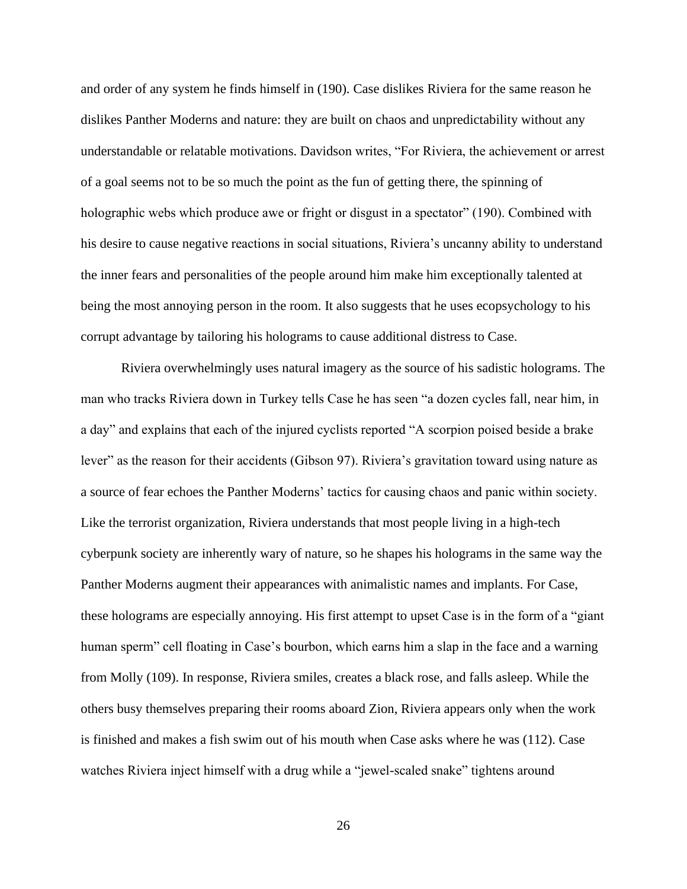and order of any system he finds himself in (190). Case dislikes Riviera for the same reason he dislikes Panther Moderns and nature: they are built on chaos and unpredictability without any understandable or relatable motivations. Davidson writes, "For Riviera, the achievement or arrest of a goal seems not to be so much the point as the fun of getting there, the spinning of holographic webs which produce awe or fright or disgust in a spectator" (190). Combined with his desire to cause negative reactions in social situations, Riviera's uncanny ability to understand the inner fears and personalities of the people around him make him exceptionally talented at being the most annoying person in the room. It also suggests that he uses ecopsychology to his corrupt advantage by tailoring his holograms to cause additional distress to Case.

Riviera overwhelmingly uses natural imagery as the source of his sadistic holograms. The man who tracks Riviera down in Turkey tells Case he has seen "a dozen cycles fall, near him, in a day" and explains that each of the injured cyclists reported "A scorpion poised beside a brake lever" as the reason for their accidents (Gibson 97). Riviera's gravitation toward using nature as a source of fear echoes the Panther Moderns' tactics for causing chaos and panic within society. Like the terrorist organization, Riviera understands that most people living in a high-tech cyberpunk society are inherently wary of nature, so he shapes his holograms in the same way the Panther Moderns augment their appearances with animalistic names and implants. For Case, these holograms are especially annoying. His first attempt to upset Case is in the form of a "giant human sperm" cell floating in Case's bourbon, which earns him a slap in the face and a warning from Molly (109). In response, Riviera smiles, creates a black rose, and falls asleep. While the others busy themselves preparing their rooms aboard Zion, Riviera appears only when the work is finished and makes a fish swim out of his mouth when Case asks where he was (112). Case watches Riviera inject himself with a drug while a "jewel-scaled snake" tightens around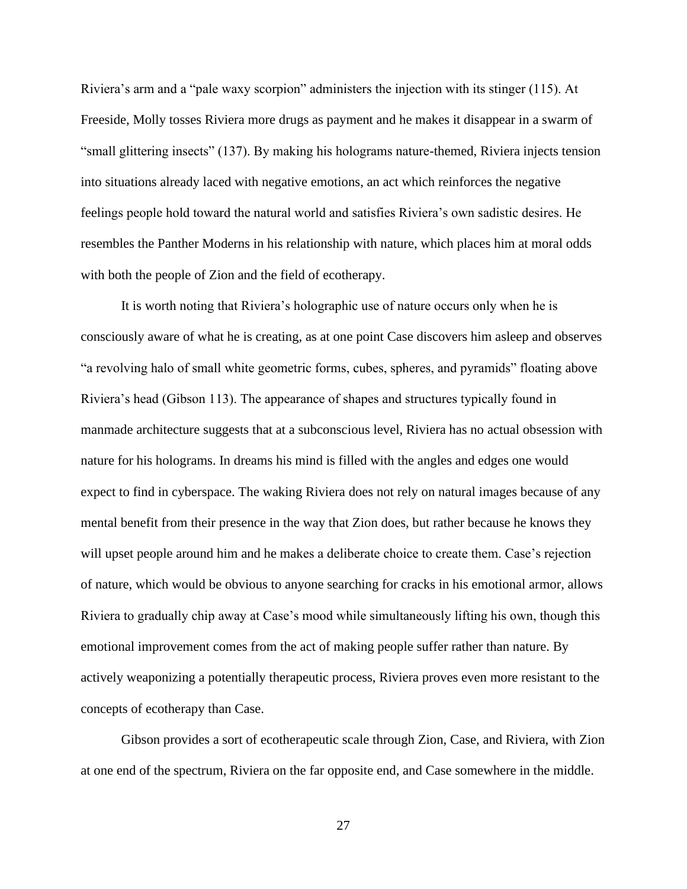Riviera's arm and a "pale waxy scorpion" administers the injection with its stinger (115). At Freeside, Molly tosses Riviera more drugs as payment and he makes it disappear in a swarm of "small glittering insects" (137). By making his holograms nature-themed, Riviera injects tension into situations already laced with negative emotions, an act which reinforces the negative feelings people hold toward the natural world and satisfies Riviera's own sadistic desires. He resembles the Panther Moderns in his relationship with nature, which places him at moral odds with both the people of Zion and the field of ecotherapy.

It is worth noting that Riviera's holographic use of nature occurs only when he is consciously aware of what he is creating, as at one point Case discovers him asleep and observes "a revolving halo of small white geometric forms, cubes, spheres, and pyramids" floating above Riviera's head (Gibson 113). The appearance of shapes and structures typically found in manmade architecture suggests that at a subconscious level, Riviera has no actual obsession with nature for his holograms. In dreams his mind is filled with the angles and edges one would expect to find in cyberspace. The waking Riviera does not rely on natural images because of any mental benefit from their presence in the way that Zion does, but rather because he knows they will upset people around him and he makes a deliberate choice to create them. Case's rejection of nature, which would be obvious to anyone searching for cracks in his emotional armor, allows Riviera to gradually chip away at Case's mood while simultaneously lifting his own, though this emotional improvement comes from the act of making people suffer rather than nature. By actively weaponizing a potentially therapeutic process, Riviera proves even more resistant to the concepts of ecotherapy than Case.

Gibson provides a sort of ecotherapeutic scale through Zion, Case, and Riviera, with Zion at one end of the spectrum, Riviera on the far opposite end, and Case somewhere in the middle.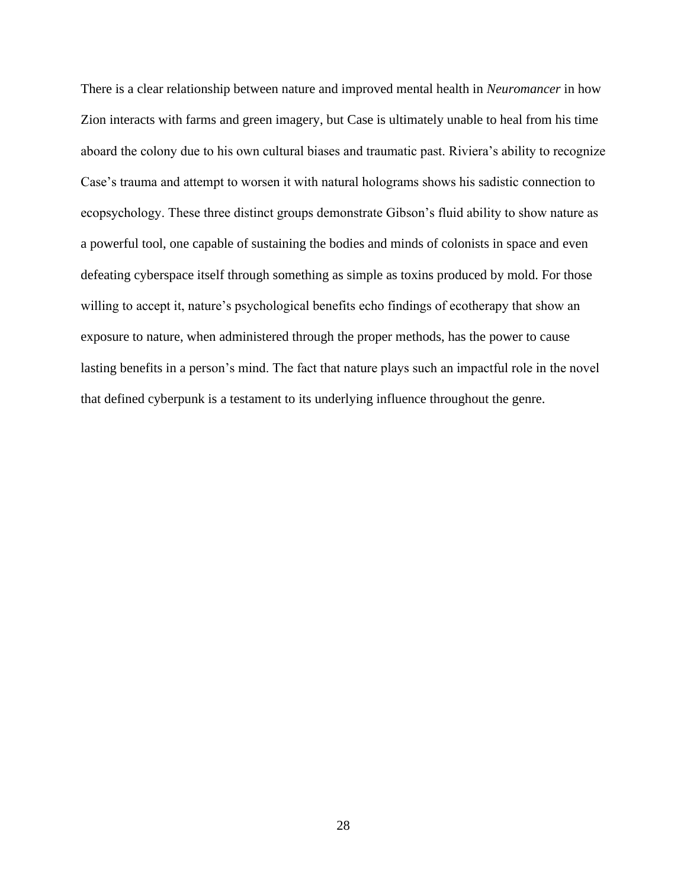There is a clear relationship between nature and improved mental health in *Neuromancer* in how Zion interacts with farms and green imagery, but Case is ultimately unable to heal from his time aboard the colony due to his own cultural biases and traumatic past. Riviera's ability to recognize Case's trauma and attempt to worsen it with natural holograms shows his sadistic connection to ecopsychology. These three distinct groups demonstrate Gibson's fluid ability to show nature as a powerful tool, one capable of sustaining the bodies and minds of colonists in space and even defeating cyberspace itself through something as simple as toxins produced by mold. For those willing to accept it, nature's psychological benefits echo findings of ecotherapy that show an exposure to nature, when administered through the proper methods, has the power to cause lasting benefits in a person's mind. The fact that nature plays such an impactful role in the novel that defined cyberpunk is a testament to its underlying influence throughout the genre.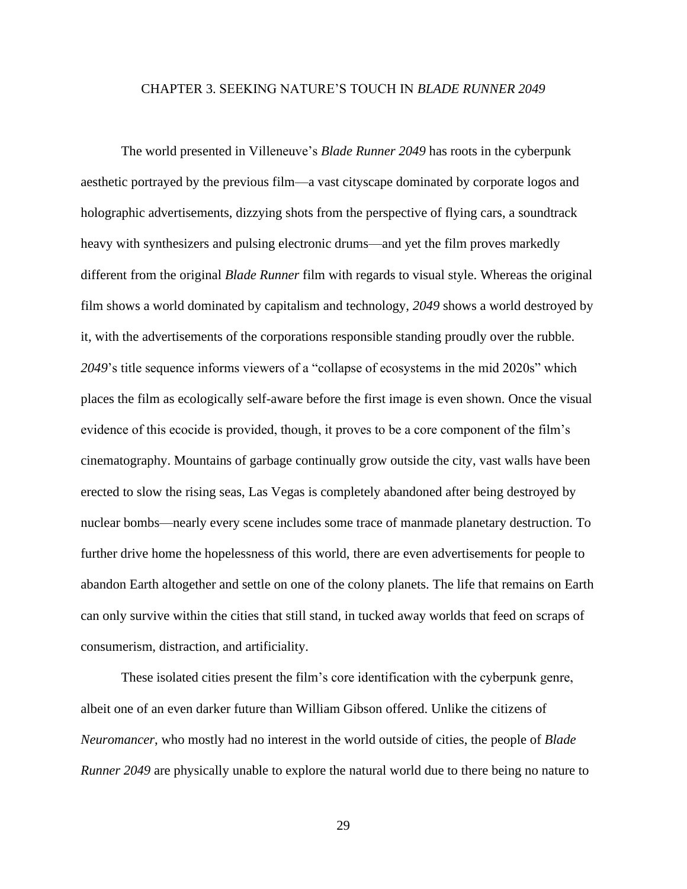#### <span id="page-29-0"></span>CHAPTER 3. SEEKING NATURE'S TOUCH IN *BLADE RUNNER 2049*

The world presented in Villeneuve's *Blade Runner 2049* has roots in the cyberpunk aesthetic portrayed by the previous film—a vast cityscape dominated by corporate logos and holographic advertisements, dizzying shots from the perspective of flying cars, a soundtrack heavy with synthesizers and pulsing electronic drums—and yet the film proves markedly different from the original *Blade Runner* film with regards to visual style. Whereas the original film shows a world dominated by capitalism and technology, *2049* shows a world destroyed by it, with the advertisements of the corporations responsible standing proudly over the rubble. *2049*'s title sequence informs viewers of a "collapse of ecosystems in the mid 2020s" which places the film as ecologically self-aware before the first image is even shown. Once the visual evidence of this ecocide is provided, though, it proves to be a core component of the film's cinematography. Mountains of garbage continually grow outside the city, vast walls have been erected to slow the rising seas, Las Vegas is completely abandoned after being destroyed by nuclear bombs—nearly every scene includes some trace of manmade planetary destruction. To further drive home the hopelessness of this world, there are even advertisements for people to abandon Earth altogether and settle on one of the colony planets. The life that remains on Earth can only survive within the cities that still stand, in tucked away worlds that feed on scraps of consumerism, distraction, and artificiality.

These isolated cities present the film's core identification with the cyberpunk genre, albeit one of an even darker future than William Gibson offered. Unlike the citizens of *Neuromancer*, who mostly had no interest in the world outside of cities, the people of *Blade Runner 2049* are physically unable to explore the natural world due to there being no nature to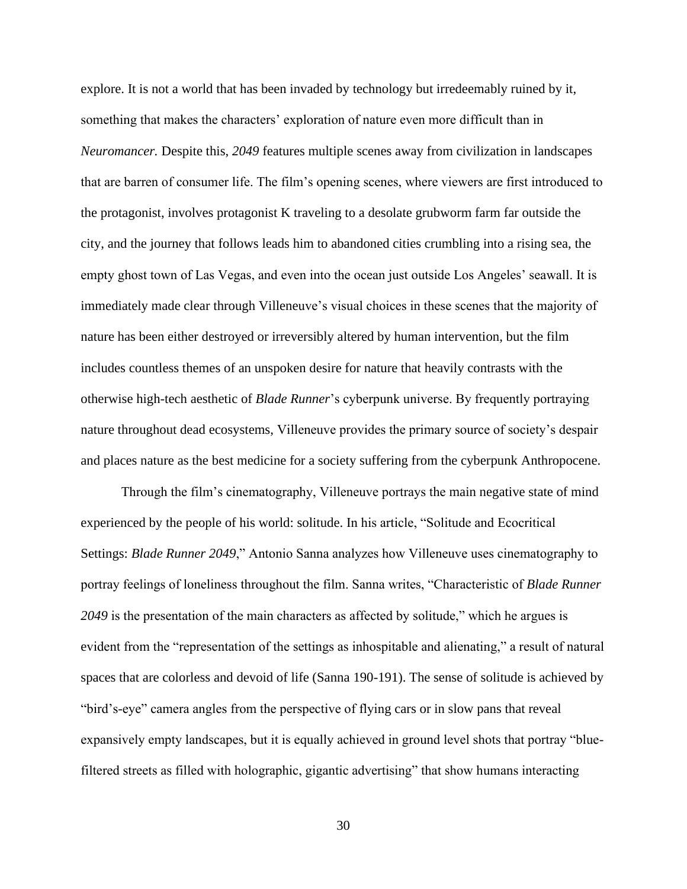explore. It is not a world that has been invaded by technology but irredeemably ruined by it, something that makes the characters' exploration of nature even more difficult than in *Neuromancer.* Despite this, *2049* features multiple scenes away from civilization in landscapes that are barren of consumer life. The film's opening scenes, where viewers are first introduced to the protagonist, involves protagonist K traveling to a desolate grubworm farm far outside the city, and the journey that follows leads him to abandoned cities crumbling into a rising sea, the empty ghost town of Las Vegas, and even into the ocean just outside Los Angeles' seawall. It is immediately made clear through Villeneuve's visual choices in these scenes that the majority of nature has been either destroyed or irreversibly altered by human intervention, but the film includes countless themes of an unspoken desire for nature that heavily contrasts with the otherwise high-tech aesthetic of *Blade Runner*'s cyberpunk universe. By frequently portraying nature throughout dead ecosystems, Villeneuve provides the primary source of society's despair and places nature as the best medicine for a society suffering from the cyberpunk Anthropocene.

Through the film's cinematography, Villeneuve portrays the main negative state of mind experienced by the people of his world: solitude. In his article, "Solitude and Ecocritical Settings: *Blade Runner 2049*," Antonio Sanna analyzes how Villeneuve uses cinematography to portray feelings of loneliness throughout the film. Sanna writes, "Characteristic of *Blade Runner 2049* is the presentation of the main characters as affected by solitude," which he argues is evident from the "representation of the settings as inhospitable and alienating," a result of natural spaces that are colorless and devoid of life (Sanna 190-191). The sense of solitude is achieved by "bird's-eye" camera angles from the perspective of flying cars or in slow pans that reveal expansively empty landscapes, but it is equally achieved in ground level shots that portray "bluefiltered streets as filled with holographic, gigantic advertising" that show humans interacting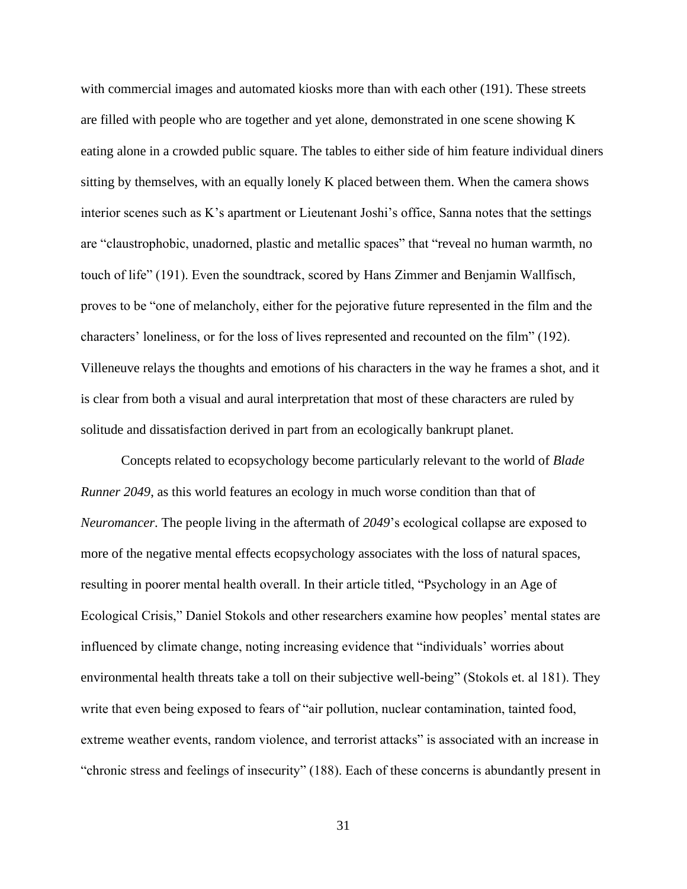with commercial images and automated kiosks more than with each other (191). These streets are filled with people who are together and yet alone, demonstrated in one scene showing K eating alone in a crowded public square. The tables to either side of him feature individual diners sitting by themselves, with an equally lonely K placed between them. When the camera shows interior scenes such as K's apartment or Lieutenant Joshi's office, Sanna notes that the settings are "claustrophobic, unadorned, plastic and metallic spaces" that "reveal no human warmth, no touch of life" (191). Even the soundtrack, scored by Hans Zimmer and Benjamin Wallfisch*,*  proves to be "one of melancholy, either for the pejorative future represented in the film and the characters' loneliness, or for the loss of lives represented and recounted on the film" (192). Villeneuve relays the thoughts and emotions of his characters in the way he frames a shot, and it is clear from both a visual and aural interpretation that most of these characters are ruled by solitude and dissatisfaction derived in part from an ecologically bankrupt planet.

Concepts related to ecopsychology become particularly relevant to the world of *Blade Runner 2049*, as this world features an ecology in much worse condition than that of *Neuromancer*. The people living in the aftermath of *2049*'s ecological collapse are exposed to more of the negative mental effects ecopsychology associates with the loss of natural spaces, resulting in poorer mental health overall. In their article titled, "Psychology in an Age of Ecological Crisis," Daniel Stokols and other researchers examine how peoples' mental states are influenced by climate change, noting increasing evidence that "individuals' worries about environmental health threats take a toll on their subjective well-being" (Stokols et. al 181). They write that even being exposed to fears of "air pollution, nuclear contamination, tainted food, extreme weather events, random violence, and terrorist attacks" is associated with an increase in "chronic stress and feelings of insecurity" (188). Each of these concerns is abundantly present in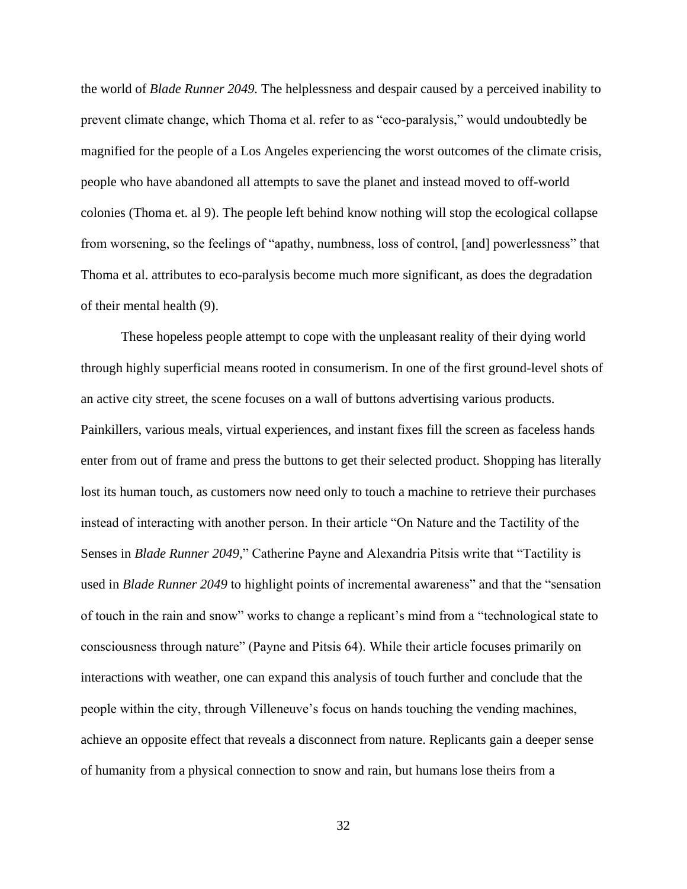the world of *Blade Runner 2049.* The helplessness and despair caused by a perceived inability to prevent climate change, which Thoma et al. refer to as "eco-paralysis," would undoubtedly be magnified for the people of a Los Angeles experiencing the worst outcomes of the climate crisis, people who have abandoned all attempts to save the planet and instead moved to off-world colonies (Thoma et. al 9). The people left behind know nothing will stop the ecological collapse from worsening, so the feelings of "apathy, numbness, loss of control, [and] powerlessness" that Thoma et al. attributes to eco-paralysis become much more significant, as does the degradation of their mental health (9).

These hopeless people attempt to cope with the unpleasant reality of their dying world through highly superficial means rooted in consumerism. In one of the first ground-level shots of an active city street, the scene focuses on a wall of buttons advertising various products. Painkillers, various meals, virtual experiences, and instant fixes fill the screen as faceless hands enter from out of frame and press the buttons to get their selected product. Shopping has literally lost its human touch, as customers now need only to touch a machine to retrieve their purchases instead of interacting with another person. In their article "On Nature and the Tactility of the Senses in *Blade Runner 2049,*" Catherine Payne and Alexandria Pitsis write that "Tactility is used in *Blade Runner 2049* to highlight points of incremental awareness" and that the "sensation of touch in the rain and snow" works to change a replicant's mind from a "technological state to consciousness through nature" (Payne and Pitsis 64). While their article focuses primarily on interactions with weather, one can expand this analysis of touch further and conclude that the people within the city, through Villeneuve's focus on hands touching the vending machines, achieve an opposite effect that reveals a disconnect from nature. Replicants gain a deeper sense of humanity from a physical connection to snow and rain, but humans lose theirs from a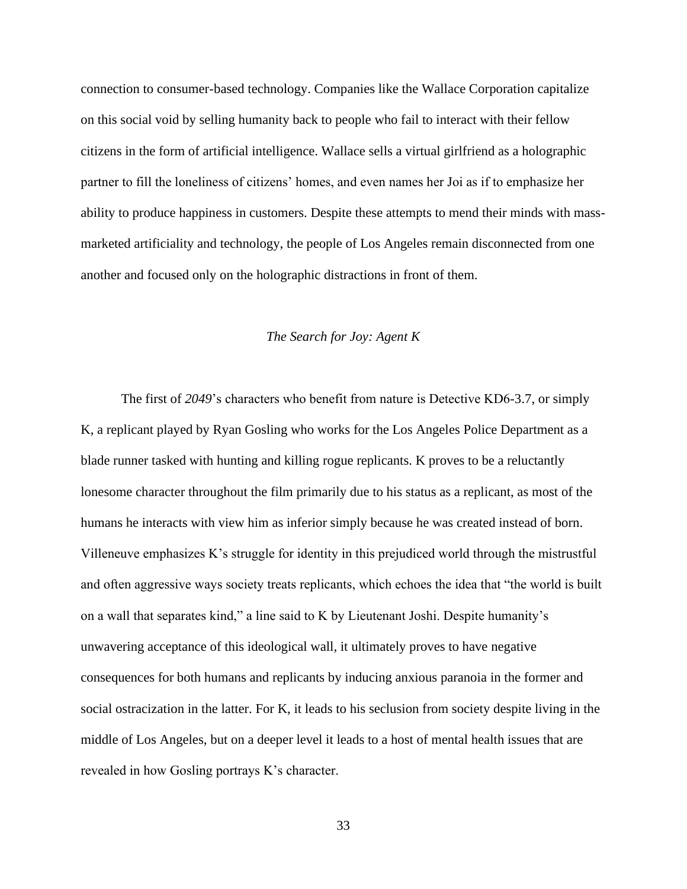connection to consumer-based technology. Companies like the Wallace Corporation capitalize on this social void by selling humanity back to people who fail to interact with their fellow citizens in the form of artificial intelligence. Wallace sells a virtual girlfriend as a holographic partner to fill the loneliness of citizens' homes, and even names her Joi as if to emphasize her ability to produce happiness in customers. Despite these attempts to mend their minds with massmarketed artificiality and technology, the people of Los Angeles remain disconnected from one another and focused only on the holographic distractions in front of them.

#### *The Search for Joy: Agent K*

<span id="page-33-0"></span>The first of *2049*'s characters who benefit from nature is Detective KD6-3.7, or simply K, a replicant played by Ryan Gosling who works for the Los Angeles Police Department as a blade runner tasked with hunting and killing rogue replicants. K proves to be a reluctantly lonesome character throughout the film primarily due to his status as a replicant, as most of the humans he interacts with view him as inferior simply because he was created instead of born. Villeneuve emphasizes K's struggle for identity in this prejudiced world through the mistrustful and often aggressive ways society treats replicants, which echoes the idea that "the world is built on a wall that separates kind," a line said to K by Lieutenant Joshi. Despite humanity's unwavering acceptance of this ideological wall, it ultimately proves to have negative consequences for both humans and replicants by inducing anxious paranoia in the former and social ostracization in the latter. For K, it leads to his seclusion from society despite living in the middle of Los Angeles, but on a deeper level it leads to a host of mental health issues that are revealed in how Gosling portrays K's character.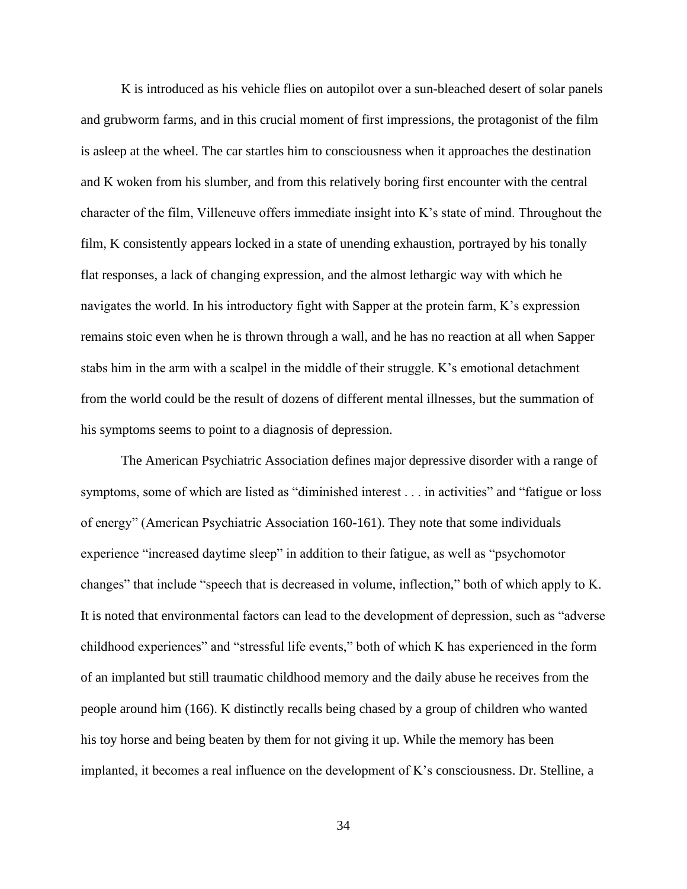K is introduced as his vehicle flies on autopilot over a sun-bleached desert of solar panels and grubworm farms, and in this crucial moment of first impressions, the protagonist of the film is asleep at the wheel. The car startles him to consciousness when it approaches the destination and K woken from his slumber, and from this relatively boring first encounter with the central character of the film, Villeneuve offers immediate insight into K's state of mind. Throughout the film, K consistently appears locked in a state of unending exhaustion, portrayed by his tonally flat responses, a lack of changing expression, and the almost lethargic way with which he navigates the world. In his introductory fight with Sapper at the protein farm, K's expression remains stoic even when he is thrown through a wall, and he has no reaction at all when Sapper stabs him in the arm with a scalpel in the middle of their struggle. K's emotional detachment from the world could be the result of dozens of different mental illnesses, but the summation of his symptoms seems to point to a diagnosis of depression.

The American Psychiatric Association defines major depressive disorder with a range of symptoms, some of which are listed as "diminished interest . . . in activities" and "fatigue or loss of energy" (American Psychiatric Association 160-161). They note that some individuals experience "increased daytime sleep" in addition to their fatigue, as well as "psychomotor changes" that include "speech that is decreased in volume, inflection," both of which apply to K. It is noted that environmental factors can lead to the development of depression, such as "adverse childhood experiences" and "stressful life events," both of which K has experienced in the form of an implanted but still traumatic childhood memory and the daily abuse he receives from the people around him (166). K distinctly recalls being chased by a group of children who wanted his toy horse and being beaten by them for not giving it up. While the memory has been implanted, it becomes a real influence on the development of K's consciousness. Dr. Stelline, a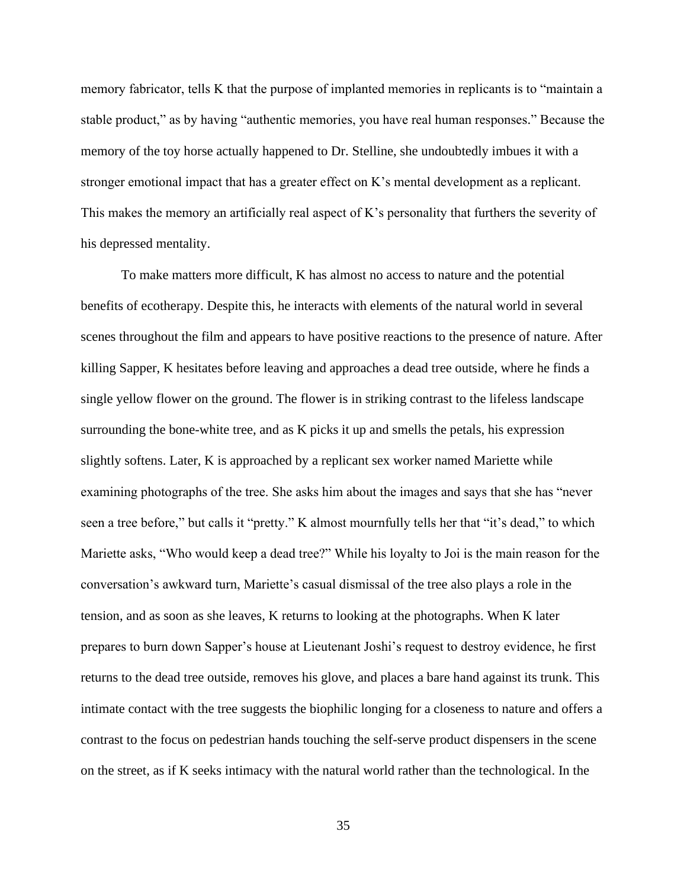memory fabricator, tells K that the purpose of implanted memories in replicants is to "maintain a stable product," as by having "authentic memories, you have real human responses." Because the memory of the toy horse actually happened to Dr. Stelline, she undoubtedly imbues it with a stronger emotional impact that has a greater effect on K's mental development as a replicant. This makes the memory an artificially real aspect of K's personality that furthers the severity of his depressed mentality.

To make matters more difficult, K has almost no access to nature and the potential benefits of ecotherapy. Despite this, he interacts with elements of the natural world in several scenes throughout the film and appears to have positive reactions to the presence of nature. After killing Sapper, K hesitates before leaving and approaches a dead tree outside, where he finds a single yellow flower on the ground. The flower is in striking contrast to the lifeless landscape surrounding the bone-white tree, and as K picks it up and smells the petals, his expression slightly softens. Later, K is approached by a replicant sex worker named Mariette while examining photographs of the tree. She asks him about the images and says that she has "never seen a tree before," but calls it "pretty." K almost mournfully tells her that "it's dead," to which Mariette asks, "Who would keep a dead tree?" While his loyalty to Joi is the main reason for the conversation's awkward turn, Mariette's casual dismissal of the tree also plays a role in the tension, and as soon as she leaves, K returns to looking at the photographs. When K later prepares to burn down Sapper's house at Lieutenant Joshi's request to destroy evidence, he first returns to the dead tree outside, removes his glove, and places a bare hand against its trunk. This intimate contact with the tree suggests the biophilic longing for a closeness to nature and offers a contrast to the focus on pedestrian hands touching the self-serve product dispensers in the scene on the street, as if K seeks intimacy with the natural world rather than the technological. In the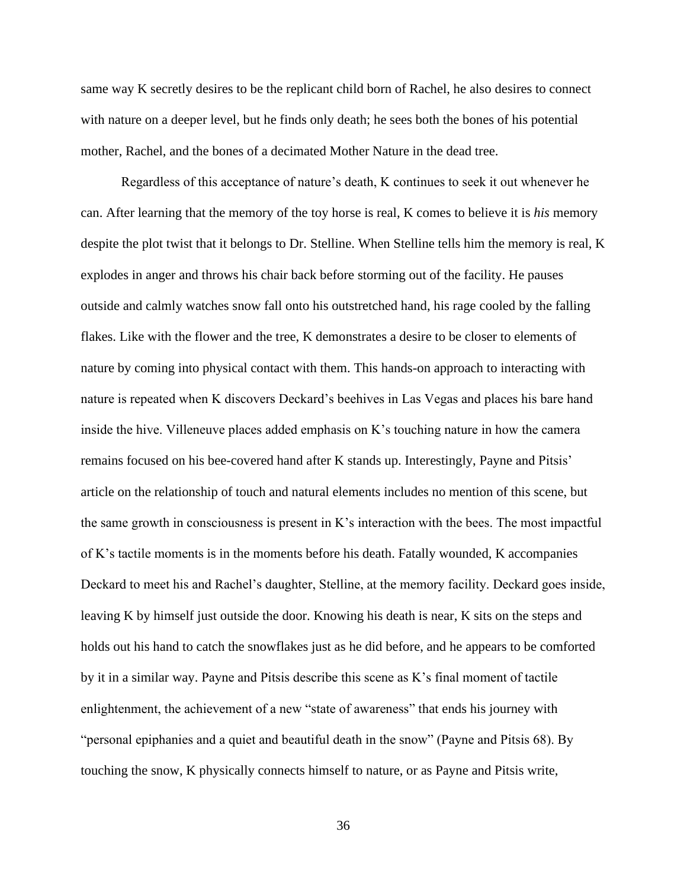same way K secretly desires to be the replicant child born of Rachel, he also desires to connect with nature on a deeper level, but he finds only death; he sees both the bones of his potential mother, Rachel, and the bones of a decimated Mother Nature in the dead tree.

Regardless of this acceptance of nature's death, K continues to seek it out whenever he can. After learning that the memory of the toy horse is real, K comes to believe it is *his* memory despite the plot twist that it belongs to Dr. Stelline. When Stelline tells him the memory is real, K explodes in anger and throws his chair back before storming out of the facility. He pauses outside and calmly watches snow fall onto his outstretched hand, his rage cooled by the falling flakes. Like with the flower and the tree, K demonstrates a desire to be closer to elements of nature by coming into physical contact with them. This hands-on approach to interacting with nature is repeated when K discovers Deckard's beehives in Las Vegas and places his bare hand inside the hive. Villeneuve places added emphasis on K's touching nature in how the camera remains focused on his bee-covered hand after K stands up. Interestingly, Payne and Pitsis' article on the relationship of touch and natural elements includes no mention of this scene, but the same growth in consciousness is present in K's interaction with the bees. The most impactful of K's tactile moments is in the moments before his death. Fatally wounded, K accompanies Deckard to meet his and Rachel's daughter, Stelline, at the memory facility. Deckard goes inside, leaving K by himself just outside the door. Knowing his death is near, K sits on the steps and holds out his hand to catch the snowflakes just as he did before, and he appears to be comforted by it in a similar way. Payne and Pitsis describe this scene as K's final moment of tactile enlightenment, the achievement of a new "state of awareness" that ends his journey with "personal epiphanies and a quiet and beautiful death in the snow" (Payne and Pitsis 68). By touching the snow, K physically connects himself to nature, or as Payne and Pitsis write,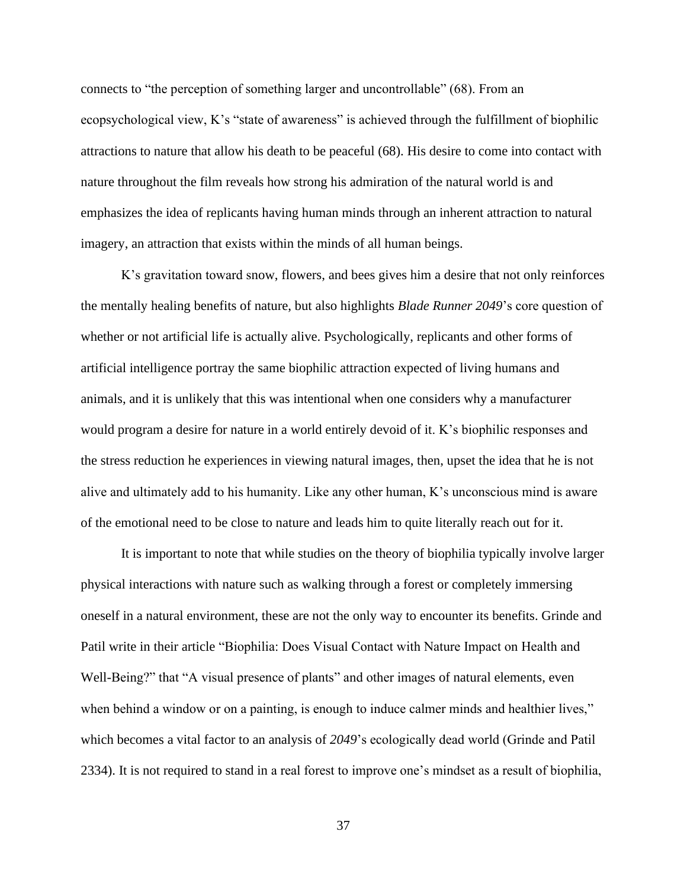connects to "the perception of something larger and uncontrollable" (68). From an ecopsychological view, K's "state of awareness" is achieved through the fulfillment of biophilic attractions to nature that allow his death to be peaceful (68). His desire to come into contact with nature throughout the film reveals how strong his admiration of the natural world is and emphasizes the idea of replicants having human minds through an inherent attraction to natural imagery, an attraction that exists within the minds of all human beings.

K's gravitation toward snow, flowers, and bees gives him a desire that not only reinforces the mentally healing benefits of nature, but also highlights *Blade Runner 2049*'s core question of whether or not artificial life is actually alive. Psychologically, replicants and other forms of artificial intelligence portray the same biophilic attraction expected of living humans and animals, and it is unlikely that this was intentional when one considers why a manufacturer would program a desire for nature in a world entirely devoid of it. K's biophilic responses and the stress reduction he experiences in viewing natural images, then, upset the idea that he is not alive and ultimately add to his humanity. Like any other human, K's unconscious mind is aware of the emotional need to be close to nature and leads him to quite literally reach out for it.

It is important to note that while studies on the theory of biophilia typically involve larger physical interactions with nature such as walking through a forest or completely immersing oneself in a natural environment, these are not the only way to encounter its benefits. Grinde and Patil write in their article "Biophilia: Does Visual Contact with Nature Impact on Health and Well-Being?" that "A visual presence of plants" and other images of natural elements, even when behind a window or on a painting, is enough to induce calmer minds and healthier lives," which becomes a vital factor to an analysis of *2049*'s ecologically dead world (Grinde and Patil 2334). It is not required to stand in a real forest to improve one's mindset as a result of biophilia,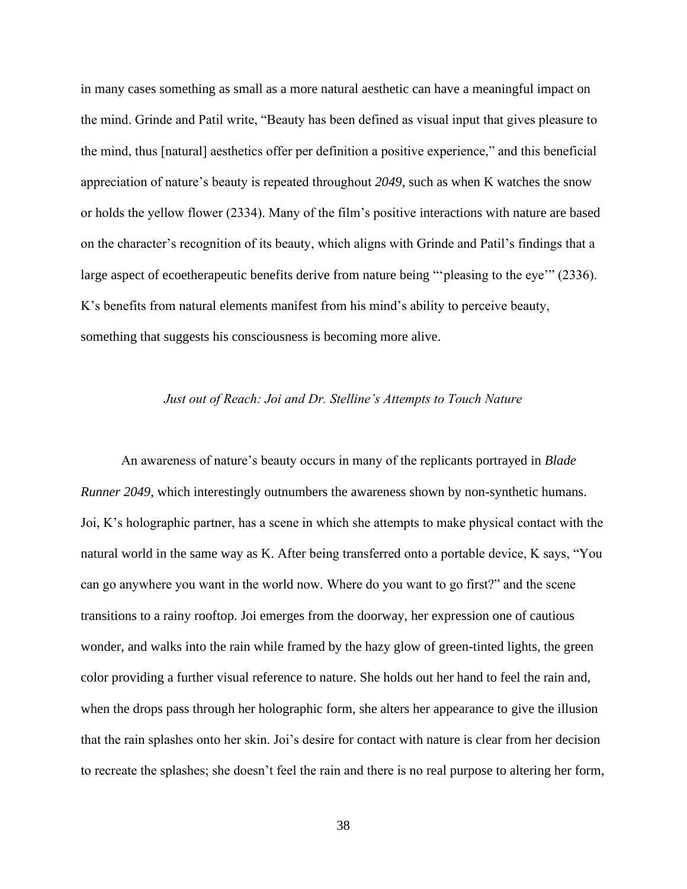in many cases something as small as a more natural aesthetic can have a meaningful impact on the mind. Grinde and Patil write, "Beauty has been defined as visual input that gives pleasure to the mind, thus [natural] aesthetics offer per definition a positive experience," and this beneficial appreciation of nature's beauty is repeated throughout *2049*, such as when K watches the snow or holds the yellow flower (2334). Many of the film's positive interactions with nature are based on the character's recognition of its beauty, which aligns with Grinde and Patil's findings that a large aspect of ecoetherapeutic benefits derive from nature being "'pleasing to the eye'" (2336). K's benefits from natural elements manifest from his mind's ability to perceive beauty, something that suggests his consciousness is becoming more alive.

#### *Just out of Reach: Joi and Dr. Stelline's Attempts to Touch Nature*

<span id="page-38-0"></span>An awareness of nature's beauty occurs in many of the replicants portrayed in *Blade Runner 2049*, which interestingly outnumbers the awareness shown by non-synthetic humans. Joi, K's holographic partner, has a scene in which she attempts to make physical contact with the natural world in the same way as K. After being transferred onto a portable device, K says, "You can go anywhere you want in the world now. Where do you want to go first?" and the scene transitions to a rainy rooftop. Joi emerges from the doorway, her expression one of cautious wonder, and walks into the rain while framed by the hazy glow of green-tinted lights, the green color providing a further visual reference to nature. She holds out her hand to feel the rain and, when the drops pass through her holographic form, she alters her appearance to give the illusion that the rain splashes onto her skin. Joi's desire for contact with nature is clear from her decision to recreate the splashes; she doesn't feel the rain and there is no real purpose to altering her form,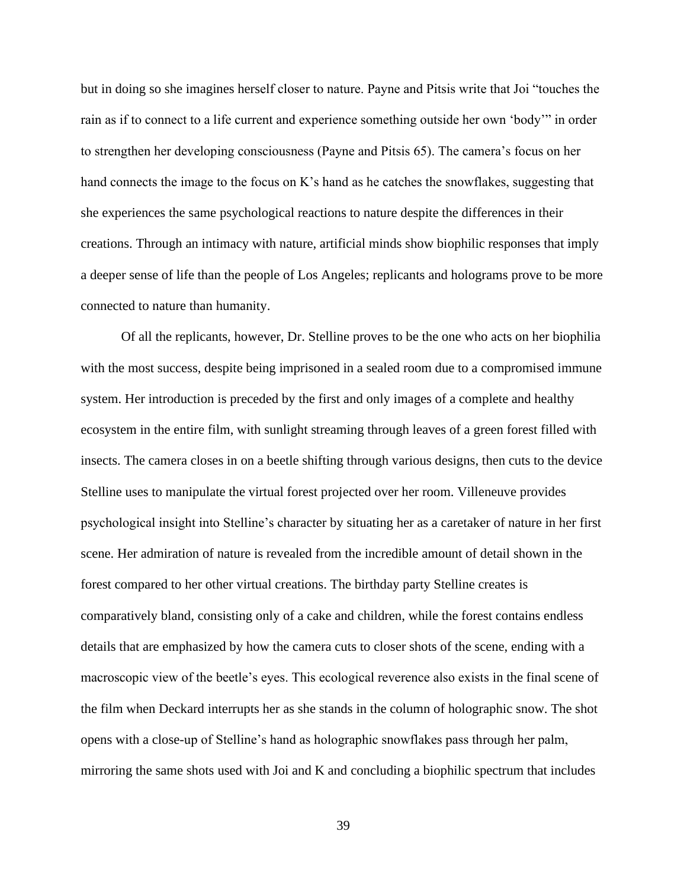but in doing so she imagines herself closer to nature. Payne and Pitsis write that Joi "touches the rain as if to connect to a life current and experience something outside her own 'body'" in order to strengthen her developing consciousness (Payne and Pitsis 65). The camera's focus on her hand connects the image to the focus on K's hand as he catches the snowflakes, suggesting that she experiences the same psychological reactions to nature despite the differences in their creations. Through an intimacy with nature, artificial minds show biophilic responses that imply a deeper sense of life than the people of Los Angeles; replicants and holograms prove to be more connected to nature than humanity.

Of all the replicants, however, Dr. Stelline proves to be the one who acts on her biophilia with the most success, despite being imprisoned in a sealed room due to a compromised immune system. Her introduction is preceded by the first and only images of a complete and healthy ecosystem in the entire film, with sunlight streaming through leaves of a green forest filled with insects. The camera closes in on a beetle shifting through various designs, then cuts to the device Stelline uses to manipulate the virtual forest projected over her room. Villeneuve provides psychological insight into Stelline's character by situating her as a caretaker of nature in her first scene. Her admiration of nature is revealed from the incredible amount of detail shown in the forest compared to her other virtual creations. The birthday party Stelline creates is comparatively bland, consisting only of a cake and children, while the forest contains endless details that are emphasized by how the camera cuts to closer shots of the scene, ending with a macroscopic view of the beetle's eyes. This ecological reverence also exists in the final scene of the film when Deckard interrupts her as she stands in the column of holographic snow. The shot opens with a close-up of Stelline's hand as holographic snowflakes pass through her palm, mirroring the same shots used with Joi and K and concluding a biophilic spectrum that includes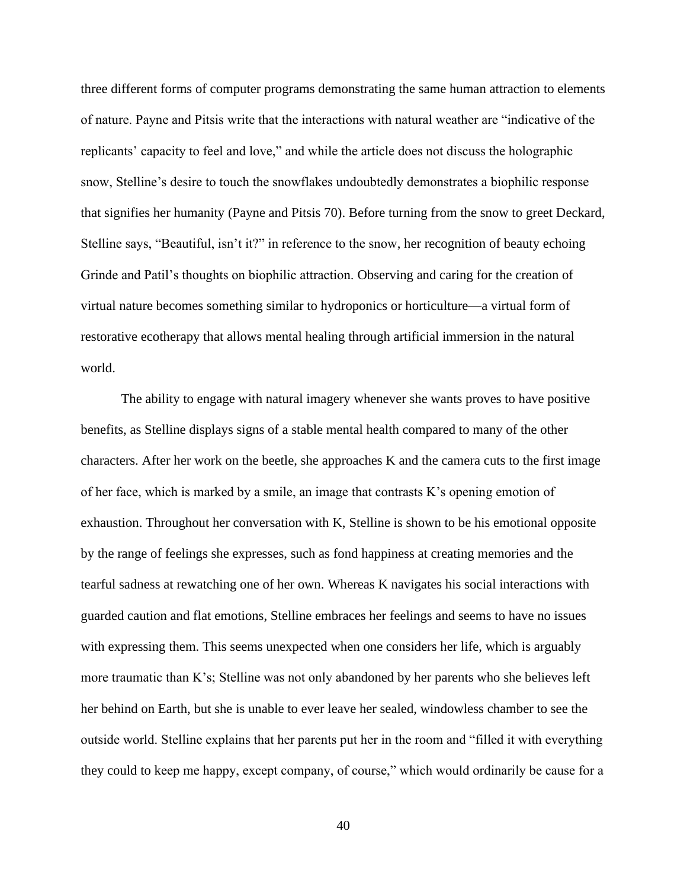three different forms of computer programs demonstrating the same human attraction to elements of nature. Payne and Pitsis write that the interactions with natural weather are "indicative of the replicants' capacity to feel and love," and while the article does not discuss the holographic snow, Stelline's desire to touch the snowflakes undoubtedly demonstrates a biophilic response that signifies her humanity (Payne and Pitsis 70). Before turning from the snow to greet Deckard, Stelline says, "Beautiful, isn't it?" in reference to the snow, her recognition of beauty echoing Grinde and Patil's thoughts on biophilic attraction. Observing and caring for the creation of virtual nature becomes something similar to hydroponics or horticulture—a virtual form of restorative ecotherapy that allows mental healing through artificial immersion in the natural world.

The ability to engage with natural imagery whenever she wants proves to have positive benefits, as Stelline displays signs of a stable mental health compared to many of the other characters. After her work on the beetle, she approaches K and the camera cuts to the first image of her face, which is marked by a smile, an image that contrasts K's opening emotion of exhaustion. Throughout her conversation with K, Stelline is shown to be his emotional opposite by the range of feelings she expresses, such as fond happiness at creating memories and the tearful sadness at rewatching one of her own. Whereas K navigates his social interactions with guarded caution and flat emotions, Stelline embraces her feelings and seems to have no issues with expressing them. This seems unexpected when one considers her life, which is arguably more traumatic than K's; Stelline was not only abandoned by her parents who she believes left her behind on Earth, but she is unable to ever leave her sealed, windowless chamber to see the outside world. Stelline explains that her parents put her in the room and "filled it with everything they could to keep me happy, except company, of course," which would ordinarily be cause for a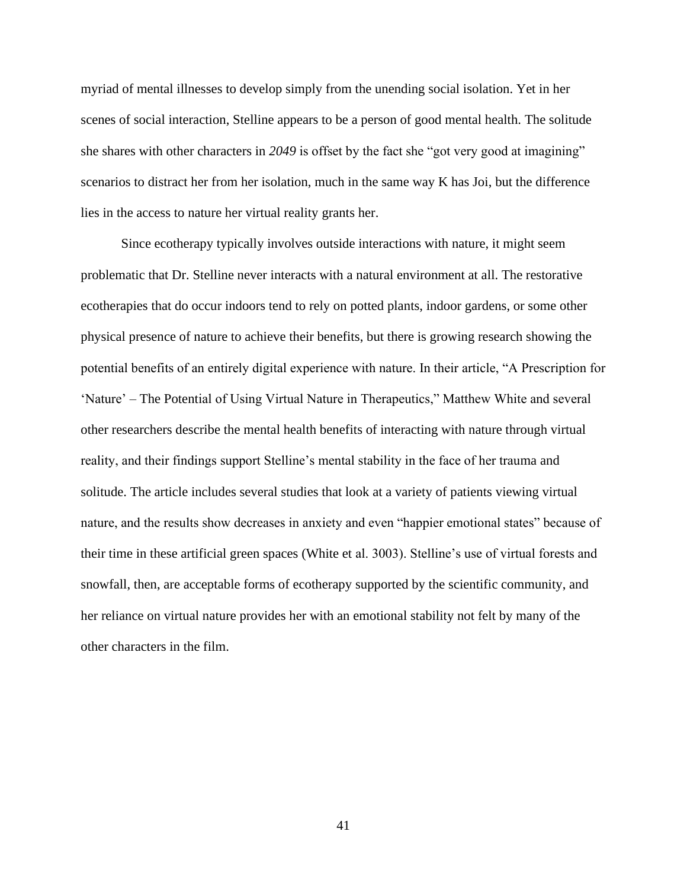myriad of mental illnesses to develop simply from the unending social isolation. Yet in her scenes of social interaction, Stelline appears to be a person of good mental health. The solitude she shares with other characters in *2049* is offset by the fact she "got very good at imagining" scenarios to distract her from her isolation, much in the same way K has Joi, but the difference lies in the access to nature her virtual reality grants her.

Since ecotherapy typically involves outside interactions with nature, it might seem problematic that Dr. Stelline never interacts with a natural environment at all. The restorative ecotherapies that do occur indoors tend to rely on potted plants, indoor gardens, or some other physical presence of nature to achieve their benefits, but there is growing research showing the potential benefits of an entirely digital experience with nature. In their article, "A Prescription for 'Nature' – The Potential of Using Virtual Nature in Therapeutics," Matthew White and several other researchers describe the mental health benefits of interacting with nature through virtual reality, and their findings support Stelline's mental stability in the face of her trauma and solitude. The article includes several studies that look at a variety of patients viewing virtual nature, and the results show decreases in anxiety and even "happier emotional states" because of their time in these artificial green spaces (White et al. 3003). Stelline's use of virtual forests and snowfall, then, are acceptable forms of ecotherapy supported by the scientific community, and her reliance on virtual nature provides her with an emotional stability not felt by many of the other characters in the film.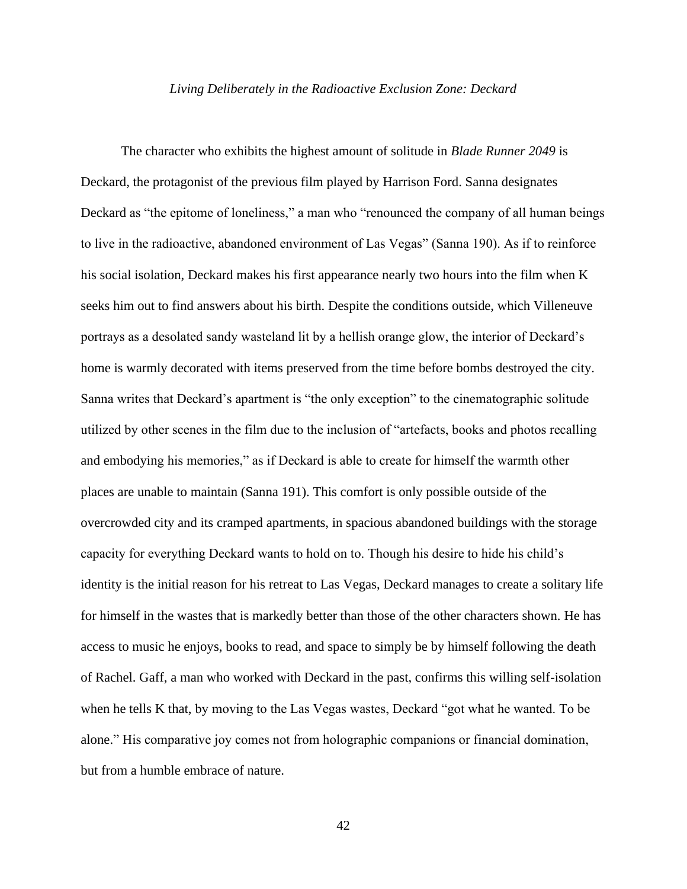#### *Living Deliberately in the Radioactive Exclusion Zone: Deckard*

<span id="page-42-0"></span>The character who exhibits the highest amount of solitude in *Blade Runner 2049* is Deckard, the protagonist of the previous film played by Harrison Ford. Sanna designates Deckard as "the epitome of loneliness," a man who "renounced the company of all human beings to live in the radioactive, abandoned environment of Las Vegas" (Sanna 190). As if to reinforce his social isolation, Deckard makes his first appearance nearly two hours into the film when K seeks him out to find answers about his birth. Despite the conditions outside, which Villeneuve portrays as a desolated sandy wasteland lit by a hellish orange glow, the interior of Deckard's home is warmly decorated with items preserved from the time before bombs destroyed the city. Sanna writes that Deckard's apartment is "the only exception" to the cinematographic solitude utilized by other scenes in the film due to the inclusion of "artefacts, books and photos recalling and embodying his memories," as if Deckard is able to create for himself the warmth other places are unable to maintain (Sanna 191). This comfort is only possible outside of the overcrowded city and its cramped apartments, in spacious abandoned buildings with the storage capacity for everything Deckard wants to hold on to. Though his desire to hide his child's identity is the initial reason for his retreat to Las Vegas, Deckard manages to create a solitary life for himself in the wastes that is markedly better than those of the other characters shown. He has access to music he enjoys, books to read, and space to simply be by himself following the death of Rachel. Gaff, a man who worked with Deckard in the past, confirms this willing self-isolation when he tells K that, by moving to the Las Vegas wastes, Deckard "got what he wanted. To be alone." His comparative joy comes not from holographic companions or financial domination, but from a humble embrace of nature.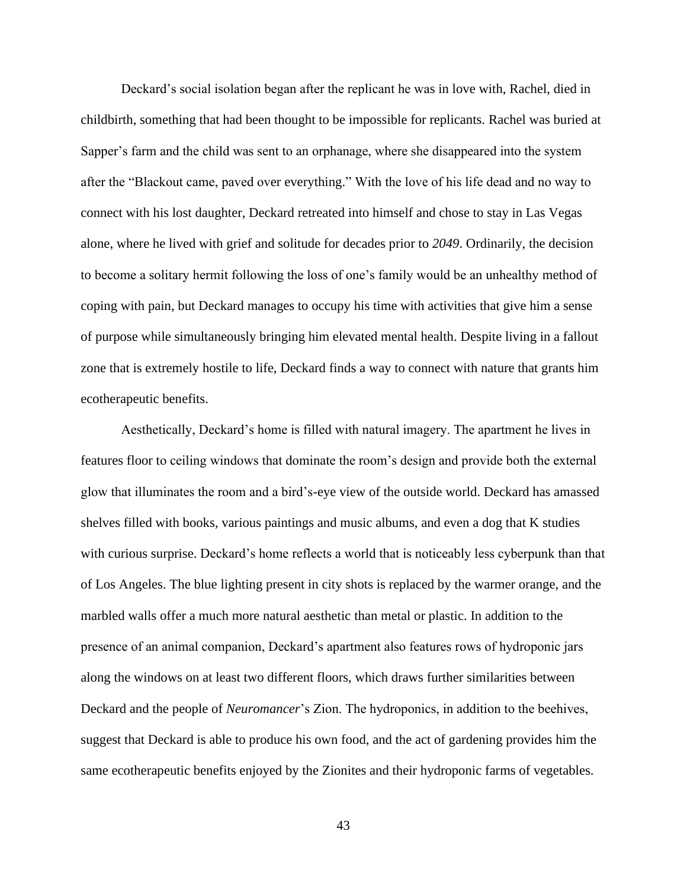Deckard's social isolation began after the replicant he was in love with, Rachel, died in childbirth, something that had been thought to be impossible for replicants. Rachel was buried at Sapper's farm and the child was sent to an orphanage, where she disappeared into the system after the "Blackout came, paved over everything." With the love of his life dead and no way to connect with his lost daughter, Deckard retreated into himself and chose to stay in Las Vegas alone, where he lived with grief and solitude for decades prior to *2049*. Ordinarily, the decision to become a solitary hermit following the loss of one's family would be an unhealthy method of coping with pain, but Deckard manages to occupy his time with activities that give him a sense of purpose while simultaneously bringing him elevated mental health. Despite living in a fallout zone that is extremely hostile to life, Deckard finds a way to connect with nature that grants him ecotherapeutic benefits.

Aesthetically, Deckard's home is filled with natural imagery. The apartment he lives in features floor to ceiling windows that dominate the room's design and provide both the external glow that illuminates the room and a bird's-eye view of the outside world. Deckard has amassed shelves filled with books, various paintings and music albums, and even a dog that K studies with curious surprise. Deckard's home reflects a world that is noticeably less cyberpunk than that of Los Angeles. The blue lighting present in city shots is replaced by the warmer orange, and the marbled walls offer a much more natural aesthetic than metal or plastic. In addition to the presence of an animal companion, Deckard's apartment also features rows of hydroponic jars along the windows on at least two different floors, which draws further similarities between Deckard and the people of *Neuromancer*'s Zion. The hydroponics, in addition to the beehives, suggest that Deckard is able to produce his own food, and the act of gardening provides him the same ecotherapeutic benefits enjoyed by the Zionites and their hydroponic farms of vegetables.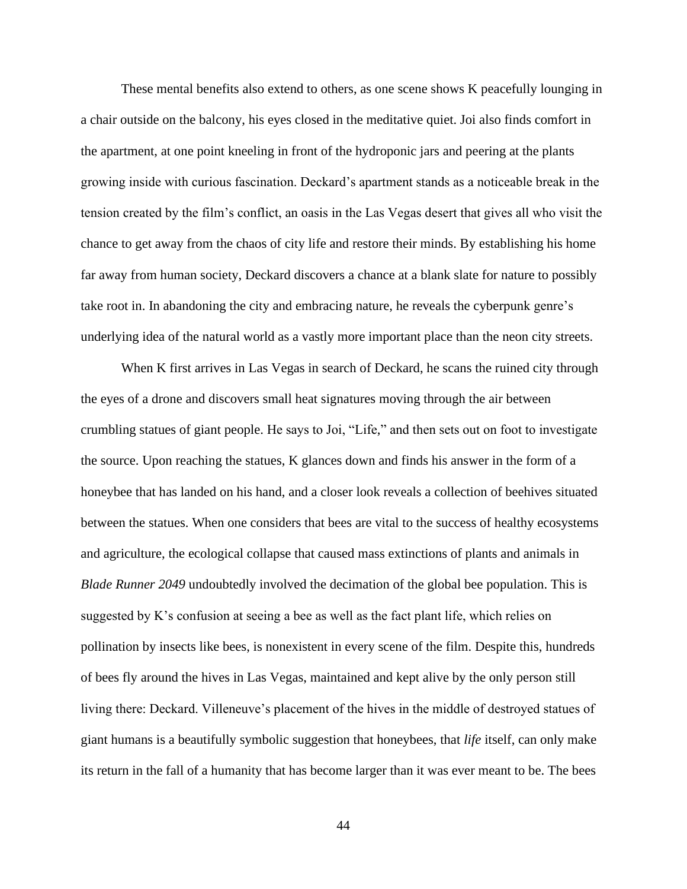These mental benefits also extend to others, as one scene shows K peacefully lounging in a chair outside on the balcony, his eyes closed in the meditative quiet. Joi also finds comfort in the apartment, at one point kneeling in front of the hydroponic jars and peering at the plants growing inside with curious fascination. Deckard's apartment stands as a noticeable break in the tension created by the film's conflict, an oasis in the Las Vegas desert that gives all who visit the chance to get away from the chaos of city life and restore their minds. By establishing his home far away from human society, Deckard discovers a chance at a blank slate for nature to possibly take root in. In abandoning the city and embracing nature, he reveals the cyberpunk genre's underlying idea of the natural world as a vastly more important place than the neon city streets.

When K first arrives in Las Vegas in search of Deckard, he scans the ruined city through the eyes of a drone and discovers small heat signatures moving through the air between crumbling statues of giant people. He says to Joi, "Life," and then sets out on foot to investigate the source. Upon reaching the statues, K glances down and finds his answer in the form of a honeybee that has landed on his hand, and a closer look reveals a collection of beehives situated between the statues. When one considers that bees are vital to the success of healthy ecosystems and agriculture, the ecological collapse that caused mass extinctions of plants and animals in *Blade Runner 2049* undoubtedly involved the decimation of the global bee population. This is suggested by K's confusion at seeing a bee as well as the fact plant life, which relies on pollination by insects like bees, is nonexistent in every scene of the film. Despite this, hundreds of bees fly around the hives in Las Vegas, maintained and kept alive by the only person still living there: Deckard. Villeneuve's placement of the hives in the middle of destroyed statues of giant humans is a beautifully symbolic suggestion that honeybees, that *life* itself, can only make its return in the fall of a humanity that has become larger than it was ever meant to be. The bees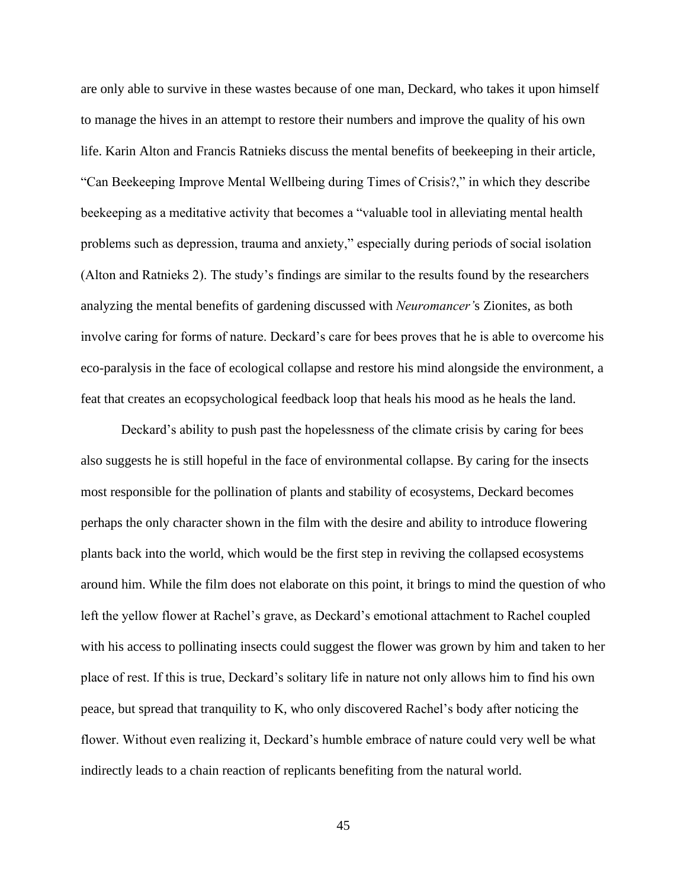are only able to survive in these wastes because of one man, Deckard, who takes it upon himself to manage the hives in an attempt to restore their numbers and improve the quality of his own life. Karin Alton and Francis Ratnieks discuss the mental benefits of beekeeping in their article, "Can Beekeeping Improve Mental Wellbeing during Times of Crisis?," in which they describe beekeeping as a meditative activity that becomes a "valuable tool in alleviating mental health problems such as depression, trauma and anxiety," especially during periods of social isolation (Alton and Ratnieks 2). The study's findings are similar to the results found by the researchers analyzing the mental benefits of gardening discussed with *Neuromancer'*s Zionites, as both involve caring for forms of nature. Deckard's care for bees proves that he is able to overcome his eco-paralysis in the face of ecological collapse and restore his mind alongside the environment, a feat that creates an ecopsychological feedback loop that heals his mood as he heals the land.

Deckard's ability to push past the hopelessness of the climate crisis by caring for bees also suggests he is still hopeful in the face of environmental collapse. By caring for the insects most responsible for the pollination of plants and stability of ecosystems, Deckard becomes perhaps the only character shown in the film with the desire and ability to introduce flowering plants back into the world, which would be the first step in reviving the collapsed ecosystems around him. While the film does not elaborate on this point, it brings to mind the question of who left the yellow flower at Rachel's grave, as Deckard's emotional attachment to Rachel coupled with his access to pollinating insects could suggest the flower was grown by him and taken to her place of rest. If this is true, Deckard's solitary life in nature not only allows him to find his own peace, but spread that tranquility to K, who only discovered Rachel's body after noticing the flower. Without even realizing it, Deckard's humble embrace of nature could very well be what indirectly leads to a chain reaction of replicants benefiting from the natural world.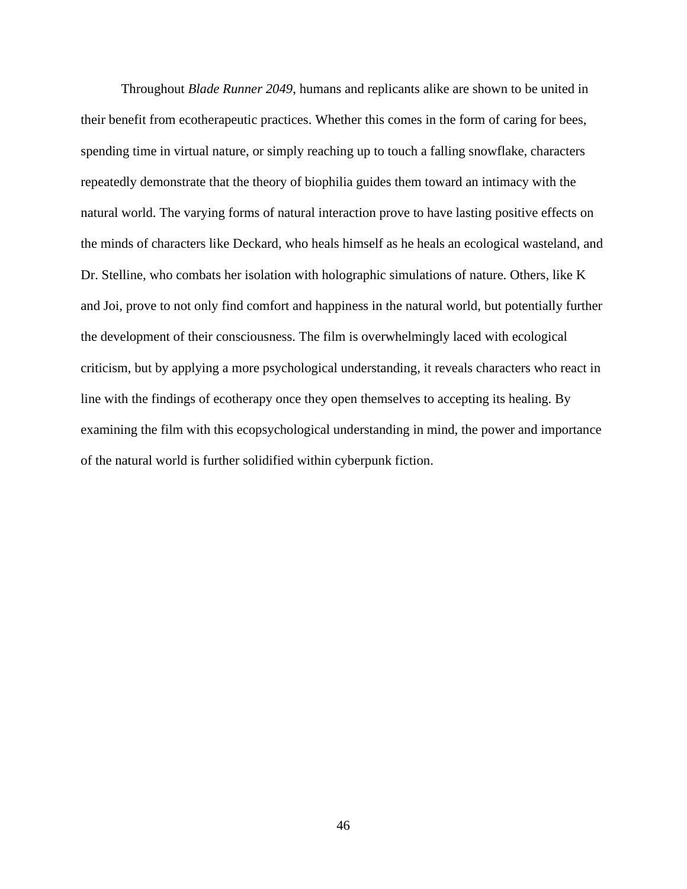Throughout *Blade Runner 2049*, humans and replicants alike are shown to be united in their benefit from ecotherapeutic practices. Whether this comes in the form of caring for bees, spending time in virtual nature, or simply reaching up to touch a falling snowflake, characters repeatedly demonstrate that the theory of biophilia guides them toward an intimacy with the natural world. The varying forms of natural interaction prove to have lasting positive effects on the minds of characters like Deckard, who heals himself as he heals an ecological wasteland, and Dr. Stelline, who combats her isolation with holographic simulations of nature. Others, like K and Joi, prove to not only find comfort and happiness in the natural world, but potentially further the development of their consciousness. The film is overwhelmingly laced with ecological criticism, but by applying a more psychological understanding, it reveals characters who react in line with the findings of ecotherapy once they open themselves to accepting its healing. By examining the film with this ecopsychological understanding in mind, the power and importance of the natural world is further solidified within cyberpunk fiction.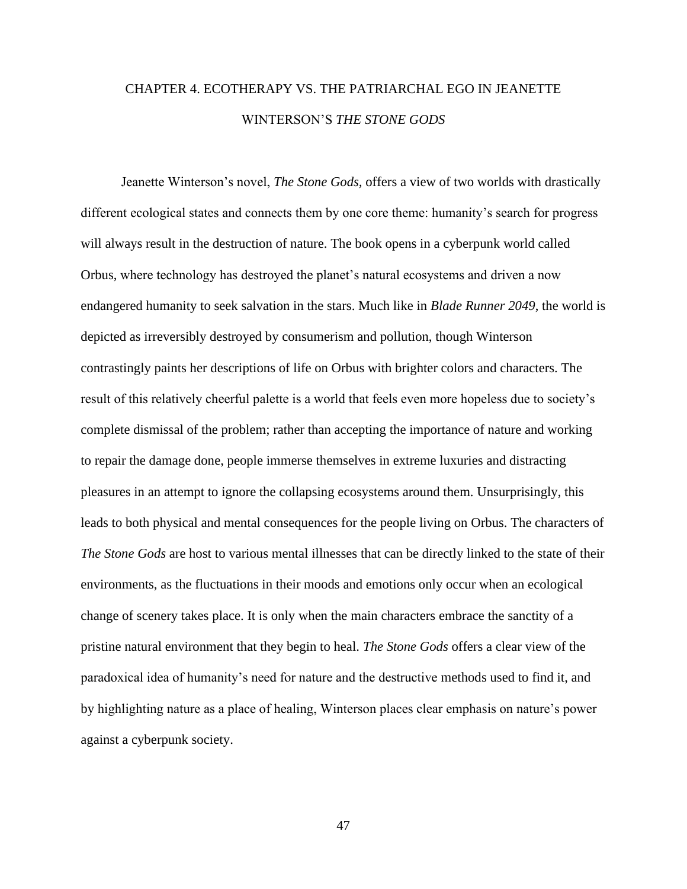# <span id="page-47-0"></span>CHAPTER 4. ECOTHERAPY VS. THE PATRIARCHAL EGO IN JEANETTE WINTERSON'S *THE STONE GODS*

Jeanette Winterson's novel, *The Stone Gods,* offers a view of two worlds with drastically different ecological states and connects them by one core theme: humanity's search for progress will always result in the destruction of nature. The book opens in a cyberpunk world called Orbus, where technology has destroyed the planet's natural ecosystems and driven a now endangered humanity to seek salvation in the stars. Much like in *Blade Runner 2049*, the world is depicted as irreversibly destroyed by consumerism and pollution, though Winterson contrastingly paints her descriptions of life on Orbus with brighter colors and characters. The result of this relatively cheerful palette is a world that feels even more hopeless due to society's complete dismissal of the problem; rather than accepting the importance of nature and working to repair the damage done, people immerse themselves in extreme luxuries and distracting pleasures in an attempt to ignore the collapsing ecosystems around them. Unsurprisingly, this leads to both physical and mental consequences for the people living on Orbus. The characters of *The Stone Gods* are host to various mental illnesses that can be directly linked to the state of their environments, as the fluctuations in their moods and emotions only occur when an ecological change of scenery takes place. It is only when the main characters embrace the sanctity of a pristine natural environment that they begin to heal. *The Stone Gods* offers a clear view of the paradoxical idea of humanity's need for nature and the destructive methods used to find it, and by highlighting nature as a place of healing, Winterson places clear emphasis on nature's power against a cyberpunk society.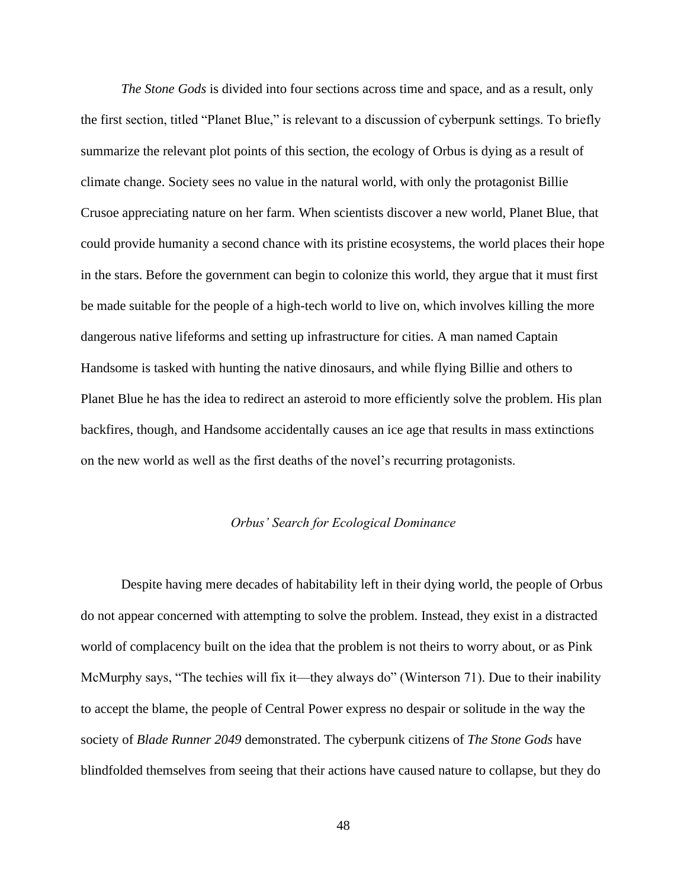*The Stone Gods* is divided into four sections across time and space, and as a result, only the first section, titled "Planet Blue," is relevant to a discussion of cyberpunk settings. To briefly summarize the relevant plot points of this section, the ecology of Orbus is dying as a result of climate change. Society sees no value in the natural world, with only the protagonist Billie Crusoe appreciating nature on her farm. When scientists discover a new world, Planet Blue, that could provide humanity a second chance with its pristine ecosystems, the world places their hope in the stars. Before the government can begin to colonize this world, they argue that it must first be made suitable for the people of a high-tech world to live on, which involves killing the more dangerous native lifeforms and setting up infrastructure for cities. A man named Captain Handsome is tasked with hunting the native dinosaurs, and while flying Billie and others to Planet Blue he has the idea to redirect an asteroid to more efficiently solve the problem. His plan backfires, though, and Handsome accidentally causes an ice age that results in mass extinctions on the new world as well as the first deaths of the novel's recurring protagonists.

#### *Orbus' Search for Ecological Dominance*

<span id="page-48-0"></span>Despite having mere decades of habitability left in their dying world, the people of Orbus do not appear concerned with attempting to solve the problem. Instead, they exist in a distracted world of complacency built on the idea that the problem is not theirs to worry about, or as Pink McMurphy says, "The techies will fix it—they always do" (Winterson 71). Due to their inability to accept the blame, the people of Central Power express no despair or solitude in the way the society of *Blade Runner 2049* demonstrated. The cyberpunk citizens of *The Stone Gods* have blindfolded themselves from seeing that their actions have caused nature to collapse, but they do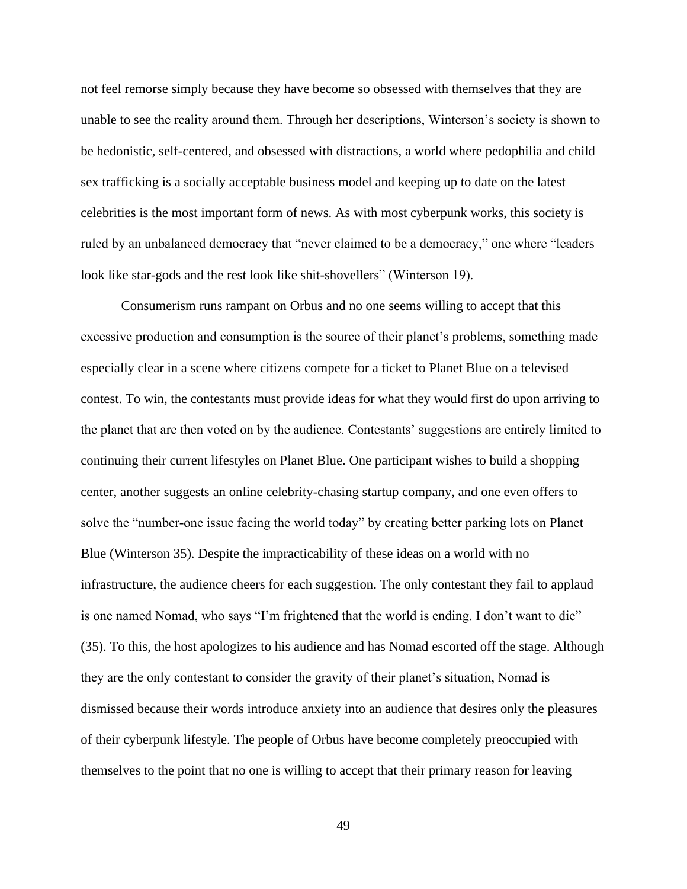not feel remorse simply because they have become so obsessed with themselves that they are unable to see the reality around them. Through her descriptions, Winterson's society is shown to be hedonistic, self-centered, and obsessed with distractions, a world where pedophilia and child sex trafficking is a socially acceptable business model and keeping up to date on the latest celebrities is the most important form of news. As with most cyberpunk works, this society is ruled by an unbalanced democracy that "never claimed to be a democracy," one where "leaders look like star-gods and the rest look like shit-shovellers" (Winterson 19).

Consumerism runs rampant on Orbus and no one seems willing to accept that this excessive production and consumption is the source of their planet's problems, something made especially clear in a scene where citizens compete for a ticket to Planet Blue on a televised contest. To win, the contestants must provide ideas for what they would first do upon arriving to the planet that are then voted on by the audience. Contestants' suggestions are entirely limited to continuing their current lifestyles on Planet Blue. One participant wishes to build a shopping center, another suggests an online celebrity-chasing startup company, and one even offers to solve the "number-one issue facing the world today" by creating better parking lots on Planet Blue (Winterson 35). Despite the impracticability of these ideas on a world with no infrastructure, the audience cheers for each suggestion. The only contestant they fail to applaud is one named Nomad, who says "I'm frightened that the world is ending. I don't want to die" (35). To this, the host apologizes to his audience and has Nomad escorted off the stage. Although they are the only contestant to consider the gravity of their planet's situation, Nomad is dismissed because their words introduce anxiety into an audience that desires only the pleasures of their cyberpunk lifestyle. The people of Orbus have become completely preoccupied with themselves to the point that no one is willing to accept that their primary reason for leaving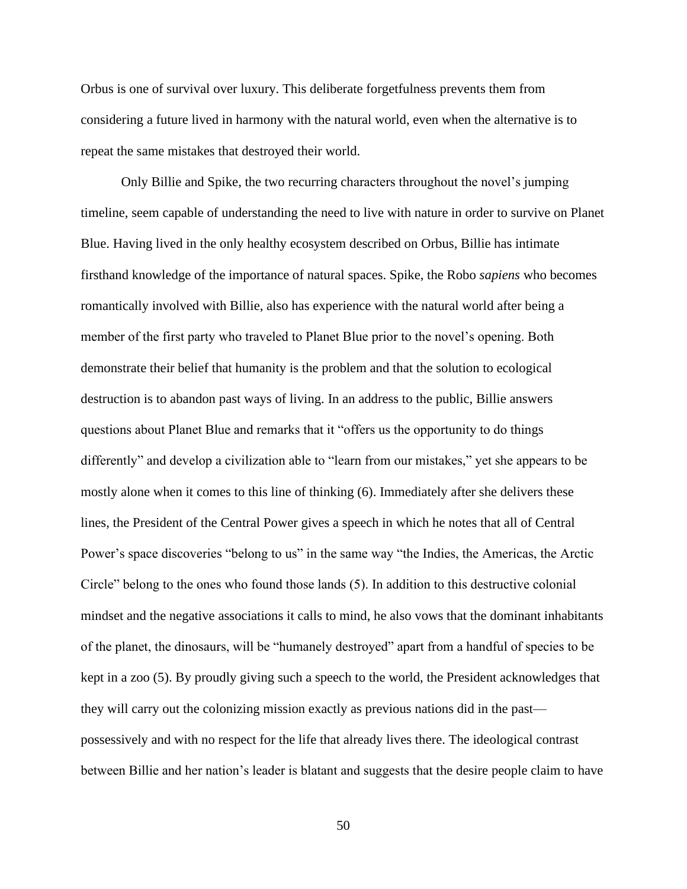Orbus is one of survival over luxury. This deliberate forgetfulness prevents them from considering a future lived in harmony with the natural world, even when the alternative is to repeat the same mistakes that destroyed their world.

Only Billie and Spike, the two recurring characters throughout the novel's jumping timeline, seem capable of understanding the need to live with nature in order to survive on Planet Blue. Having lived in the only healthy ecosystem described on Orbus, Billie has intimate firsthand knowledge of the importance of natural spaces. Spike, the Robo *sapiens* who becomes romantically involved with Billie, also has experience with the natural world after being a member of the first party who traveled to Planet Blue prior to the novel's opening. Both demonstrate their belief that humanity is the problem and that the solution to ecological destruction is to abandon past ways of living. In an address to the public, Billie answers questions about Planet Blue and remarks that it "offers us the opportunity to do things differently" and develop a civilization able to "learn from our mistakes," yet she appears to be mostly alone when it comes to this line of thinking (6). Immediately after she delivers these lines, the President of the Central Power gives a speech in which he notes that all of Central Power's space discoveries "belong to us" in the same way "the Indies, the Americas, the Arctic Circle" belong to the ones who found those lands (5). In addition to this destructive colonial mindset and the negative associations it calls to mind, he also vows that the dominant inhabitants of the planet, the dinosaurs, will be "humanely destroyed" apart from a handful of species to be kept in a zoo (5). By proudly giving such a speech to the world, the President acknowledges that they will carry out the colonizing mission exactly as previous nations did in the past possessively and with no respect for the life that already lives there. The ideological contrast between Billie and her nation's leader is blatant and suggests that the desire people claim to have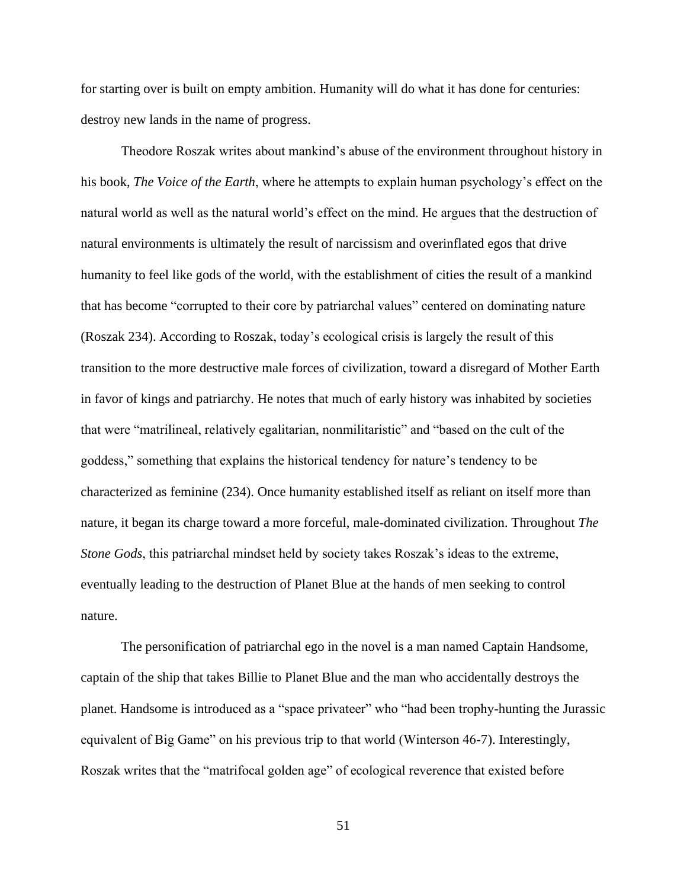for starting over is built on empty ambition. Humanity will do what it has done for centuries: destroy new lands in the name of progress.

Theodore Roszak writes about mankind's abuse of the environment throughout history in his book, *The Voice of the Earth*, where he attempts to explain human psychology's effect on the natural world as well as the natural world's effect on the mind. He argues that the destruction of natural environments is ultimately the result of narcissism and overinflated egos that drive humanity to feel like gods of the world, with the establishment of cities the result of a mankind that has become "corrupted to their core by patriarchal values" centered on dominating nature (Roszak 234). According to Roszak, today's ecological crisis is largely the result of this transition to the more destructive male forces of civilization, toward a disregard of Mother Earth in favor of kings and patriarchy. He notes that much of early history was inhabited by societies that were "matrilineal, relatively egalitarian, nonmilitaristic" and "based on the cult of the goddess," something that explains the historical tendency for nature's tendency to be characterized as feminine (234). Once humanity established itself as reliant on itself more than nature, it began its charge toward a more forceful, male-dominated civilization. Throughout *The Stone Gods*, this patriarchal mindset held by society takes Roszak's ideas to the extreme, eventually leading to the destruction of Planet Blue at the hands of men seeking to control nature.

The personification of patriarchal ego in the novel is a man named Captain Handsome, captain of the ship that takes Billie to Planet Blue and the man who accidentally destroys the planet. Handsome is introduced as a "space privateer" who "had been trophy-hunting the Jurassic equivalent of Big Game" on his previous trip to that world (Winterson 46-7). Interestingly, Roszak writes that the "matrifocal golden age" of ecological reverence that existed before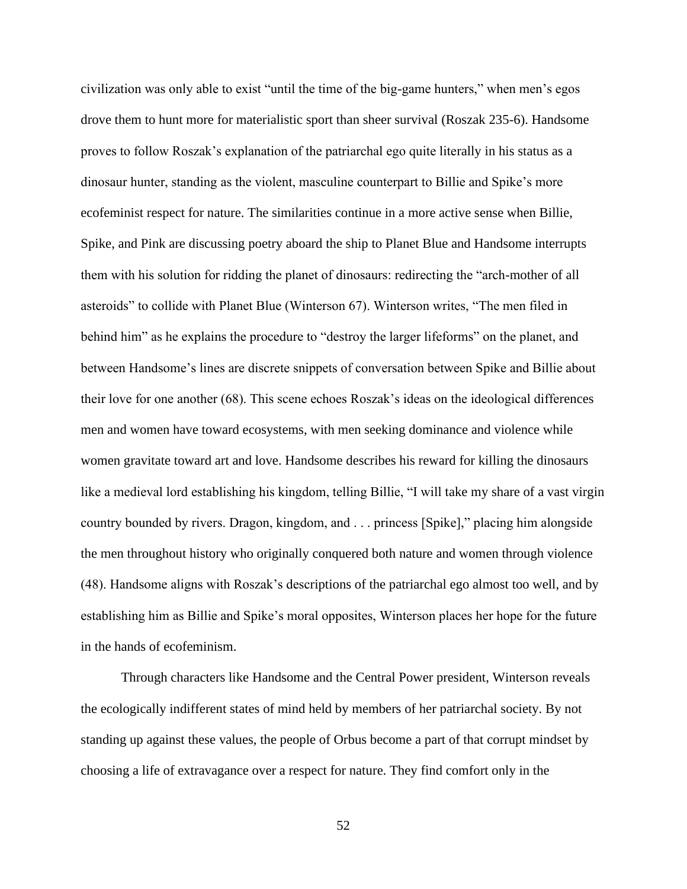civilization was only able to exist "until the time of the big-game hunters," when men's egos drove them to hunt more for materialistic sport than sheer survival (Roszak 235-6). Handsome proves to follow Roszak's explanation of the patriarchal ego quite literally in his status as a dinosaur hunter, standing as the violent, masculine counterpart to Billie and Spike's more ecofeminist respect for nature. The similarities continue in a more active sense when Billie, Spike, and Pink are discussing poetry aboard the ship to Planet Blue and Handsome interrupts them with his solution for ridding the planet of dinosaurs: redirecting the "arch-mother of all asteroids" to collide with Planet Blue (Winterson 67). Winterson writes, "The men filed in behind him" as he explains the procedure to "destroy the larger lifeforms" on the planet, and between Handsome's lines are discrete snippets of conversation between Spike and Billie about their love for one another (68). This scene echoes Roszak's ideas on the ideological differences men and women have toward ecosystems, with men seeking dominance and violence while women gravitate toward art and love. Handsome describes his reward for killing the dinosaurs like a medieval lord establishing his kingdom, telling Billie, "I will take my share of a vast virgin country bounded by rivers. Dragon, kingdom, and . . . princess [Spike]," placing him alongside the men throughout history who originally conquered both nature and women through violence (48). Handsome aligns with Roszak's descriptions of the patriarchal ego almost too well, and by establishing him as Billie and Spike's moral opposites, Winterson places her hope for the future in the hands of ecofeminism.

Through characters like Handsome and the Central Power president, Winterson reveals the ecologically indifferent states of mind held by members of her patriarchal society. By not standing up against these values, the people of Orbus become a part of that corrupt mindset by choosing a life of extravagance over a respect for nature. They find comfort only in the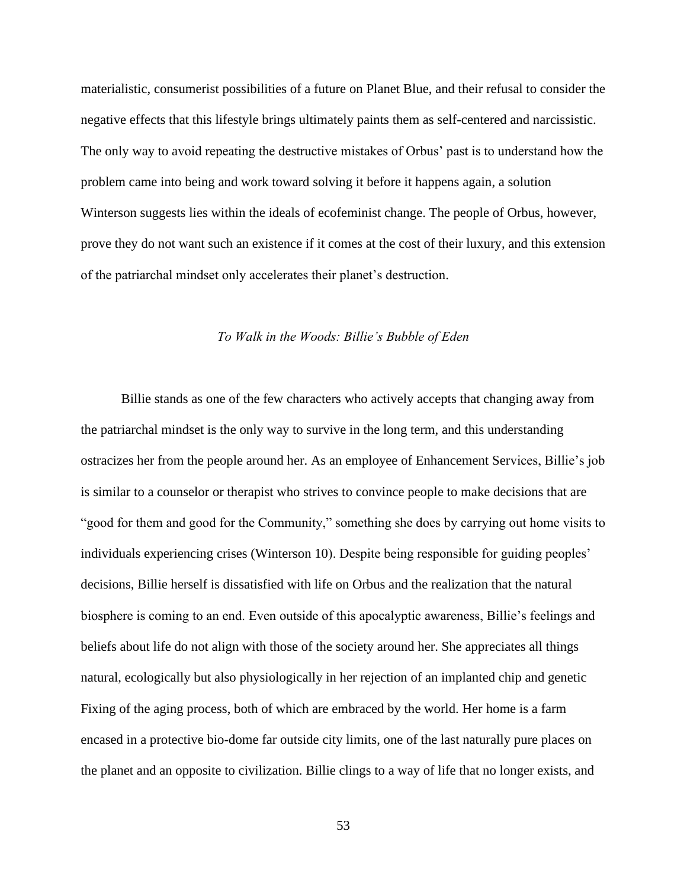materialistic, consumerist possibilities of a future on Planet Blue, and their refusal to consider the negative effects that this lifestyle brings ultimately paints them as self-centered and narcissistic. The only way to avoid repeating the destructive mistakes of Orbus' past is to understand how the problem came into being and work toward solving it before it happens again, a solution Winterson suggests lies within the ideals of ecofeminist change. The people of Orbus, however, prove they do not want such an existence if it comes at the cost of their luxury, and this extension of the patriarchal mindset only accelerates their planet's destruction.

#### *To Walk in the Woods: Billie's Bubble of Eden*

<span id="page-53-0"></span>Billie stands as one of the few characters who actively accepts that changing away from the patriarchal mindset is the only way to survive in the long term, and this understanding ostracizes her from the people around her. As an employee of Enhancement Services, Billie's job is similar to a counselor or therapist who strives to convince people to make decisions that are "good for them and good for the Community," something she does by carrying out home visits to individuals experiencing crises (Winterson 10). Despite being responsible for guiding peoples' decisions, Billie herself is dissatisfied with life on Orbus and the realization that the natural biosphere is coming to an end. Even outside of this apocalyptic awareness, Billie's feelings and beliefs about life do not align with those of the society around her. She appreciates all things natural, ecologically but also physiologically in her rejection of an implanted chip and genetic Fixing of the aging process, both of which are embraced by the world. Her home is a farm encased in a protective bio-dome far outside city limits, one of the last naturally pure places on the planet and an opposite to civilization. Billie clings to a way of life that no longer exists, and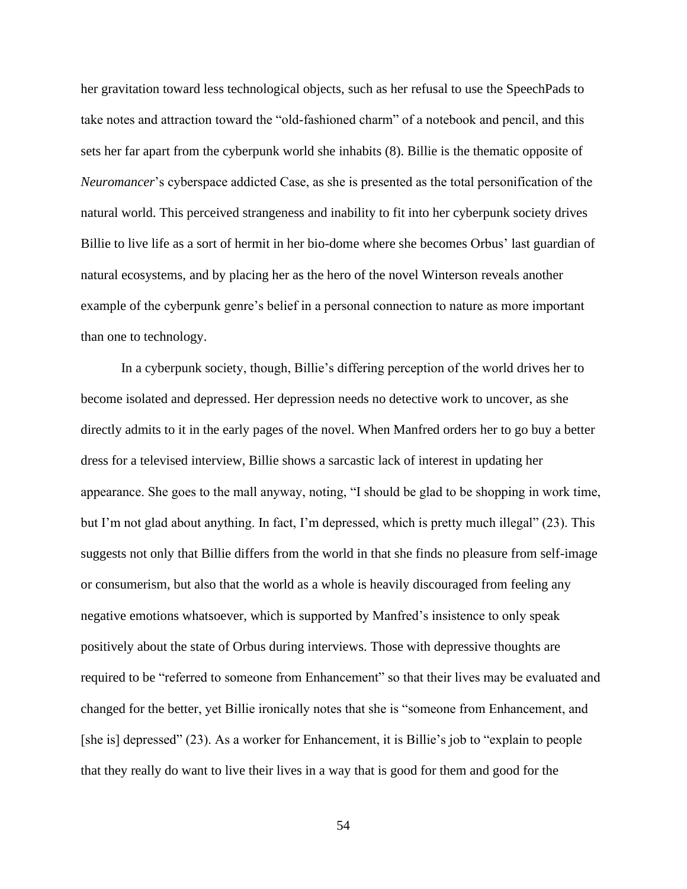her gravitation toward less technological objects, such as her refusal to use the SpeechPads to take notes and attraction toward the "old-fashioned charm" of a notebook and pencil, and this sets her far apart from the cyberpunk world she inhabits (8). Billie is the thematic opposite of *Neuromancer*'s cyberspace addicted Case, as she is presented as the total personification of the natural world. This perceived strangeness and inability to fit into her cyberpunk society drives Billie to live life as a sort of hermit in her bio-dome where she becomes Orbus' last guardian of natural ecosystems, and by placing her as the hero of the novel Winterson reveals another example of the cyberpunk genre's belief in a personal connection to nature as more important than one to technology.

In a cyberpunk society, though, Billie's differing perception of the world drives her to become isolated and depressed. Her depression needs no detective work to uncover, as she directly admits to it in the early pages of the novel. When Manfred orders her to go buy a better dress for a televised interview, Billie shows a sarcastic lack of interest in updating her appearance. She goes to the mall anyway, noting, "I should be glad to be shopping in work time, but I'm not glad about anything. In fact, I'm depressed, which is pretty much illegal" (23). This suggests not only that Billie differs from the world in that she finds no pleasure from self-image or consumerism, but also that the world as a whole is heavily discouraged from feeling any negative emotions whatsoever, which is supported by Manfred's insistence to only speak positively about the state of Orbus during interviews. Those with depressive thoughts are required to be "referred to someone from Enhancement" so that their lives may be evaluated and changed for the better, yet Billie ironically notes that she is "someone from Enhancement, and [she is] depressed" (23). As a worker for Enhancement, it is Billie's job to "explain to people that they really do want to live their lives in a way that is good for them and good for the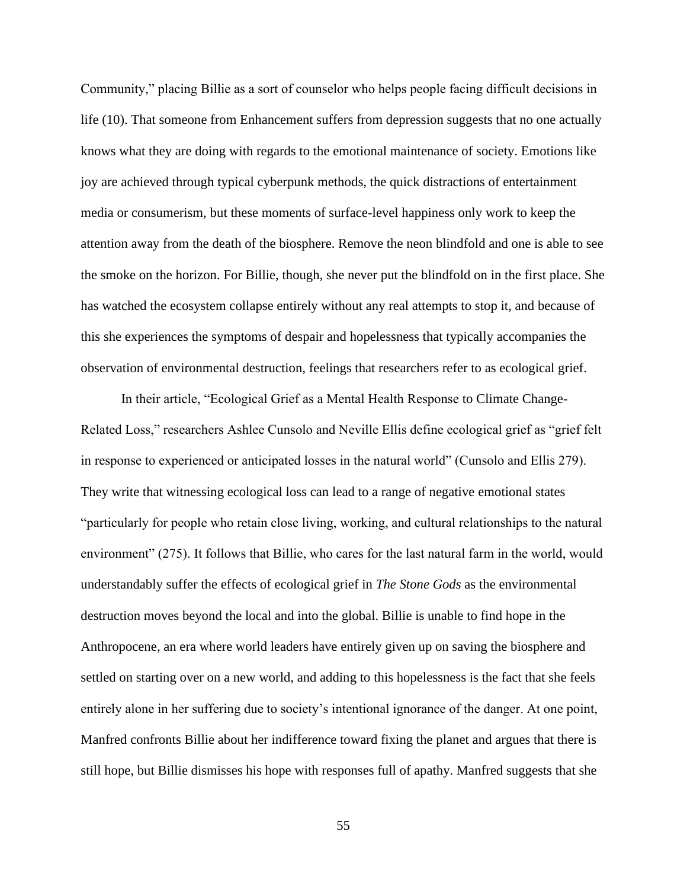Community," placing Billie as a sort of counselor who helps people facing difficult decisions in life (10). That someone from Enhancement suffers from depression suggests that no one actually knows what they are doing with regards to the emotional maintenance of society. Emotions like joy are achieved through typical cyberpunk methods, the quick distractions of entertainment media or consumerism, but these moments of surface-level happiness only work to keep the attention away from the death of the biosphere. Remove the neon blindfold and one is able to see the smoke on the horizon. For Billie, though, she never put the blindfold on in the first place. She has watched the ecosystem collapse entirely without any real attempts to stop it, and because of this she experiences the symptoms of despair and hopelessness that typically accompanies the observation of environmental destruction, feelings that researchers refer to as ecological grief.

In their article, "Ecological Grief as a Mental Health Response to Climate Change-Related Loss," researchers Ashlee Cunsolo and Neville Ellis define ecological grief as "grief felt in response to experienced or anticipated losses in the natural world" (Cunsolo and Ellis 279). They write that witnessing ecological loss can lead to a range of negative emotional states "particularly for people who retain close living, working, and cultural relationships to the natural environment" (275). It follows that Billie, who cares for the last natural farm in the world, would understandably suffer the effects of ecological grief in *The Stone Gods* as the environmental destruction moves beyond the local and into the global. Billie is unable to find hope in the Anthropocene, an era where world leaders have entirely given up on saving the biosphere and settled on starting over on a new world, and adding to this hopelessness is the fact that she feels entirely alone in her suffering due to society's intentional ignorance of the danger. At one point, Manfred confronts Billie about her indifference toward fixing the planet and argues that there is still hope, but Billie dismisses his hope with responses full of apathy. Manfred suggests that she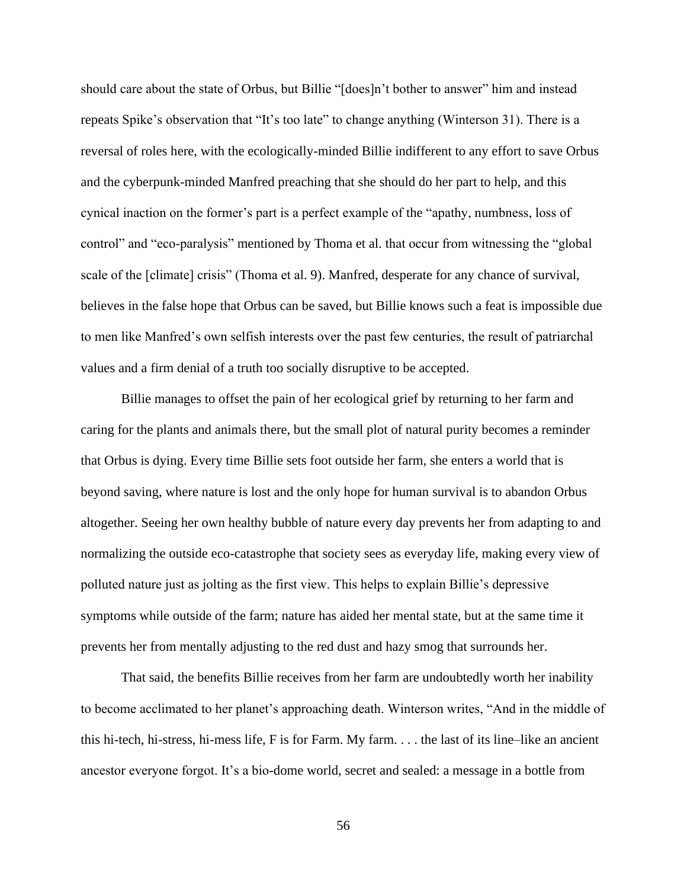should care about the state of Orbus, but Billie "[does]n't bother to answer" him and instead repeats Spike's observation that "It's too late" to change anything (Winterson 31). There is a reversal of roles here, with the ecologically-minded Billie indifferent to any effort to save Orbus and the cyberpunk-minded Manfred preaching that she should do her part to help, and this cynical inaction on the former's part is a perfect example of the "apathy, numbness, loss of control" and "eco-paralysis" mentioned by Thoma et al. that occur from witnessing the "global scale of the [climate] crisis" (Thoma et al. 9). Manfred, desperate for any chance of survival, believes in the false hope that Orbus can be saved, but Billie knows such a feat is impossible due to men like Manfred's own selfish interests over the past few centuries, the result of patriarchal values and a firm denial of a truth too socially disruptive to be accepted.

Billie manages to offset the pain of her ecological grief by returning to her farm and caring for the plants and animals there, but the small plot of natural purity becomes a reminder that Orbus is dying. Every time Billie sets foot outside her farm, she enters a world that is beyond saving, where nature is lost and the only hope for human survival is to abandon Orbus altogether. Seeing her own healthy bubble of nature every day prevents her from adapting to and normalizing the outside eco-catastrophe that society sees as everyday life, making every view of polluted nature just as jolting as the first view. This helps to explain Billie's depressive symptoms while outside of the farm; nature has aided her mental state, but at the same time it prevents her from mentally adjusting to the red dust and hazy smog that surrounds her.

That said, the benefits Billie receives from her farm are undoubtedly worth her inability to become acclimated to her planet's approaching death. Winterson writes, "And in the middle of this hi-tech, hi-stress, hi-mess life, F is for Farm. My farm. . . . the last of its line–like an ancient ancestor everyone forgot. It's a bio-dome world, secret and sealed: a message in a bottle from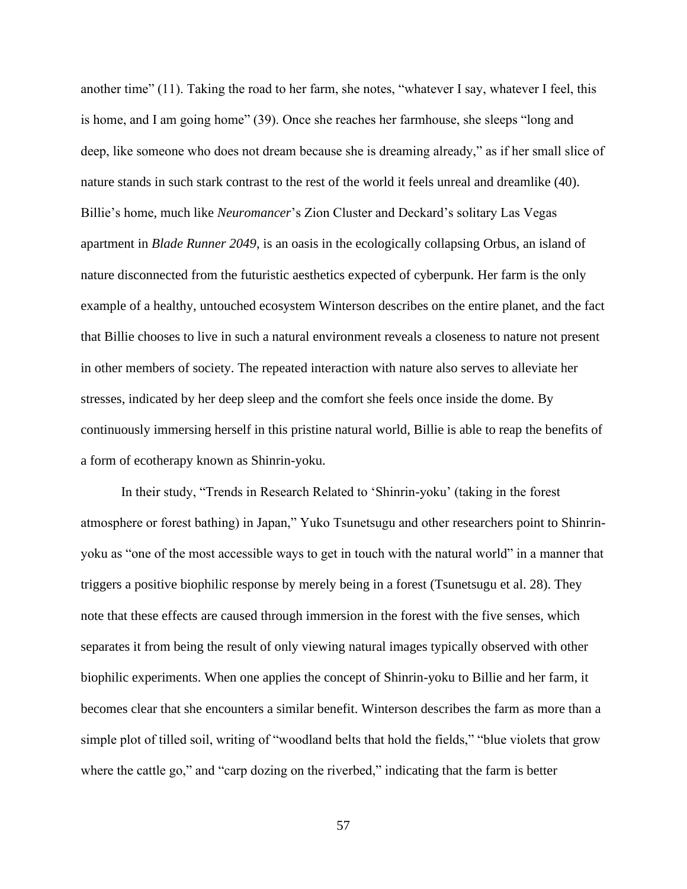another time" (11). Taking the road to her farm, she notes, "whatever I say, whatever I feel, this is home, and I am going home" (39). Once she reaches her farmhouse, she sleeps "long and deep, like someone who does not dream because she is dreaming already," as if her small slice of nature stands in such stark contrast to the rest of the world it feels unreal and dreamlike (40). Billie's home, much like *Neuromancer*'s Zion Cluster and Deckard's solitary Las Vegas apartment in *Blade Runner 2049*, is an oasis in the ecologically collapsing Orbus, an island of nature disconnected from the futuristic aesthetics expected of cyberpunk. Her farm is the only example of a healthy, untouched ecosystem Winterson describes on the entire planet, and the fact that Billie chooses to live in such a natural environment reveals a closeness to nature not present in other members of society. The repeated interaction with nature also serves to alleviate her stresses, indicated by her deep sleep and the comfort she feels once inside the dome. By continuously immersing herself in this pristine natural world, Billie is able to reap the benefits of a form of ecotherapy known as Shinrin-yoku.

In their study, "Trends in Research Related to 'Shinrin-yoku' (taking in the forest atmosphere or forest bathing) in Japan," Yuko Tsunetsugu and other researchers point to Shinrinyoku as "one of the most accessible ways to get in touch with the natural world" in a manner that triggers a positive biophilic response by merely being in a forest (Tsunetsugu et al. 28). They note that these effects are caused through immersion in the forest with the five senses, which separates it from being the result of only viewing natural images typically observed with other biophilic experiments. When one applies the concept of Shinrin-yoku to Billie and her farm, it becomes clear that she encounters a similar benefit. Winterson describes the farm as more than a simple plot of tilled soil, writing of "woodland belts that hold the fields," "blue violets that grow where the cattle go," and "carp dozing on the riverbed," indicating that the farm is better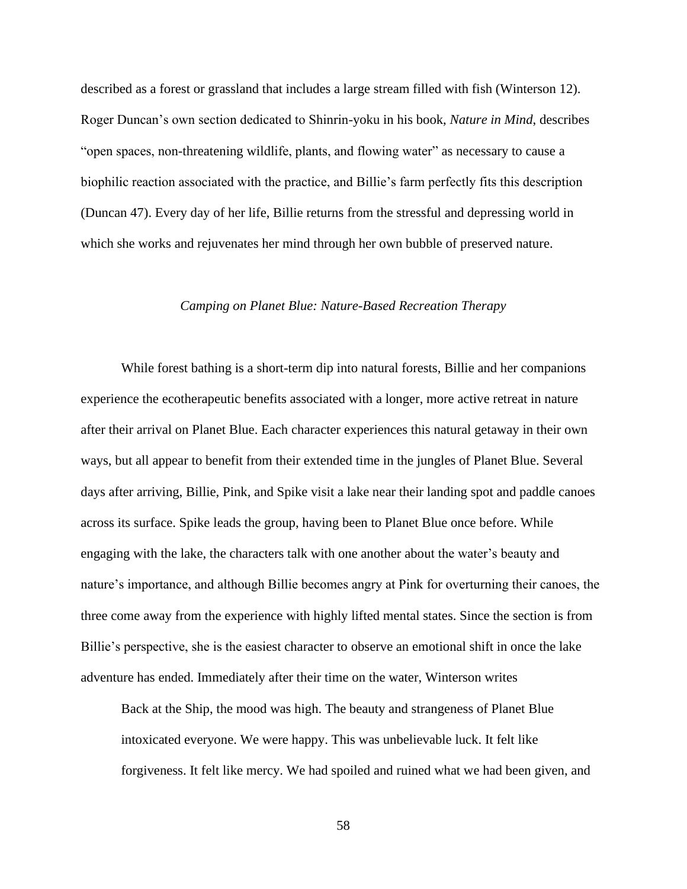described as a forest or grassland that includes a large stream filled with fish (Winterson 12). Roger Duncan's own section dedicated to Shinrin-yoku in his book, *Nature in Mind*, describes "open spaces, non-threatening wildlife, plants, and flowing water" as necessary to cause a biophilic reaction associated with the practice, and Billie's farm perfectly fits this description (Duncan 47). Every day of her life, Billie returns from the stressful and depressing world in which she works and rejuvenates her mind through her own bubble of preserved nature.

#### *Camping on Planet Blue: Nature-Based Recreation Therapy*

<span id="page-58-0"></span>While forest bathing is a short-term dip into natural forests, Billie and her companions experience the ecotherapeutic benefits associated with a longer, more active retreat in nature after their arrival on Planet Blue. Each character experiences this natural getaway in their own ways, but all appear to benefit from their extended time in the jungles of Planet Blue. Several days after arriving, Billie, Pink, and Spike visit a lake near their landing spot and paddle canoes across its surface. Spike leads the group, having been to Planet Blue once before. While engaging with the lake, the characters talk with one another about the water's beauty and nature's importance, and although Billie becomes angry at Pink for overturning their canoes, the three come away from the experience with highly lifted mental states. Since the section is from Billie's perspective, she is the easiest character to observe an emotional shift in once the lake adventure has ended. Immediately after their time on the water, Winterson writes

Back at the Ship, the mood was high. The beauty and strangeness of Planet Blue intoxicated everyone. We were happy. This was unbelievable luck. It felt like forgiveness. It felt like mercy. We had spoiled and ruined what we had been given, and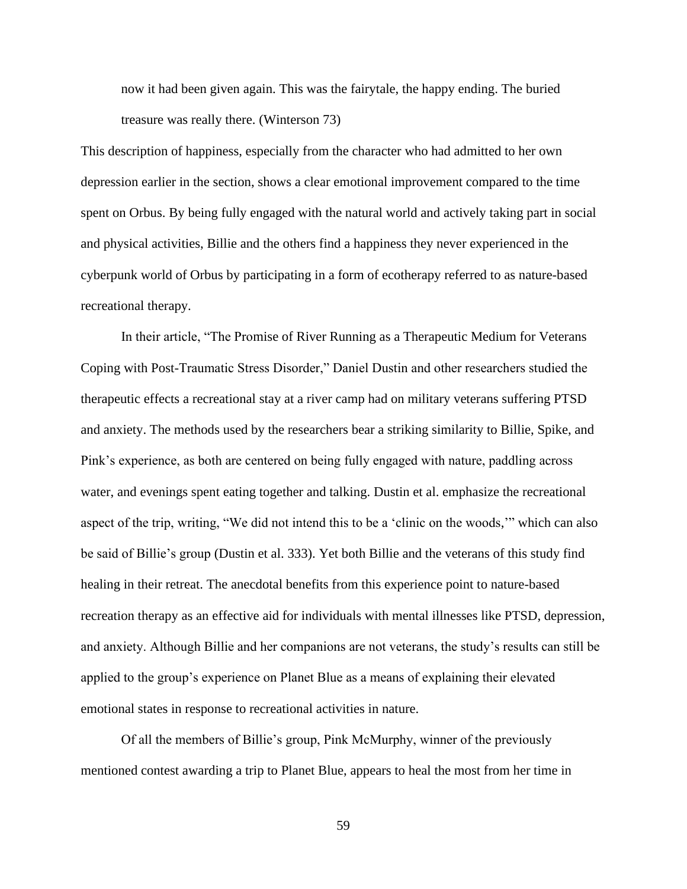now it had been given again. This was the fairytale, the happy ending. The buried treasure was really there. (Winterson 73)

This description of happiness, especially from the character who had admitted to her own depression earlier in the section, shows a clear emotional improvement compared to the time spent on Orbus. By being fully engaged with the natural world and actively taking part in social and physical activities, Billie and the others find a happiness they never experienced in the cyberpunk world of Orbus by participating in a form of ecotherapy referred to as nature-based recreational therapy.

In their article, "The Promise of River Running as a Therapeutic Medium for Veterans Coping with Post-Traumatic Stress Disorder," Daniel Dustin and other researchers studied the therapeutic effects a recreational stay at a river camp had on military veterans suffering PTSD and anxiety. The methods used by the researchers bear a striking similarity to Billie, Spike, and Pink's experience, as both are centered on being fully engaged with nature, paddling across water, and evenings spent eating together and talking. Dustin et al. emphasize the recreational aspect of the trip, writing, "We did not intend this to be a 'clinic on the woods,'" which can also be said of Billie's group (Dustin et al. 333). Yet both Billie and the veterans of this study find healing in their retreat. The anecdotal benefits from this experience point to nature-based recreation therapy as an effective aid for individuals with mental illnesses like PTSD, depression, and anxiety. Although Billie and her companions are not veterans, the study's results can still be applied to the group's experience on Planet Blue as a means of explaining their elevated emotional states in response to recreational activities in nature.

Of all the members of Billie's group, Pink McMurphy, winner of the previously mentioned contest awarding a trip to Planet Blue, appears to heal the most from her time in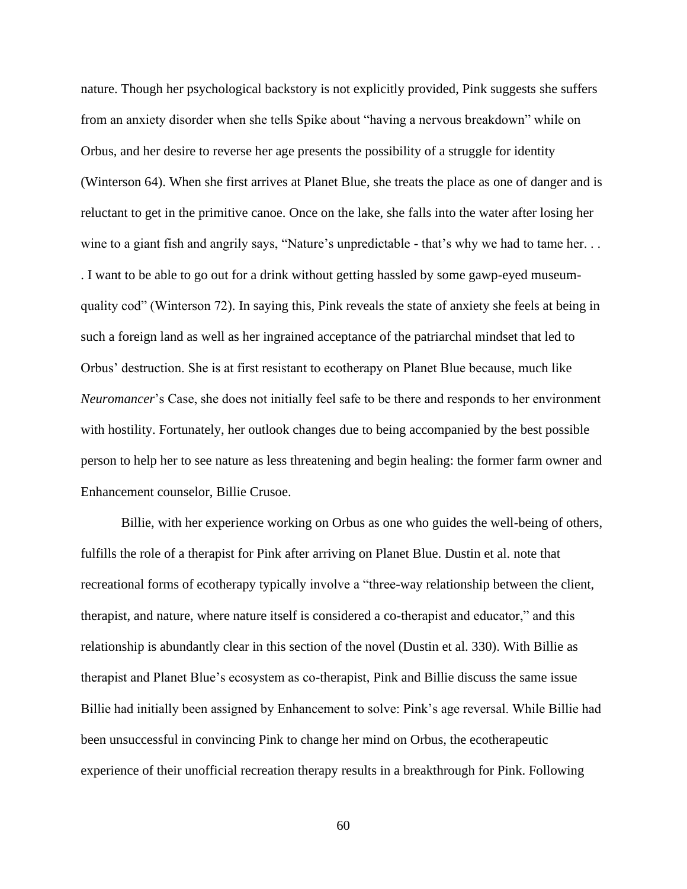nature. Though her psychological backstory is not explicitly provided, Pink suggests she suffers from an anxiety disorder when she tells Spike about "having a nervous breakdown" while on Orbus, and her desire to reverse her age presents the possibility of a struggle for identity (Winterson 64). When she first arrives at Planet Blue, she treats the place as one of danger and is reluctant to get in the primitive canoe. Once on the lake, she falls into the water after losing her wine to a giant fish and angrily says, "Nature's unpredictable - that's why we had to tame her. . . . I want to be able to go out for a drink without getting hassled by some gawp-eyed museumquality cod" (Winterson 72). In saying this, Pink reveals the state of anxiety she feels at being in such a foreign land as well as her ingrained acceptance of the patriarchal mindset that led to Orbus' destruction. She is at first resistant to ecotherapy on Planet Blue because, much like *Neuromancer*'s Case, she does not initially feel safe to be there and responds to her environment with hostility. Fortunately, her outlook changes due to being accompanied by the best possible person to help her to see nature as less threatening and begin healing: the former farm owner and Enhancement counselor, Billie Crusoe.

Billie, with her experience working on Orbus as one who guides the well-being of others, fulfills the role of a therapist for Pink after arriving on Planet Blue. Dustin et al. note that recreational forms of ecotherapy typically involve a "three-way relationship between the client, therapist, and nature, where nature itself is considered a co-therapist and educator," and this relationship is abundantly clear in this section of the novel (Dustin et al. 330). With Billie as therapist and Planet Blue's ecosystem as co-therapist, Pink and Billie discuss the same issue Billie had initially been assigned by Enhancement to solve: Pink's age reversal. While Billie had been unsuccessful in convincing Pink to change her mind on Orbus, the ecotherapeutic experience of their unofficial recreation therapy results in a breakthrough for Pink. Following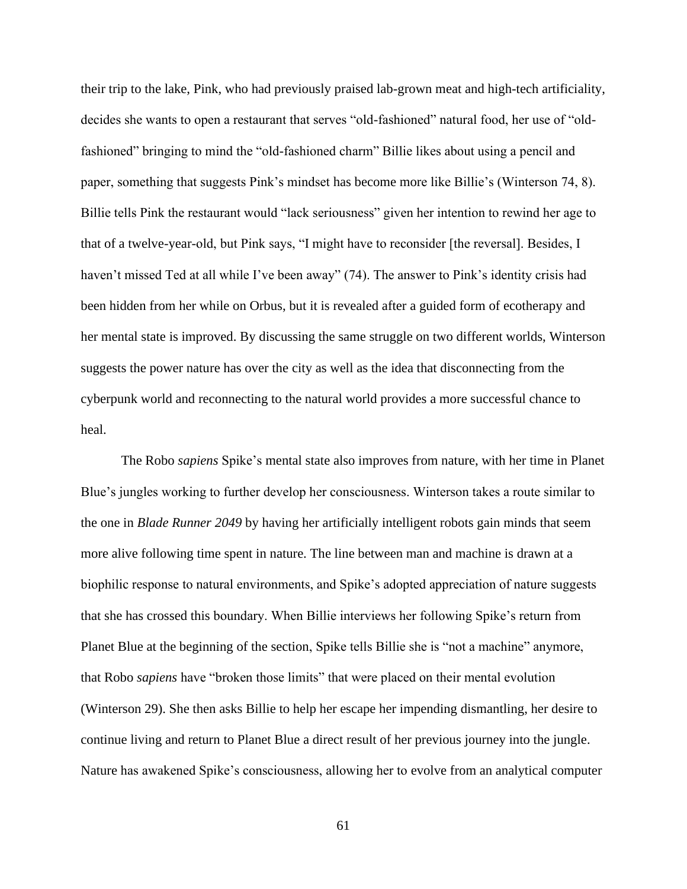their trip to the lake, Pink, who had previously praised lab-grown meat and high-tech artificiality, decides she wants to open a restaurant that serves "old-fashioned" natural food, her use of "oldfashioned" bringing to mind the "old-fashioned charm" Billie likes about using a pencil and paper, something that suggests Pink's mindset has become more like Billie's (Winterson 74, 8). Billie tells Pink the restaurant would "lack seriousness" given her intention to rewind her age to that of a twelve-year-old, but Pink says, "I might have to reconsider [the reversal]. Besides, I haven't missed Ted at all while I've been away" (74). The answer to Pink's identity crisis had been hidden from her while on Orbus, but it is revealed after a guided form of ecotherapy and her mental state is improved. By discussing the same struggle on two different worlds, Winterson suggests the power nature has over the city as well as the idea that disconnecting from the cyberpunk world and reconnecting to the natural world provides a more successful chance to heal.

The Robo *sapiens* Spike's mental state also improves from nature, with her time in Planet Blue's jungles working to further develop her consciousness. Winterson takes a route similar to the one in *Blade Runner 2049* by having her artificially intelligent robots gain minds that seem more alive following time spent in nature. The line between man and machine is drawn at a biophilic response to natural environments, and Spike's adopted appreciation of nature suggests that she has crossed this boundary. When Billie interviews her following Spike's return from Planet Blue at the beginning of the section, Spike tells Billie she is "not a machine" anymore, that Robo *sapiens* have "broken those limits" that were placed on their mental evolution (Winterson 29). She then asks Billie to help her escape her impending dismantling, her desire to continue living and return to Planet Blue a direct result of her previous journey into the jungle. Nature has awakened Spike's consciousness, allowing her to evolve from an analytical computer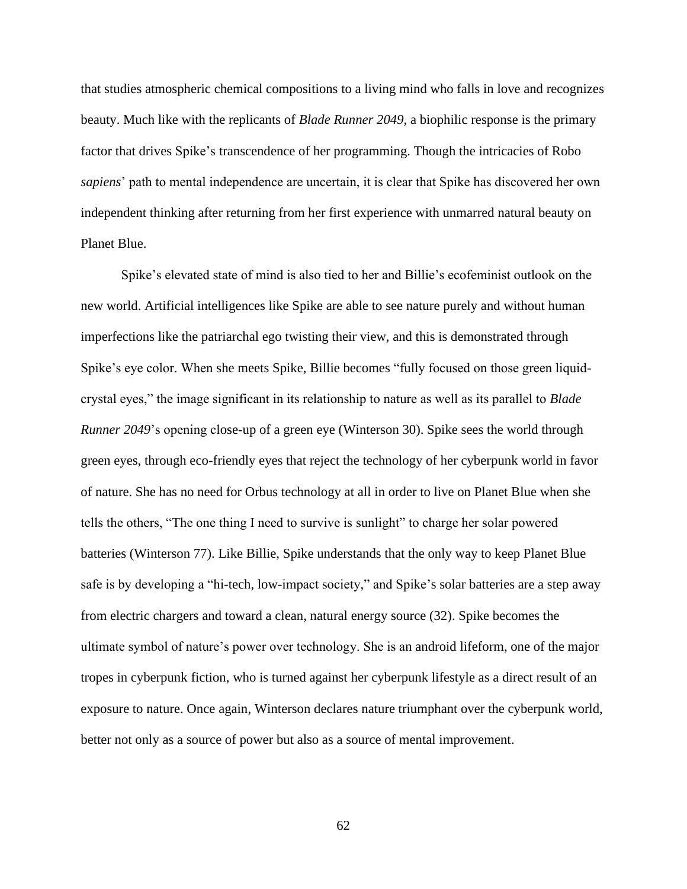that studies atmospheric chemical compositions to a living mind who falls in love and recognizes beauty. Much like with the replicants of *Blade Runner 2049*, a biophilic response is the primary factor that drives Spike's transcendence of her programming. Though the intricacies of Robo *sapiens*' path to mental independence are uncertain, it is clear that Spike has discovered her own independent thinking after returning from her first experience with unmarred natural beauty on Planet Blue.

Spike's elevated state of mind is also tied to her and Billie's ecofeminist outlook on the new world. Artificial intelligences like Spike are able to see nature purely and without human imperfections like the patriarchal ego twisting their view, and this is demonstrated through Spike's eye color. When she meets Spike, Billie becomes "fully focused on those green liquidcrystal eyes," the image significant in its relationship to nature as well as its parallel to *Blade Runner 2049*'s opening close-up of a green eye (Winterson 30). Spike sees the world through green eyes, through eco-friendly eyes that reject the technology of her cyberpunk world in favor of nature. She has no need for Orbus technology at all in order to live on Planet Blue when she tells the others, "The one thing I need to survive is sunlight" to charge her solar powered batteries (Winterson 77). Like Billie, Spike understands that the only way to keep Planet Blue safe is by developing a "hi-tech, low-impact society," and Spike's solar batteries are a step away from electric chargers and toward a clean, natural energy source (32). Spike becomes the ultimate symbol of nature's power over technology. She is an android lifeform, one of the major tropes in cyberpunk fiction, who is turned against her cyberpunk lifestyle as a direct result of an exposure to nature. Once again, Winterson declares nature triumphant over the cyberpunk world, better not only as a source of power but also as a source of mental improvement.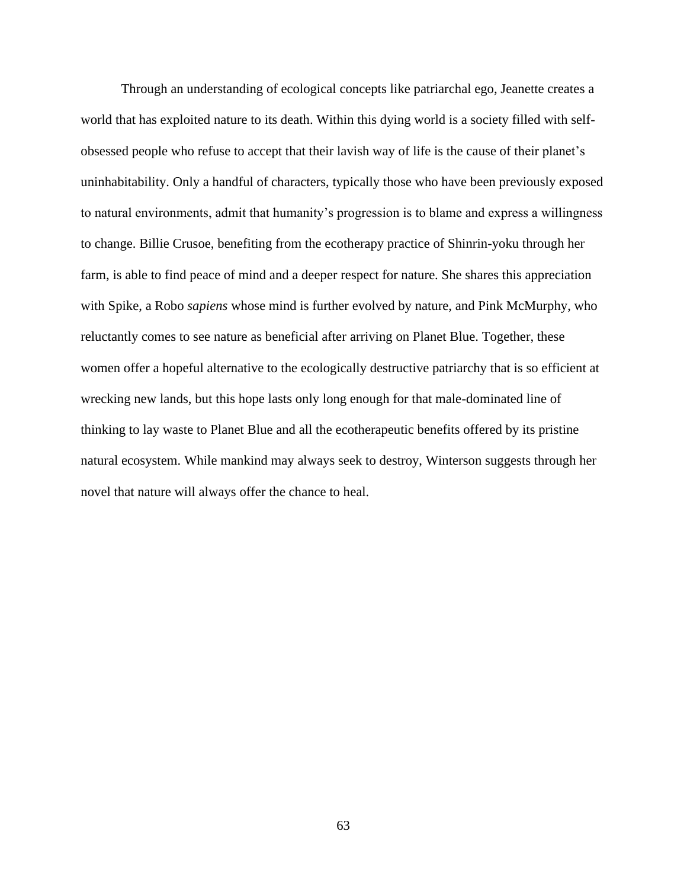Through an understanding of ecological concepts like patriarchal ego, Jeanette creates a world that has exploited nature to its death. Within this dying world is a society filled with selfobsessed people who refuse to accept that their lavish way of life is the cause of their planet's uninhabitability. Only a handful of characters, typically those who have been previously exposed to natural environments, admit that humanity's progression is to blame and express a willingness to change. Billie Crusoe, benefiting from the ecotherapy practice of Shinrin-yoku through her farm, is able to find peace of mind and a deeper respect for nature. She shares this appreciation with Spike, a Robo *sapiens* whose mind is further evolved by nature, and Pink McMurphy, who reluctantly comes to see nature as beneficial after arriving on Planet Blue. Together, these women offer a hopeful alternative to the ecologically destructive patriarchy that is so efficient at wrecking new lands, but this hope lasts only long enough for that male-dominated line of thinking to lay waste to Planet Blue and all the ecotherapeutic benefits offered by its pristine natural ecosystem. While mankind may always seek to destroy, Winterson suggests through her novel that nature will always offer the chance to heal.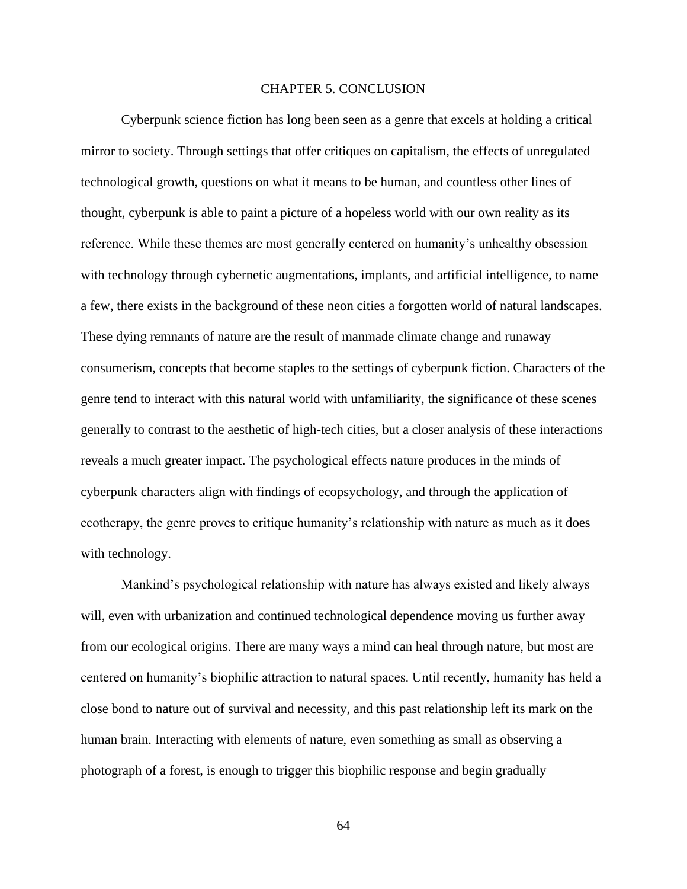#### CHAPTER 5. CONCLUSION

<span id="page-64-0"></span>Cyberpunk science fiction has long been seen as a genre that excels at holding a critical mirror to society. Through settings that offer critiques on capitalism, the effects of unregulated technological growth, questions on what it means to be human, and countless other lines of thought, cyberpunk is able to paint a picture of a hopeless world with our own reality as its reference. While these themes are most generally centered on humanity's unhealthy obsession with technology through cybernetic augmentations, implants, and artificial intelligence, to name a few, there exists in the background of these neon cities a forgotten world of natural landscapes. These dying remnants of nature are the result of manmade climate change and runaway consumerism, concepts that become staples to the settings of cyberpunk fiction. Characters of the genre tend to interact with this natural world with unfamiliarity, the significance of these scenes generally to contrast to the aesthetic of high-tech cities, but a closer analysis of these interactions reveals a much greater impact. The psychological effects nature produces in the minds of cyberpunk characters align with findings of ecopsychology, and through the application of ecotherapy, the genre proves to critique humanity's relationship with nature as much as it does with technology.

Mankind's psychological relationship with nature has always existed and likely always will, even with urbanization and continued technological dependence moving us further away from our ecological origins. There are many ways a mind can heal through nature, but most are centered on humanity's biophilic attraction to natural spaces. Until recently, humanity has held a close bond to nature out of survival and necessity, and this past relationship left its mark on the human brain. Interacting with elements of nature, even something as small as observing a photograph of a forest, is enough to trigger this biophilic response and begin gradually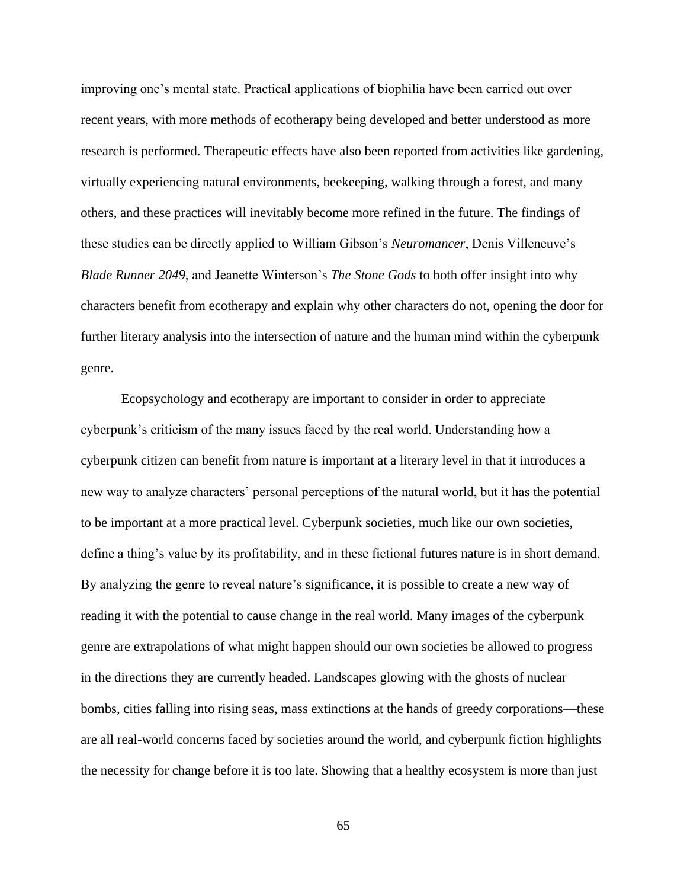improving one's mental state. Practical applications of biophilia have been carried out over recent years, with more methods of ecotherapy being developed and better understood as more research is performed. Therapeutic effects have also been reported from activities like gardening, virtually experiencing natural environments, beekeeping, walking through a forest, and many others, and these practices will inevitably become more refined in the future. The findings of these studies can be directly applied to William Gibson's *Neuromancer*, Denis Villeneuve's *Blade Runner 2049*, and Jeanette Winterson's *The Stone Gods* to both offer insight into why characters benefit from ecotherapy and explain why other characters do not, opening the door for further literary analysis into the intersection of nature and the human mind within the cyberpunk genre.

Ecopsychology and ecotherapy are important to consider in order to appreciate cyberpunk's criticism of the many issues faced by the real world. Understanding how a cyberpunk citizen can benefit from nature is important at a literary level in that it introduces a new way to analyze characters' personal perceptions of the natural world, but it has the potential to be important at a more practical level. Cyberpunk societies, much like our own societies, define a thing's value by its profitability, and in these fictional futures nature is in short demand. By analyzing the genre to reveal nature's significance, it is possible to create a new way of reading it with the potential to cause change in the real world. Many images of the cyberpunk genre are extrapolations of what might happen should our own societies be allowed to progress in the directions they are currently headed. Landscapes glowing with the ghosts of nuclear bombs, cities falling into rising seas, mass extinctions at the hands of greedy corporations—these are all real-world concerns faced by societies around the world, and cyberpunk fiction highlights the necessity for change before it is too late. Showing that a healthy ecosystem is more than just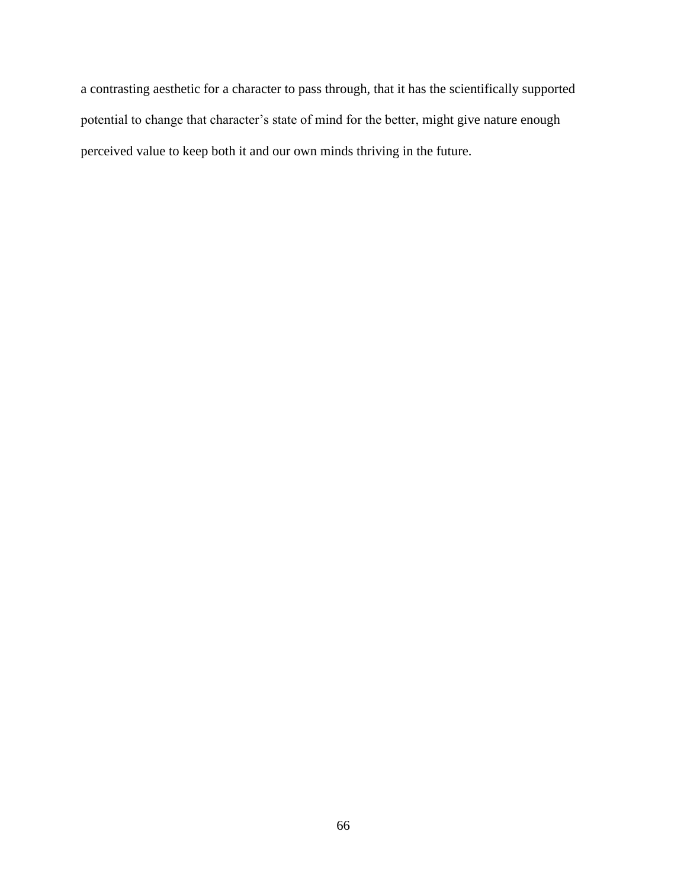a contrasting aesthetic for a character to pass through, that it has the scientifically supported potential to change that character's state of mind for the better, might give nature enough perceived value to keep both it and our own minds thriving in the future.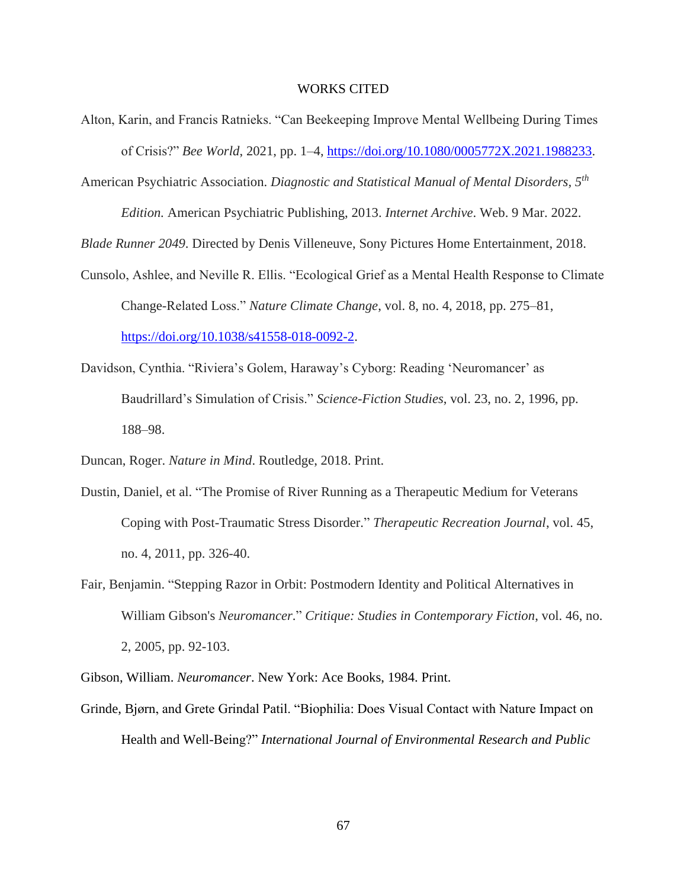#### WORKS CITED

- <span id="page-67-0"></span>Alton, Karin, and Francis Ratnieks. "Can Beekeeping Improve Mental Wellbeing During Times of Crisis?" *Bee World*, 2021, pp. 1–4, [https://doi.org/10.1080/0005772X.2021.1988233.](https://doi.org/10.1080/0005772X.2021.1988233)
- American Psychiatric Association. *Diagnostic and Statistical Manual of Mental Disorders, 5th*

*Edition.* American Psychiatric Publishing, 2013. *Internet Archive*. Web. 9 Mar. 2022.

*Blade Runner 2049*. Directed by Denis Villeneuve, Sony Pictures Home Entertainment, 2018.

- Cunsolo, Ashlee, and Neville R. Ellis. "Ecological Grief as a Mental Health Response to Climate Change-Related Loss." *Nature Climate Change*, vol. 8, no. 4, 2018, pp. 275–81, [https://doi.org/10.1038/s41558-018-0092-2.](https://doi.org/10.1038/s41558-018-0092-2)
- Davidson, Cynthia. "Riviera's Golem, Haraway's Cyborg: Reading 'Neuromancer' as Baudrillard's Simulation of Crisis." *Science-Fiction Studies*, vol. 23, no. 2, 1996, pp. 188–98.

Duncan, Roger. *Nature in Mind*. Routledge, 2018. Print.

- Dustin, Daniel, et al. "The Promise of River Running as a Therapeutic Medium for Veterans Coping with Post-Traumatic Stress Disorder." *Therapeutic Recreation Journal*, vol. 45, no. 4, 2011, pp. 326-40.
- Fair, Benjamin. "Stepping Razor in Orbit: Postmodern Identity and Political Alternatives in William Gibson's *Neuromancer*." *Critique: Studies in Contemporary Fiction*, vol. 46, no. 2, 2005, pp. 92-103.

Gibson, William. *Neuromancer*. New York: Ace Books, 1984. Print.

Grinde, Bjørn, and Grete Grindal Patil. "Biophilia: Does Visual Contact with Nature Impact on Health and Well-Being?" *International Journal of Environmental Research and Public*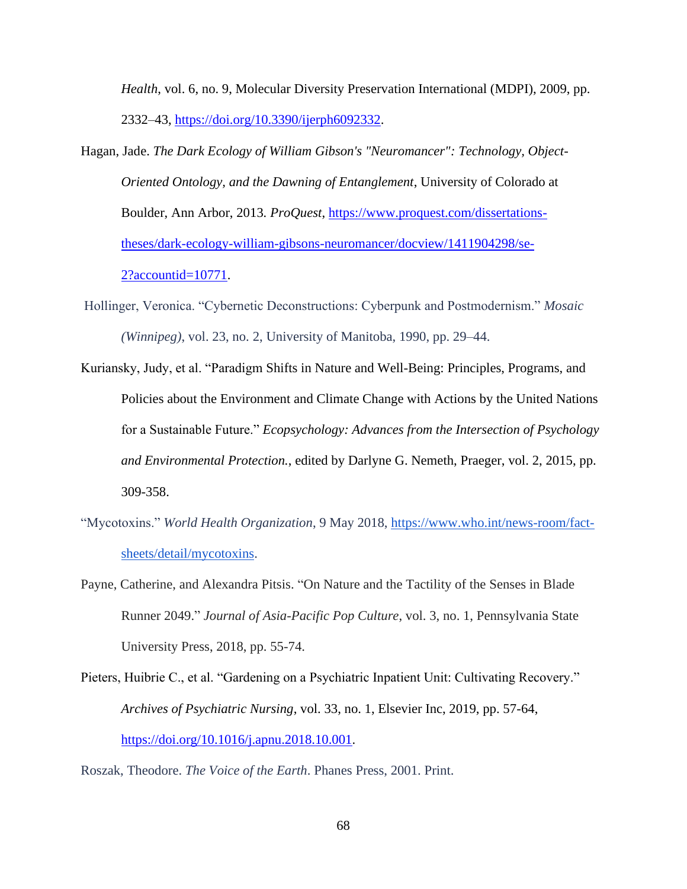*Health*, vol. 6, no. 9, Molecular Diversity Preservation International (MDPI), 2009, pp. 2332–43, [https://doi.org/10.3390/ijerph6092332.](https://doi.org/10.3390/ijerph6092332)

- Hagan, Jade. *The Dark Ecology of William Gibson's "Neuromancer": Technology, Object-Oriented Ontology, and the Dawning of Entanglement*, University of Colorado at Boulder, Ann Arbor, 2013*. ProQuest*, [https://www.proquest.com/dissertations](https://www.proquest.com/dissertations-theses/dark-ecology-william-gibsons-neuromancer/docview/1411904298/se-2?accountid=10771)[theses/dark-ecology-william-gibsons-neuromancer/docview/1411904298/se-](https://www.proquest.com/dissertations-theses/dark-ecology-william-gibsons-neuromancer/docview/1411904298/se-2?accountid=10771)[2?accountid=10771.](https://www.proquest.com/dissertations-theses/dark-ecology-william-gibsons-neuromancer/docview/1411904298/se-2?accountid=10771)
- Hollinger, Veronica. "Cybernetic Deconstructions: Cyberpunk and Postmodernism." *Mosaic (Winnipeg)*, vol. 23, no. 2, University of Manitoba, 1990, pp. 29–44.
- Kuriansky, Judy, et al. "Paradigm Shifts in Nature and Well-Being: Principles, Programs, and Policies about the Environment and Climate Change with Actions by the United Nations for a Sustainable Future." *Ecopsychology: Advances from the Intersection of Psychology and Environmental Protection.*, edited by Darlyne G. Nemeth, Praeger, vol. 2, 2015, pp. 309-358.
- "Mycotoxins." *World Health Organization*, 9 May 2018, [https://www.who.int/news-room/fact](https://www.who.int/news-room/fact-sheets/detail/mycotoxins)[sheets/detail/mycotoxins.](https://www.who.int/news-room/fact-sheets/detail/mycotoxins)
- Payne, Catherine, and Alexandra Pitsis. "On Nature and the Tactility of the Senses in Blade Runner 2049." *Journal of Asia-Pacific Pop Culture*, vol. 3, no. 1, Pennsylvania State University Press, 2018, pp. 55-74.
- Pieters, Huibrie C., et al. "Gardening on a Psychiatric Inpatient Unit: Cultivating Recovery." *Archives of Psychiatric Nursing*, vol. 33, no. 1, Elsevier Inc, 2019, pp. 57-64, [https://doi.org/10.1016/j.apnu.2018.10.001.](https://doi.org/10.1016/j.apnu.2018.10.001)

Roszak, Theodore. *The Voice of the Earth*. Phanes Press, 2001. Print.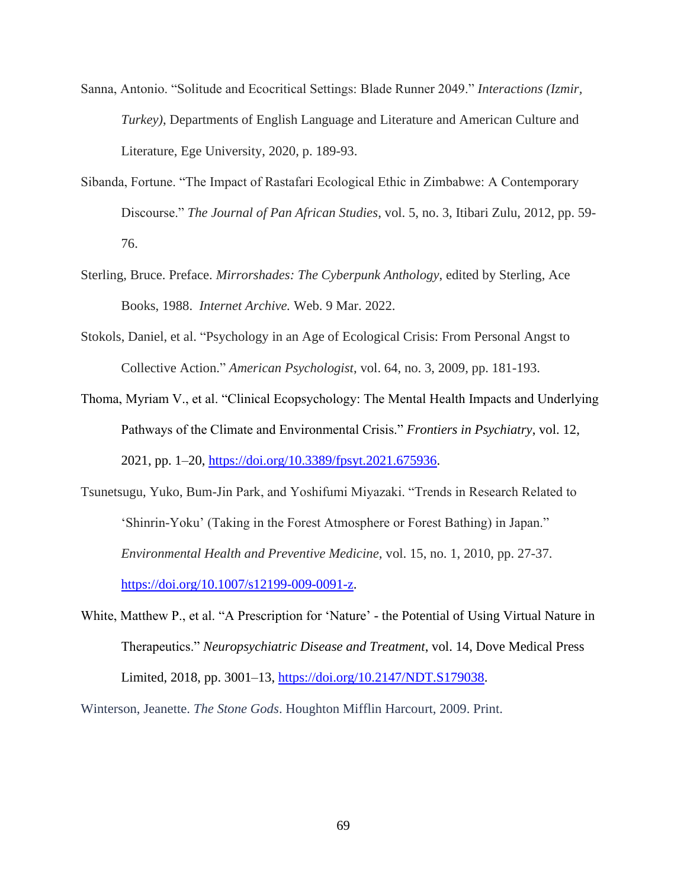- Sanna, Antonio. "Solitude and Ecocritical Settings: Blade Runner 2049." *Interactions (Izmir, Turkey)*, Departments of English Language and Literature and American Culture and Literature, Ege University, 2020, p. 189-93.
- Sibanda, Fortune. "The Impact of Rastafari Ecological Ethic in Zimbabwe: A Contemporary Discourse." *The Journal of Pan African Studies*, vol. 5, no. 3, Itibari Zulu, 2012, pp. 59- 76.
- Sterling, Bruce. Preface. *Mirrorshades: The Cyberpunk Anthology*, edited by Sterling, Ace Books, 1988. *Internet Archive.* Web. 9 Mar. 2022.
- Stokols, Daniel, et al. "Psychology in an Age of Ecological Crisis: From Personal Angst to Collective Action." *American Psychologist*, vol. 64, no. 3, 2009, pp. 181-193.
- Thoma, Myriam V., et al. "Clinical Ecopsychology: The Mental Health Impacts and Underlying Pathways of the Climate and Environmental Crisis." *Frontiers in Psychiatry*, vol. 12, 2021, pp. 1–20, [https://doi.org/10.3389/fpsyt.2021.675936.](https://doi.org/10.3389/fpsyt.2021.675936)
- Tsunetsugu, Yuko, Bum-Jin Park, and Yoshifumi Miyazaki. "Trends in Research Related to 'Shinrin-Yoku' (Taking in the Forest Atmosphere or Forest Bathing) in Japan." *Environmental Health and Preventive Medicine,* vol. 15, no. 1, 2010, pp. 27-37. [https://doi.org/10.1007/s12199-009-0091-z.](https://doi.org/10.1007/s12199-009-0091-z)
- White, Matthew P., et al. "A Prescription for 'Nature' the Potential of Using Virtual Nature in Therapeutics." *Neuropsychiatric Disease and Treatment*, vol. 14, Dove Medical Press Limited, 2018, pp. 3001–13, [https://doi.org/10.2147/NDT.S179038.](https://doi.org/10.2147/NDT.S179038)

Winterson, Jeanette. *The Stone Gods*. Houghton Mifflin Harcourt, 2009. Print.